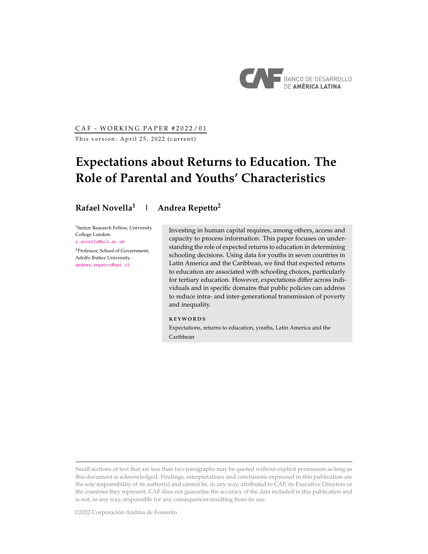

CAF - WORKING PAPER #2022/01

This version: April 25, 2022 (current)

# **Expectations about Returns to Education. The Role of Parental and Youths' Characteristics**

# **Rafael Novella<sup>1</sup> | Andrea Repetto<sup>2</sup>**

<sup>1</sup>Senior Research Fellow, University College London. [r.novella@ucl.ac.uk](mailto:r.novella@ucl.ac.uk)

<sup>2</sup>Professor, School of Government, Adolfo Ibáñez University. [andrea.repetto@uai.cl](mailto:andrea.repetto@uai.cl)

Investing in human capital requires, among others, access and capacity to process information. This paper focuses on understanding the role of expected returns to education in determining schooling decisions. Using data for youths in seven countries in Latin America and the Caribbean, we find that expected returns to education are associated with schooling choices, particularly for tertiary education. However, expectations differ across individuals and in specific domains that public policies can address to reduce intra- and inter-generational transmission of poverty and inequality.

## **K E Y W O R D S**

Expectations, returns to education, youths, Latin America and the Caribbean

Small sections of text that are less than two paragraphs may be quoted without explicit permission as long as this document is acknowledged. Findings, interpretations and conclusions expressed in this publication are the sole responsibility of its author(s) and cannot be, in any way, attributed to CAF, its Executive Directors or the countries they represent. CAF does not guarantee the accuracy of the data included in this publication and is not, in any way, responsible for any consequences resulting from its use.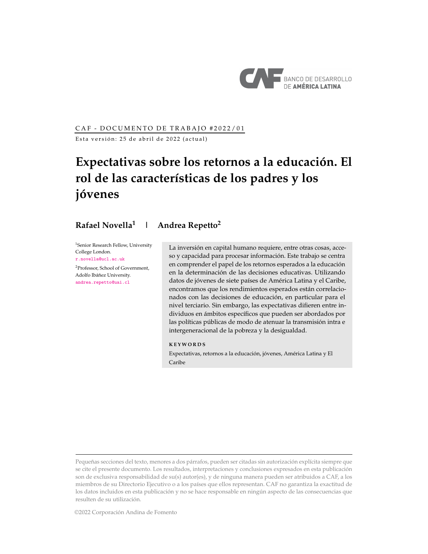

# CAF - DOCUMENTO DE TRABAJO #2022/01

Esta versión: 25 de abril de 2022 (actual)

# **Expectativas sobre los retornos a la educación. El rol de las características de los padres y los jóvenes**

# **Rafael Novella<sup>1</sup> | Andrea Repetto<sup>2</sup>**

<sup>1</sup>Senior Research Fellow, University College London. [r.novella@ucl.ac.uk](mailto:r.novella@ucl.ac.uk)

<sup>2</sup>Professor, School of Government, Adolfo Ibáñez University. [andrea.repetto@uai.cl](mailto:andrea.repetto@uai.cl)

La inversión en capital humano requiere, entre otras cosas, acceso y capacidad para procesar información. Este trabajo se centra en comprender el papel de los retornos esperados a la educación en la determinación de las decisiones educativas. Utilizando datos de jóvenes de siete países de América Latina y el Caribe, encontramos que los rendimientos esperados están correlacionados con las decisiones de educación, en particular para el nivel terciario. Sin embargo, las expectativas difieren entre individuos en ámbitos específicos que pueden ser abordados por las políticas públicas de modo de atenuar la transmisión intra e intergeneracional de la pobreza y la desigualdad.

**K E Y W O R D S**

Expectativas, retornos a la educación, jóvenes, América Latina y El Caribe

Pequeñas secciones del texto, menores a dos párrafos, pueden ser citadas sin autorización explícita siempre que se cite el presente documento. Los resultados, interpretaciones y conclusiones expresados en esta publicación son de exclusiva responsabilidad de su(s) autor(es), y de ninguna manera pueden ser atribuidos a CAF, a los miembros de su Directorio Ejecutivo o a los países que ellos representan. CAF no garantiza la exactitud de los datos incluidos en esta publicación y no se hace responsable en ningún aspecto de las consecuencias que resulten de su utilización.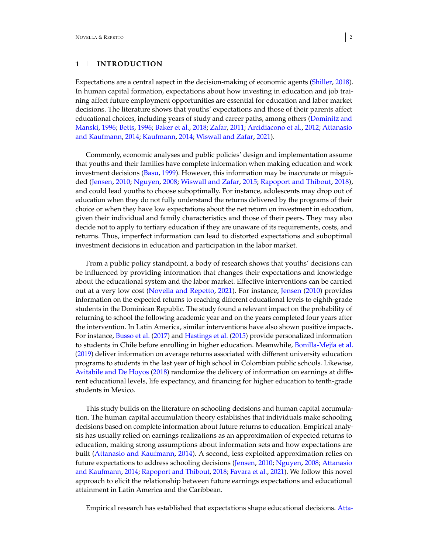Expectations are a central aspect in the decision-making of economic agents [\(Shiller,](#page-24-0) [2018\)](#page-24-0). In human capital formation, expectations about how investing in education and job training affect future employment opportunities are essential for education and labor market decisions. The literature shows that youths' expectations and those of their parents affect educational choices, including years of study and career paths, among others [\(Dominitz and](#page-23-0) [Manski,](#page-23-0) [1996;](#page-23-0) [Betts,](#page-23-1) [1996;](#page-23-1) [Baker et al.,](#page-23-2) [2018;](#page-23-2) [Zafar,](#page-24-1) [2011;](#page-24-1) [Arcidiacono et al.,](#page-23-3) [2012;](#page-23-3) [Attanasio](#page-23-4) [and Kaufmann,](#page-23-4) [2014;](#page-23-4) [Kaufmann,](#page-23-5) [2014;](#page-23-5) [Wiswall and Zafar,](#page-24-2) [2021\)](#page-24-2).

Commonly, economic analyses and public policies' design and implementation assume that youths and their families have complete information when making education and work investment decisions [\(Basu,](#page-23-6) [1999\)](#page-23-6). However, this information may be inaccurate or misguided [\(Jensen,](#page-23-7) [2010;](#page-23-7) [Nguyen,](#page-24-3) [2008;](#page-24-3) [Wiswall and Zafar,](#page-24-4) [2015;](#page-24-4) [Rapoport and Thibout,](#page-24-5) [2018\)](#page-24-5), and could lead youths to choose suboptimally. For instance, adolescents may drop out of education when they do not fully understand the returns delivered by the programs of their choice or when they have low expectations about the net return on investment in education, given their individual and family characteristics and those of their peers. They may also decide not to apply to tertiary education if they are unaware of its requirements, costs, and returns. Thus, imperfect information can lead to distorted expectations and suboptimal investment decisions in education and participation in the labor market.

From a public policy standpoint, a body of research shows that youths' decisions can be influenced by providing information that changes their expectations and knowledge about the educational system and the labor market. Effective interventions can be carried out at a very low cost [\(Novella and Repetto,](#page-24-6) [2021\)](#page-24-6). For instance, [Jensen](#page-23-7) [\(2010\)](#page-23-7) provides information on the expected returns to reaching different educational levels to eighth-grade students in the Dominican Republic. The study found a relevant impact on the probability of returning to school the following academic year and on the years completed four years after the intervention. In Latin America, similar interventions have also shown positive impacts. For instance, [Busso et al.](#page-23-8) [\(2017\)](#page-23-8) and [Hastings et al.](#page-23-9) [\(2015\)](#page-23-9) provide personalized information to students in Chile before enrolling in higher education. Meanwhile, [Bonilla-Mejía et al.](#page-23-10) [\(2019\)](#page-23-10) deliver information on average returns associated with different university education programs to students in the last year of high school in Colombian public schools. Likewise, [Avitabile and De Hoyos](#page-23-11) [\(2018\)](#page-23-11) randomize the delivery of information on earnings at different educational levels, life expectancy, and financing for higher education to tenth-grade students in Mexico.

This study builds on the literature on schooling decisions and human capital accumulation. The human capital accumulation theory establishes that individuals make schooling decisions based on complete information about future returns to education. Empirical analysis has usually relied on earnings realizations as an approximation of expected returns to education, making strong assumptions about information sets and how expectations are built [\(Attanasio and Kaufmann,](#page-23-4) [2014\)](#page-23-4). A second, less exploited approximation relies on future expectations to address schooling decisions [\(Jensen,](#page-23-7) [2010;](#page-23-7) [Nguyen,](#page-24-3) [2008;](#page-24-3) [Attanasio](#page-23-4) [and Kaufmann,](#page-23-4) [2014;](#page-23-4) [Rapoport and Thibout,](#page-24-5) [2018;](#page-24-5) [Favara et al.,](#page-23-12) [2021\)](#page-23-12). We follow this novel approach to elicit the relationship between future earnings expectations and educational attainment in Latin America and the Caribbean.

Empirical research has established that expectations shape educational decisions. [Atta-](#page-23-4)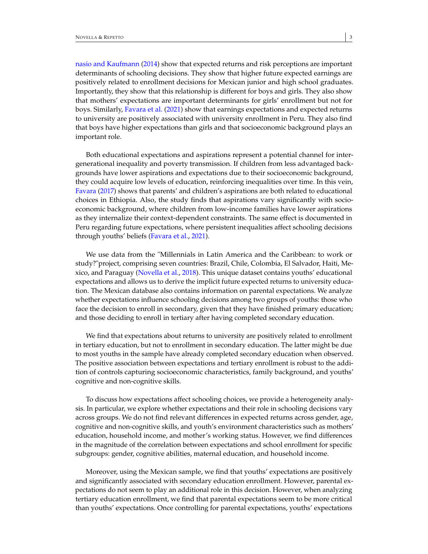[nasio and Kaufmann](#page-23-4) [\(2014\)](#page-23-4) show that expected returns and risk perceptions are important determinants of schooling decisions. They show that higher future expected earnings are positively related to enrollment decisions for Mexican junior and high school graduates. Importantly, they show that this relationship is different for boys and girls. They also show that mothers' expectations are important determinants for girls' enrollment but not for boys. Similarly, [Favara et al.](#page-23-12) [\(2021\)](#page-23-12) show that earnings expectations and expected returns to university are positively associated with university enrollment in Peru. They also find that boys have higher expectations than girls and that socioeconomic background plays an important role.

Both educational expectations and aspirations represent a potential channel for intergenerational inequality and poverty transmission. If children from less advantaged backgrounds have lower aspirations and expectations due to their socioeconomic background, they could acquire low levels of education, reinforcing inequalities over time. In this vein, [Favara](#page-23-13) [\(2017\)](#page-23-13) shows that parents' and children's aspirations are both related to educational choices in Ethiopia. Also, the study finds that aspirations vary significantly with socioeconomic background, where children from low-income families have lower aspirations as they internalize their context-dependent constraints. The same effect is documented in Peru regarding future expectations, where persistent inequalities affect schooling decisions through youths' beliefs [\(Favara et al.,](#page-23-12) [2021\)](#page-23-12).

We use data from the "Millennials in Latin America and the Caribbean: to work or study?"project, comprising seven countries: Brazil, Chile, Colombia, El Salvador, Haiti, Mexico, and Paraguay [\(Novella et al.,](#page-24-7) [2018\)](#page-24-7). This unique dataset contains youths' educational expectations and allows us to derive the implicit future expected returns to university education. The Mexican database also contains information on parental expectations. We analyze whether expectations influence schooling decisions among two groups of youths: those who face the decision to enroll in secondary, given that they have finished primary education; and those deciding to enroll in tertiary after having completed secondary education.

We find that expectations about returns to university are positively related to enrollment in tertiary education, but not to enrollment in secondary education. The latter might be due to most youths in the sample have already completed secondary education when observed. The positive association between expectations and tertiary enrollment is robust to the addition of controls capturing socioeconomic characteristics, family background, and youths' cognitive and non-cognitive skills.

To discuss how expectations affect schooling choices, we provide a heterogeneity analysis. In particular, we explore whether expectations and their role in schooling decisions vary across groups. We do not find relevant differences in expected returns across gender, age, cognitive and non-cognitive skills, and youth's environment characteristics such as mothers' education, household income, and mother's working status. However, we find differences in the magnitude of the correlation between expectations and school enrollment for specific subgroups: gender, cognitive abilities, maternal education, and household income.

Moreover, using the Mexican sample, we find that youths' expectations are positively and significantly associated with secondary education enrollment. However, parental expectations do not seem to play an additional role in this decision. However, when analyzing tertiary education enrollment, we find that parental expectations seem to be more critical than youths' expectations. Once controlling for parental expectations, youths' expectations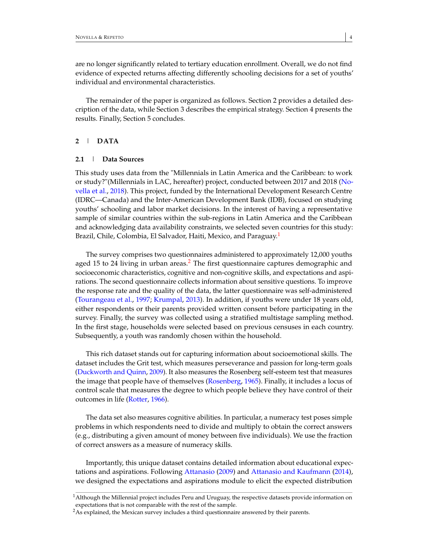are no longer significantly related to tertiary education enrollment. Overall, we do not find evidence of expected returns affecting differently schooling decisions for a set of youths' individual and environmental characteristics.

The remainder of the paper is organized as follows. Section 2 provides a detailed description of the data, while Section 3 describes the empirical strategy. Section 4 presents the results. Finally, Section 5 concludes.

# **2** | **DATA**

## **2.1** | **Data Sources**

This study uses data from the "Millennials in Latin America and the Caribbean: to work or study?"(Millennials in LAC, hereafter) project, conducted between 2017 and 2018 [\(No](#page-24-7)[vella et al.,](#page-24-7) [2018\)](#page-24-7). This project, funded by the International Development Research Centre (IDRC—Canada) and the Inter-American Development Bank (IDB), focused on studying youths' schooling and labor market decisions. In the interest of having a representative sample of similar countries within the sub-regions in Latin America and the Caribbean and acknowledging data availability constraints, we selected seven countries for this study: Brazil, Chile, Colombia, El Salvador, Haiti, Mexico, and Paraguay.<sup>[1](#page-4-0)</sup>

The survey comprises two questionnaires administered to approximately 12,000 youths aged 15 to [2](#page-4-1)4 living in urban areas.<sup>2</sup> The first questionnaire captures demographic and socioeconomic characteristics, cognitive and non-cognitive skills, and expectations and aspirations. The second questionnaire collects information about sensitive questions. To improve the response rate and the quality of the data, the latter questionnaire was self-administered [\(Tourangeau et al.,](#page-24-8) [1997;](#page-24-8) [Krumpal,](#page-24-9) [2013\)](#page-24-9). In addition, if youths were under 18 years old, either respondents or their parents provided written consent before participating in the survey. Finally, the survey was collected using a stratified multistage sampling method. In the first stage, households were selected based on previous censuses in each country. Subsequently, a youth was randomly chosen within the household.

This rich dataset stands out for capturing information about socioemotional skills. The dataset includes the Grit test, which measures perseverance and passion for long-term goals [\(Duckworth and Quinn,](#page-23-14) [2009\)](#page-23-14). It also measures the Rosenberg self-esteem test that measures the image that people have of themselves [\(Rosenberg,](#page-24-10) [1965\)](#page-24-10). Finally, it includes a locus of control scale that measures the degree to which people believe they have control of their outcomes in life [\(Rotter,](#page-24-11) [1966\)](#page-24-11).

The data set also measures cognitive abilities. In particular, a numeracy test poses simple problems in which respondents need to divide and multiply to obtain the correct answers (e.g., distributing a given amount of money between five individuals). We use the fraction of correct answers as a measure of numeracy skills.

Importantly, this unique dataset contains detailed information about educational expectations and aspirations. Following [Attanasio](#page-23-15) [\(2009\)](#page-23-15) and [Attanasio and Kaufmann](#page-23-4) [\(2014\)](#page-23-4), we designed the expectations and aspirations module to elicit the expected distribution

<span id="page-4-0"></span><sup>&</sup>lt;sup>1</sup>Although the Millennial project includes Peru and Uruguay, the respective datasets provide information on expectations that is not comparable with the rest of the sample.

<span id="page-4-1"></span><sup>&</sup>lt;sup>2</sup>As explained, the Mexican survey includes a third questionnaire answered by their parents.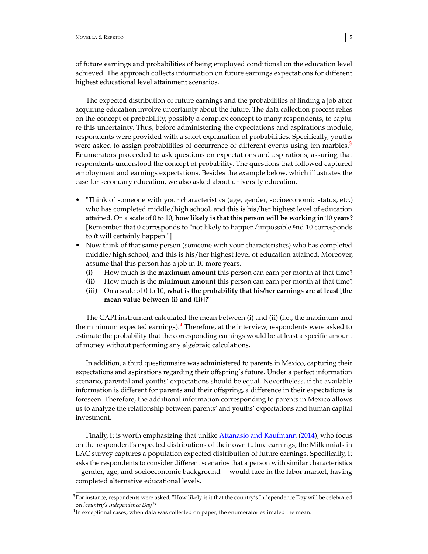of future earnings and probabilities of being employed conditional on the education level achieved. The approach collects information on future earnings expectations for different highest educational level attainment scenarios.

The expected distribution of future earnings and the probabilities of finding a job after acquiring education involve uncertainty about the future. The data collection process relies on the concept of probability, possibly a complex concept to many respondents, to capture this uncertainty. Thus, before administering the expectations and aspirations module, respondents were provided with a short explanation of probabilities. Specifically, youths were asked to assign probabilities of occurrence of different events using ten marbles.<sup>[3](#page-5-0)</sup> Enumerators proceeded to ask questions on expectations and aspirations, assuring that respondents understood the concept of probability. The questions that followed captured employment and earnings expectations. Besides the example below, which illustrates the case for secondary education, we also asked about university education.

- "Think of someone with your characteristics (age, gender, socioeconomic status, etc.) who has completed middle/high school, and this is his/her highest level of education attained. On a scale of 0 to 10, **how likely is that this person will be working in 10 years?** [Remember that 0 corresponds to "not likely to happen/impossible.<sup>a</sup>nd 10 corresponds to ït will certainly happen."]
- Now think of that same person (someone with your characteristics) who has completed middle/high school, and this is his/her highest level of education attained. Moreover, assume that this person has a job in 10 more years.
	- **(i)** How much is the **maximum amount** this person can earn per month at that time?
	- **(ii)** How much is the **minimum amount** this person can earn per month at that time?
	- **(iii)** On a scale of 0 to 10, **what is the probability that his/her earnings are at least [the mean value between (i) and (ii)]?**"

The CAPI instrument calculated the mean between (i) and (ii) (i.e., the maximum and the minimum expected earnings). $4$  Therefore, at the interview, respondents were asked to estimate the probability that the corresponding earnings would be at least a specific amount of money without performing any algebraic calculations.

In addition, a third questionnaire was administered to parents in Mexico, capturing their expectations and aspirations regarding their offspring's future. Under a perfect information scenario, parental and youths' expectations should be equal. Nevertheless, if the available information is different for parents and their offspring, a difference in their expectations is foreseen. Therefore, the additional information corresponding to parents in Mexico allows us to analyze the relationship between parents' and youths' expectations and human capital investment.

Finally, it is worth emphasizing that unlike [Attanasio and Kaufmann](#page-23-4) [\(2014\)](#page-23-4), who focus on the respondent's expected distributions of their own future earnings, the Millennials in LAC survey captures a population expected distribution of future earnings. Specifically, it asks the respondents to consider different scenarios that a person with similar characteristics —gender, age, and socioeconomic background— would face in the labor market, having completed alternative educational levels.

<span id="page-5-0"></span> $3$ For instance, respondents were asked, "How likely is it that the country's Independence Day will be celebrated on *[country's Independence Day]*?"

<span id="page-5-1"></span> $^{4}$ In exceptional cases, when data was collected on paper, the enumerator estimated the mean.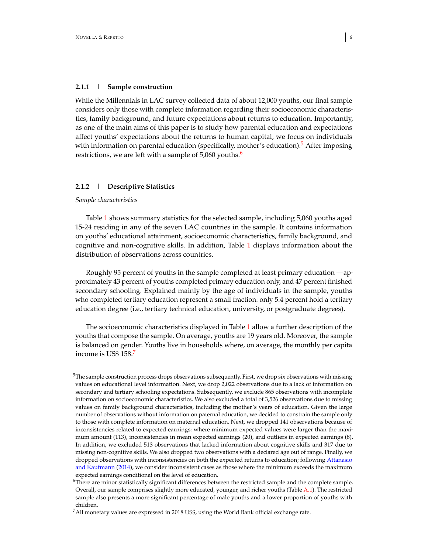While the Millennials in LAC survey collected data of about 12,000 youths, our final sample considers only those with complete information regarding their socioeconomic characteristics, family background, and future expectations about returns to education. Importantly, as one of the main aims of this paper is to study how parental education and expectations affect youths' expectations about the returns to human capital, we focus on individuals with information on parental education (specifically, mother's education).<sup>[5](#page-6-0)</sup> After imposing restrictions, we are left with a sample of  $5,060$  $5,060$  $5,060$  youths.<sup>6</sup>

#### **2.1.2** | **Descriptive Statistics**

# *Sample characteristics*

Table [1](#page-8-0) shows summary statistics for the selected sample, including 5,060 youths aged 15-24 residing in any of the seven LAC countries in the sample. It contains information on youths' educational attainment, socioeconomic characteristics, family background, and cognitive and non-cognitive skills. In addition, Table [1](#page-8-0) displays information about the distribution of observations across countries.

Roughly 95 percent of youths in the sample completed at least primary education —approximately 43 percent of youths completed primary education only, and 47 percent finished secondary schooling. Explained mainly by the age of individuals in the sample, youths who completed tertiary education represent a small fraction: only 5.4 percent hold a tertiary education degree (i.e., tertiary technical education, university, or postgraduate degrees).

The socioeconomic characteristics displayed in Table [1](#page-8-0) allow a further description of the youths that compose the sample. On average, youths are 19 years old. Moreover, the sample is balanced on gender. Youths live in households where, on average, the monthly per capita income is US\$ 158.[7](#page-6-2)

<span id="page-6-0"></span> $5$ The sample construction process drops observations subsequently. First, we drop six observations with missing values on educational level information. Next, we drop 2,022 observations due to a lack of information on secondary and tertiary schooling expectations. Subsequently, we exclude 865 observations with incomplete information on socioeconomic characteristics. We also excluded a total of 3,526 observations due to missing values on family background characteristics, including the mother's years of education. Given the large number of observations without information on paternal education, we decided to constrain the sample only to those with complete information on maternal education. Next, we dropped 141 observations because of inconsistencies related to expected earnings: where minimum expected values were larger than the maximum amount (113), inconsistencies in mean expected earnings (20), and outliers in expected earnings (8). In addition, we excluded 513 observations that lacked information about cognitive skills and 317 due to missing non-cognitive skills. We also dropped two observations with a declared age out of range. Finally, we dropped observations with inconsistencies on both the expected returns to education; following [Attanasio](#page-23-4) [and Kaufmann](#page-23-4) [\(2014\)](#page-23-4), we consider inconsistent cases as those where the minimum exceeds the maximum expected earnings conditional on the level of education.

<span id="page-6-1"></span> $6$ There are minor statistically significant differences between the restricted sample and the complete sample. Overall, our sample comprises slightly more educated, younger, and richer youths (Table [A.1\)](#page-28-0). The restricted sample also presents a more significant percentage of male youths and a lower proportion of youths with children.

<span id="page-6-2"></span><sup>&</sup>lt;sup>7</sup>All monetary values are expressed in 2018 US\$, using the World Bank official exchange rate.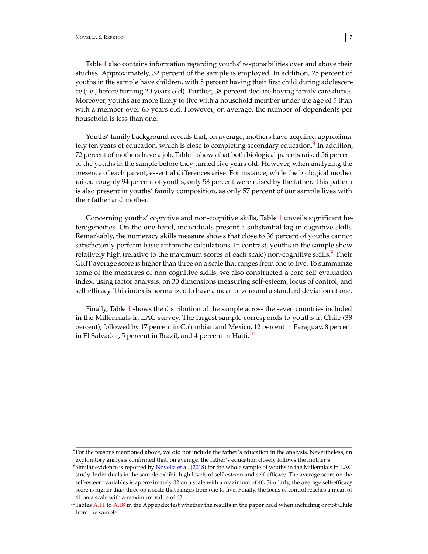Table [1](#page-8-0) also contains information regarding youths' responsibilities over and above their studies. Approximately, 32 percent of the sample is employed. In addition, 25 percent of youths in the sample have children, with 8 percent having their first child during adolescence (i.e., before turning 20 years old). Further, 38 percent declare having family care duties. Moreover, youths are more likely to live with a household member under the age of 5 than with a member over 65 years old. However, on average, the number of dependents per household is less than one.

Youths' family background reveals that, on average, mothers have acquired approxima-tely ten years of education, which is close to completing secondary education.<sup>[8](#page-7-0)</sup> In addition, 72 percent of mothers have a job. Table [1](#page-8-0) shows that both biological parents raised 56 percent of the youths in the sample before they turned five years old. However, when analyzing the presence of each parent, essential differences arise. For instance, while the biological mother raised roughly 94 percent of youths, only 58 percent were raised by the father. This pattern is also present in youths' family composition, as only 57 percent of our sample lives with their father and mother.

Concerning youths' cognitive and non-cognitive skills, Table [1](#page-8-0) unveils significant heterogeneities. On the one hand, individuals present a substantial lag in cognitive skills. Remarkably, the numeracy skills measure shows that close to 36 percent of youths cannot satisfactorily perform basic arithmetic calculations. In contrast, youths in the sample show relatively high (relative to the maximum scores of each scale) non-cognitive skills.<sup>[9](#page-7-1)</sup> Their GRIT average score is higher than three on a scale that ranges from one to five. To summarize some of the measures of non-cognitive skills, we also constructed a core self-evaluation index, using factor analysis, on 30 dimensions measuring self-esteem, locus of control, and self-efficacy. This index is normalized to have a mean of zero and a standard deviation of one.

Finally, Table [1](#page-8-0) shows the distribution of the sample across the seven countries included in the Millennials in LAC survey. The largest sample corresponds to youths in Chile (38 percent), followed by 17 percent in Colombian and Mexico, 12 percent in Paraguay, 8 percent in El Salvador, 5 percent in Brazil, and 4 percent in Haiti.<sup>[10](#page-7-2)</sup>

<span id="page-7-0"></span> $8$ For the reasons mentioned above, we did not include the father's education in the analysis. Nevertheless, an exploratory analysis confirmed that, on average, the father's education closely follows the mother's.

<span id="page-7-1"></span><sup>&</sup>lt;sup>9</sup>Similar evidence is reported by [Novella et al.](#page-24-7) [\(2018\)](#page-24-7) for the whole sample of youths in the Millennials in LAC study. Individuals in the sample exhibit high levels of self-esteem and self-efficacy. The average score on the self-esteem variables is approximately 32 on a scale with a maximum of 40. Similarly, the average self-efficacy score is higher than three on a scale that ranges from one to five. Finally, the locus of control reaches a mean of 41 on a scale with a maximum value of 63.

<span id="page-7-2"></span> $10$ Tables [A.11](#page-38-0) to [A.18](#page-45-0) in the Appendix test whether the results in the paper hold when including or not Chile from the sample.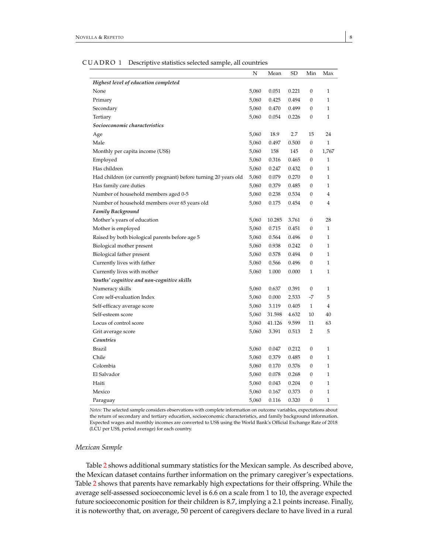<span id="page-8-0"></span>

|                                                                  | N     | Mean   | SD    | Min              | Max          |
|------------------------------------------------------------------|-------|--------|-------|------------------|--------------|
| Highest level of education completed                             |       |        |       |                  |              |
| None                                                             | 5,060 | 0.051  | 0.221 | $\mathbf{0}$     | 1            |
| Primary                                                          | 5,060 | 0.425  | 0.494 | 0                | 1            |
| Secondary                                                        | 5,060 | 0.470  | 0.499 | $\mathbf{0}$     | $\mathbf{1}$ |
| Tertiary                                                         | 5,060 | 0.054  | 0.226 | $\Omega$         | 1            |
| Socioeconomic characteristics                                    |       |        |       |                  |              |
| Age                                                              | 5,060 | 18.9   | 2.7   | 15               | 24           |
| Male                                                             | 5,060 | 0.497  | 0.500 | $\boldsymbol{0}$ | $\mathbf{1}$ |
| Monthly per capita income (US\$)                                 | 5,060 | 158    | 145   | 0                | 1,767        |
| Employed                                                         | 5,060 | 0.316  | 0.465 | $\theta$         | 1            |
| Has children                                                     | 5,060 | 0.247  | 0.432 | $\mathbf{0}$     | 1            |
| Had children (or currently pregnant) before turning 20 years old | 5,060 | 0.079  | 0.270 | $\mathbf{0}$     | 1            |
| Has family care duties                                           | 5,060 | 0.379  | 0.485 | $\mathbf{0}$     | 1            |
| Number of household members aged 0-5                             | 5,060 | 0.238  | 0.534 | $\mathbf{0}$     | 4            |
| Number of household members over 65 years old                    | 5,060 | 0.175  | 0.454 | 0                | 4            |
| <b>Family Background</b>                                         |       |        |       |                  |              |
| Mother's years of education                                      | 5,060 | 10.285 | 3.761 | 0                | 28           |
| Mother is employed                                               | 5,060 | 0.715  | 0.451 | 0                | 1            |
| Raised by both biological parents before age 5                   | 5,060 | 0.564  | 0.496 | $\mathbf{0}$     | $\mathbf{1}$ |
| Biological mother present                                        | 5,060 | 0.938  | 0.242 | $\Omega$         | 1            |
| Biological father present                                        | 5,060 | 0.578  | 0.494 | $\mathbf{0}$     | 1            |
| Currently lives with father                                      | 5,060 | 0.566  | 0.496 | $\mathbf{0}$     | 1            |
| Currently lives with mother                                      | 5,060 | 1.000  | 0.000 | $\mathbf{1}$     | 1            |
| Youths' cognitive and non-cognitive skills                       |       |        |       |                  |              |
| Numeracy skills                                                  | 5,060 | 0.637  | 0.391 | $\mathbf{0}$     | 1            |
| Core self-evaluation Index                                       | 5,060 | 0.000  | 2.533 | $-7$             | 5            |
| Self-efficacy average score                                      | 5,060 | 3.119  | 0.405 | 1                | 4            |
| Self-esteem score                                                | 5,060 | 31.598 | 4.632 | 10               | 40           |
| Locus of control score                                           | 5,060 | 41.126 | 9.599 | 11               | 63           |
| Grit average score                                               | 5,060 | 3.391  | 0.513 | $\overline{2}$   | 5            |
| Countries                                                        |       |        |       |                  |              |
| <b>Brazil</b>                                                    | 5,060 | 0.047  | 0.212 | $\mathbf{0}$     | 1            |
| Chile                                                            | 5,060 | 0.379  | 0.485 | 0                | 1            |
| Colombia                                                         | 5,060 | 0.170  | 0.376 | 0                | 1            |
| El Salvador                                                      | 5,060 | 0.078  | 0.268 | $\mathbf{0}$     | 1            |
| Haiti                                                            | 5,060 | 0.043  | 0.204 | 0                | 1            |
| Mexico                                                           | 5,060 | 0.167  | 0.373 | $\theta$         | 1            |
| Paraguay                                                         | 5,060 | 0.116  | 0.320 | $\mathbf{0}$     | 1            |

CUADRO 1 Descriptive statistics selected sample, all countries

*Notes:* The selected sample considers observations with complete information on outcome variables, expectations about the return of secondary and tertiary education, socioeconomic characteristics, and family background information. Expected wages and monthly incomes are converted to US\$ using the World Bank's Official Exchange Rate of 2018 (LCU per US\$, period average) for each country.

#### *Mexican Sample*

Table [2](#page-9-0) shows additional summary statistics for the Mexican sample. As described above, the Mexican dataset contains further information on the primary caregiver's expectations. Table [2](#page-9-0) shows that parents have remarkably high expectations for their offspring. While the average self-assessed socioeconomic level is 6.6 on a scale from 1 to 10, the average expected future socioeconomic position for their children is 8.7, implying a 2.1 points increase. Finally, it is noteworthy that, on average, 50 percent of caregivers declare to have lived in a rural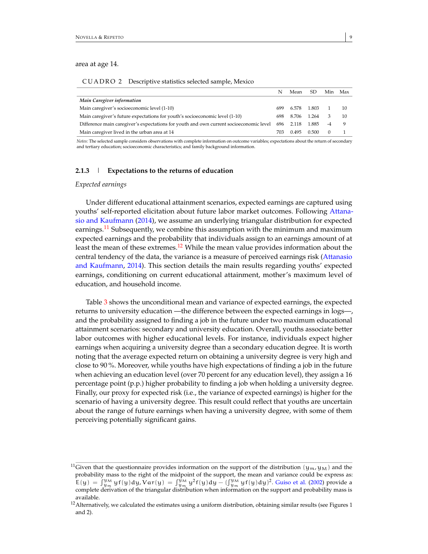area at age 14.

|  | CUADRO 2 Descriptive statistics selected sample, Mexico |  |
|--|---------------------------------------------------------|--|
|--|---------------------------------------------------------|--|

<span id="page-9-0"></span>

|                                                                                        |      | Mean  | SD    | Min | Max |
|----------------------------------------------------------------------------------------|------|-------|-------|-----|-----|
| Main Caregiver information                                                             |      |       |       |     |     |
| Main caregiver's socioeconomic level (1-10)                                            | 699  | 6.578 | 1.803 |     | 10  |
| Main caregiver's future expectations for youth's socioeconomic level (1-10)            | 698. | 8.706 | 1 264 | З   | 10  |
| Difference main caregiver's expectations for youth and own current socioeconomic level | 696  | 2.118 | 1.885 |     | q   |
| Main caregiver lived in the urban area at 14                                           | 703. | 0.495 | 0.500 |     |     |

*Notes:* The selected sample considers observations with complete information on outcome variables; expectations about the return of secondary and tertiary education; socioeconomic characteristics; and family background information.

#### **2.1.3** | **Expectations to the returns of education**

## *Expected earnings*

Under different educational attainment scenarios, expected earnings are captured using youths' self-reported elicitation about future labor market outcomes. Following [Attana](#page-23-4)[sio and Kaufmann](#page-23-4) [\(2014\)](#page-23-4), we assume an underlying triangular distribution for expected earnings.<sup>[11](#page-9-1)</sup> Subsequently, we combine this assumption with the minimum and maximum expected earnings and the probability that individuals assign to an earnings amount of at least the mean of these extremes.<sup>[12](#page-9-2)</sup> While the mean value provides information about the central tendency of the data, the variance is a measure of perceived earnings risk [\(Attanasio](#page-23-4) [and Kaufmann,](#page-23-4) [2014\)](#page-23-4). This section details the main results regarding youths' expected earnings, conditioning on current educational attainment, mother's maximum level of education, and household income.

Table [3](#page-10-0) shows the unconditional mean and variance of expected earnings, the expected returns to university education —the difference between the expected earnings in logs—, and the probability assigned to finding a job in the future under two maximum educational attainment scenarios: secondary and university education. Overall, youths associate better labor outcomes with higher educational levels. For instance, individuals expect higher earnings when acquiring a university degree than a secondary education degree. It is worth noting that the average expected return on obtaining a university degree is very high and close to 90 %. Moreover, while youths have high expectations of finding a job in the future when achieving an education level (over 70 percent for any education level), they assign a 16 percentage point (p.p.) higher probability to finding a job when holding a university degree. Finally, our proxy for expected risk (i.e., the variance of expected earnings) is higher for the scenario of having a university degree. This result could reflect that youths are uncertain about the range of future earnings when having a university degree, with some of them perceiving potentially significant gains.

<span id="page-9-1"></span><sup>&</sup>lt;sup>11</sup>Given that the questionnaire provides information on the support of the distribution ( $y_m$ ,  $y_M$ ) and the probability mass to the right of the midpoint of the support, the mean and variance could be express as:  $E(y) = \int_{y_m}^{y_M} y f(y) dy, Var(y) = \int_{y_m}^{y_M} y^2 f(y) dy - (\int_{y_m}^{y_M} y f(y) dy)^2$ . [Guiso et al.](#page-23-16) [\(2002\)](#page-23-16) provide a complete derivation of the triangular distribution when information on the support and probability mass is available.

<span id="page-9-2"></span> $12$  Alternatively, we calculated the estimates using a uniform distribution, obtaining similar results (see Figures 1 and 2).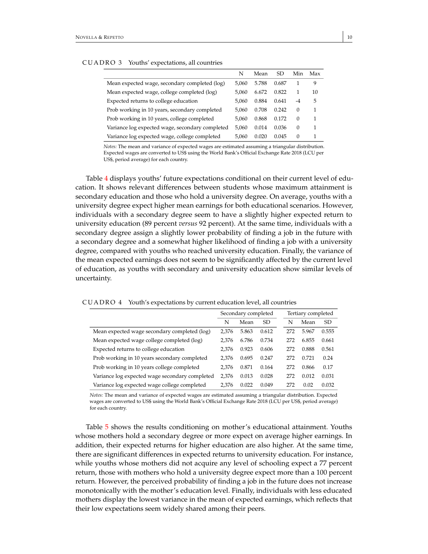<span id="page-10-0"></span>

|                                                 | N     | Mean  | SD    | Min      | Max |
|-------------------------------------------------|-------|-------|-------|----------|-----|
| Mean expected wage, secondary completed (log)   | 5.060 | 5.788 | 0.687 |          | 9   |
| Mean expected wage, college completed (log)     | 5.060 | 6.672 | 0.822 |          | 10  |
| Expected returns to college education           | 5.060 | 0.884 | 0.641 | $-4$     | 5   |
| Prob working in 10 years, secondary completed   | 5.060 | 0.708 | 0.242 | $\Omega$ | 1   |
| Prob working in 10 years, college completed     | 5.060 | 0.868 | 0.172 | $\Omega$ | 1   |
| Variance log expected wage, secondary completed | 5.060 | 0.014 | 0.036 | $\Omega$ | 1   |
| Variance log expected wage, college completed   | 5.060 | 0.020 | 0.045 | $\Omega$ |     |

#### CUADRO 3 Youths' expectations, all countries

*Notes:* The mean and variance of expected wages are estimated assuming a triangular distribution. Expected wages are converted to US\$ using the World Bank's Official Exchange Rate 2018 (LCU per

US\$, period average) for each country.

Table [4](#page-10-1) displays youths' future expectations conditional on their current level of education. It shows relevant differences between students whose maximum attainment is secondary education and those who hold a university degree. On average, youths with a university degree expect higher mean earnings for both educational scenarios. However, individuals with a secondary degree seem to have a slightly higher expected return to university education (89 percent *versus* 92 percent). At the same time, individuals with a secondary degree assign a slightly lower probability of finding a job in the future with a secondary degree and a somewhat higher likelihood of finding a job with a university degree, compared with youths who reached university education. Finally, the variance of the mean expected earnings does not seem to be significantly affected by the current level of education, as youths with secondary and university education show similar levels of uncertainty.

CUADRO 4 Youth's expectations by current education level, all countries

<span id="page-10-1"></span>

|                                                |       | Secondary completed |           |     | Tertiary completed |           |
|------------------------------------------------|-------|---------------------|-----------|-----|--------------------|-----------|
|                                                | N     | Mean                | <b>SD</b> | N   | Mean               | <b>SD</b> |
| Mean expected wage secondary completed (log)   | 2.376 | 5.863               | 0.612     | 272 | 5.967              | 0.555     |
| Mean expected wage college completed (log)     | 2,376 | 6.786               | 0.734     | 272 | 6.855              | 0.661     |
| Expected returns to college education          |       | 0.923               | 0.606     | 272 | 0.888              | 0.561     |
| Prob working in 10 years secondary completed   | 2.376 | 0.695               | 0.247     | 272 | 0.721              | 0.24      |
| Prob working in 10 years college completed     | 2.376 | 0.871               | 0.164     | 272 | 0.866              | 0.17      |
| Variance log expected wage secondary completed | 2.376 | 0.013               | 0.028     | 272 | 0.012              | 0.031     |
| Variance log expected wage college completed   |       | 0.022               | 0.049     | 272 | 0.02               | 0.032     |

*Notes:* The mean and variance of expected wages are estimated assuming a triangular distribution. Expected wages are converted to US\$ using the World Bank's Official Exchange Rate 2018 (LCU per US\$, period average) for each country.

Table [5](#page-11-0) shows the results conditioning on mother's educational attainment. Youths whose mothers hold a secondary degree or more expect on average higher earnings. In addition, their expected returns for higher education are also higher. At the same time, there are significant differences in expected returns to university education. For instance, while youths whose mothers did not acquire any level of schooling expect a 77 percent return, those with mothers who hold a university degree expect more than a 100 percent return. However, the perceived probability of finding a job in the future does not increase monotonically with the mother's education level. Finally, individuals with less educated mothers display the lowest variance in the mean of expected earnings, which reflects that their low expectations seem widely shared among their peers.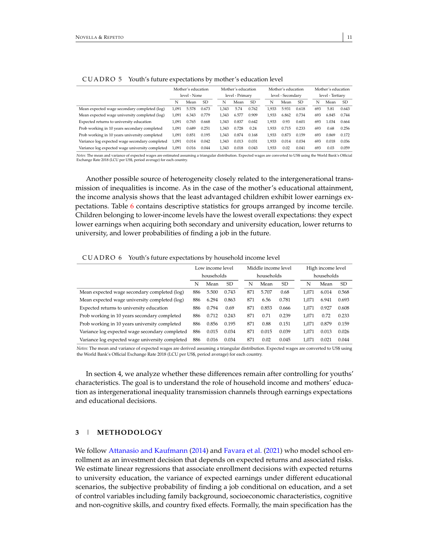<span id="page-11-0"></span>

|                                                 | Mother's education |       |               | Mother's education |       |               | Mother's education |       | Mother's education |                  |       |       |
|-------------------------------------------------|--------------------|-------|---------------|--------------------|-------|---------------|--------------------|-------|--------------------|------------------|-------|-------|
|                                                 | level - None       |       |               | level - Primary    |       |               | level - Secondary  |       |                    | level - Tertiary |       |       |
|                                                 | N                  | Mean  | <sub>SD</sub> | N                  | Mean  | <sub>SD</sub> | N                  | Mean  | <b>SD</b>          | N                | Mean  | SD.   |
| Mean expected wage secondary completed (log)    | 1.091              | 5.578 | 0.673         | 1.343              | 5.74  | 0.762         | 1,933              | 5.931 | 0.618              | 693              | 5.81  | 0.643 |
| Mean expected wage university completed (log)   | 1.091              | 6.343 | 0.779         | 1.343              | 6.577 | 0.909         | 1.933              | 6.862 | 0.734              | 693              | 6.845 | 0.744 |
| Expected returns to university education        | 1.091              | 0.765 | 0.668         | 1.343              | 0.837 | 0.642         | 1.933              | 0.93  | 0.601              | 693              | 1.034 | 0.664 |
| Prob working in 10 years secondary completed    | 1.091              | 0.689 | 0.251         | 1.343              | 0.728 | 0.24          | 1.933              | 0.715 | 0.233              | 693              | 0.68  | 0.256 |
| Prob working in 10 years university completed   | 1,091              | 0.851 | 0.195         | 1.343              | 0.874 | 0.168         | 1.933              | 0.873 | 0.159              | 693              | 0.869 | 0.172 |
| Variance log expected wage secondary completed  | 1.091              | 0.014 | 0.042         | 1.343              | 0.013 | 0.031         | 1.933              | 0.014 | 0.034              | 693              | 0.018 | 0.036 |
| Variance log expected wage university completed | 1,091              | 0.016 | 0.044         | 1.343              | 0.018 | 0.043         | 1.933              | 0.02  | 0.041              | 693              | 0.03  | 0.059 |

| CUADRO 5 Youth's future expectations by mother's education level |  |
|------------------------------------------------------------------|--|
|                                                                  |  |

*Notes:* The mean and variance of expected wages are estimated assuming a triangular distribution. Expected wages are converted to US\$ using the World Bank's Official Exchange Rate 2018 (LCU per US\$, period average) for each country.

Another possible source of heterogeneity closely related to the intergenerational transmission of inequalities is income. As in the case of the mother's educational attainment, the income analysis shows that the least advantaged children exhibit lower earnings expectations. Table [6](#page-11-1) contains descriptive statistics for groups arranged by income tercile. Children belonging to lower-income levels have the lowest overall expectations: they expect lower earnings when acquiring both secondary and university education, lower returns to university, and lower probabilities of finding a job in the future.

CUADRO 6 Youth's future expectations by household income level

<span id="page-11-1"></span>

|                                                 | Low income level |            |       |            | Middle income level    |       | High income level |       |       |       |
|-------------------------------------------------|------------------|------------|-------|------------|------------------------|-------|-------------------|-------|-------|-------|
|                                                 |                  | households |       | households |                        |       | households        |       |       |       |
|                                                 | N                | Mean       | SD.   |            | <b>SD</b><br>N<br>Mean |       | N                 | Mean  | SD.   |       |
| Mean expected wage secondary completed (log)    | 886              | 5.500      | 0.743 |            | 871                    | 5.707 | 0.68              | 1.071 | 6.014 | 0.568 |
| Mean expected wage university completed (log)   | 886              | 6.294      | 0.863 |            | 871                    | 6.56  | 0.781             | 1.071 | 6.941 | 0.693 |
| Expected returns to university education        | 886              | 0.794      | 0.69  |            | 871                    | 0.853 | 0.666             | 1.071 | 0.927 | 0.608 |
| Prob working in 10 years secondary completed    | 886              | 0.712      | 0.243 |            | 871                    | 0.71  | 0.239             | 1.071 | 0.72  | 0.233 |
| Prob working in 10 years university completed   | 886              | 0.856      | 0.195 |            | 871                    | 0.88  | 0.151             | 1.071 | 0.879 | 0.159 |
| Variance log expected wage secondary completed  | 886              | 0.015      | 0.034 |            | 871                    | 0.015 | 0.039             | 1.071 | 0.013 | 0.026 |
| Variance log expected wage university completed | 886              | 0.016      | 0.034 |            | 871                    | 0.02  | 0.045             | 1.071 | 0.021 | 0.044 |

*Notes:* The mean and variance of expected wages are derived assuming a triangular distribution. Expected wages are converted to US\$ using the World Bank's Official Exchange Rate 2018 (LCU per US\$, period average) for each country.

In section 4, we analyze whether these differences remain after controlling for youths' characteristics. The goal is to understand the role of household income and mothers' education as intergenerational inequality transmission channels through earnings expectations and educational decisions.

# **3** | **METHODOLOGY**

We follow [Attanasio and Kaufmann](#page-23-4) [\(2014\)](#page-23-4) and [Favara et al.](#page-23-12) [\(2021\)](#page-23-12) who model school enrollment as an investment decision that depends on expected returns and associated risks. We estimate linear regressions that associate enrollment decisions with expected returns to university education, the variance of expected earnings under different educational scenarios, the subjective probability of finding a job conditional on education, and a set of control variables including family background, socioeconomic characteristics, cognitive and non-cognitive skills, and country fixed effects. Formally, the main specification has the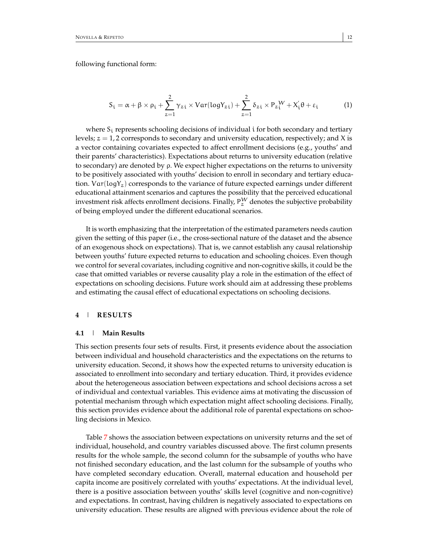following functional form:

$$
S_{i} = \alpha + \beta \times \rho_{i} + \sum_{z=1}^{2} \gamma_{zi} \times Var(logY_{zi}) + \sum_{z=1}^{2} \delta_{zi} \times P_{z}^{W} + X_{i}^{'}\theta + \varepsilon_{i}
$$
 (1)

where  $S_i$  represents schooling decisions of individual i for both secondary and tertiary levels;  $z = 1$ , 2 corresponds to secondary and university education, respectively; and X is a vector containing covariates expected to affect enrollment decisions (e.g., youths' and their parents' characteristics). Expectations about returns to university education (relative to secondary) are denoted by ρ. We expect higher expectations on the returns to university to be positively associated with youths' decision to enroll in secondary and tertiary education.  $Var(logY_z)$  corresponds to the variance of future expected earnings under different educational attainment scenarios and captures the possibility that the perceived educational investment risk affects enrollment decisions. Finally,  $P_{\gamma}^{W}$  denotes the subjective probability of being employed under the different educational scenarios.

It is worth emphasizing that the interpretation of the estimated parameters needs caution given the setting of this paper (i.e., the cross-sectional nature of the dataset and the absence of an exogenous shock on expectations). That is, we cannot establish any causal relationship between youths' future expected returns to education and schooling choices. Even though we control for several covariates, including cognitive and non-cognitive skills, it could be the case that omitted variables or reverse causality play a role in the estimation of the effect of expectations on schooling decisions. Future work should aim at addressing these problems and estimating the causal effect of educational expectations on schooling decisions.

#### **4** | **RESULTS**

#### **4.1** | **Main Results**

This section presents four sets of results. First, it presents evidence about the association between individual and household characteristics and the expectations on the returns to university education. Second, it shows how the expected returns to university education is associated to enrollment into secondary and tertiary education. Third, it provides evidence about the heterogeneous association between expectations and school decisions across a set of individual and contextual variables. This evidence aims at motivating the discussion of potential mechanism through which expectation might affect schooling decisions. Finally, this section provides evidence about the additional role of parental expectations on schooling decisions in Mexico.

Table [7](#page-13-0) shows the association between expectations on university returns and the set of individual, household, and country variables discussed above. The first column presents results for the whole sample, the second column for the subsample of youths who have not finished secondary education, and the last column for the subsample of youths who have completed secondary education. Overall, maternal education and household per capita income are positively correlated with youths' expectations. At the individual level, there is a positive association between youths' skills level (cognitive and non-cognitive) and expectations. In contrast, having children is negatively associated to expectations on university education. These results are aligned with previous evidence about the role of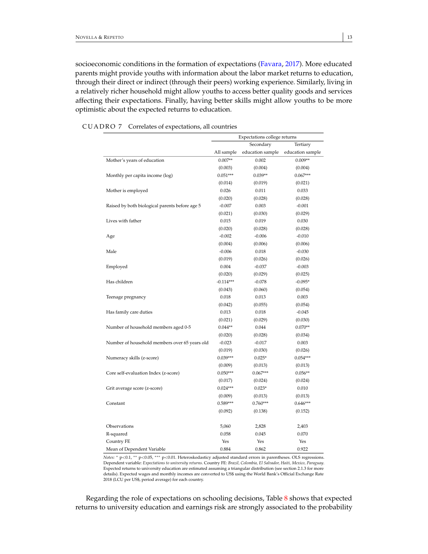socioeconomic conditions in the formation of expectations [\(Favara,](#page-23-13) [2017\)](#page-23-13). More educated parents might provide youths with information about the labor market returns to education, through their direct or indirect (through their peers) working experience. Similarly, living in a relatively richer household might allow youths to access better quality goods and services affecting their expectations. Finally, having better skills might allow youths to be more optimistic about the expected returns to education.

<span id="page-13-0"></span>

|                                                | Expectations college returns |                  |                  |  |  |  |
|------------------------------------------------|------------------------------|------------------|------------------|--|--|--|
|                                                |                              | Secondary        | Tertiary         |  |  |  |
|                                                | All sample                   | education sample | education sample |  |  |  |
| Mother's years of education                    | $0.007**$                    | 0.002            | $0.009**$        |  |  |  |
|                                                | (0.003)                      | (0.004)          | (0.004)          |  |  |  |
| Monthly per capita income (log)                | $0.051***$                   | $0.039**$        | $0.067***$       |  |  |  |
|                                                | (0.014)                      | (0.019)          | (0.021)          |  |  |  |
| Mother is employed                             | 0.026                        | 0.011            | 0.033            |  |  |  |
|                                                | (0.020)                      | (0.028)          | (0.028)          |  |  |  |
| Raised by both biological parents before age 5 | $-0.007$                     | 0.003            | $-0.001$         |  |  |  |
|                                                | (0.021)                      | (0.030)          | (0.029)          |  |  |  |
| Lives with father                              | 0.015                        | 0.019            | 0.030            |  |  |  |
|                                                | (0.020)                      | (0.028)          | (0.028)          |  |  |  |
| Age                                            | $-0.002$                     | $-0.006$         | $-0.010$         |  |  |  |
|                                                | (0.004)                      | (0.006)          | (0.006)          |  |  |  |
| Male                                           | $-0.006$                     | 0.018            | $-0.030$         |  |  |  |
|                                                | (0.019)                      | (0.026)          | (0.026)          |  |  |  |
| Employed                                       | 0.004                        | $-0.037$         | $-0.003$         |  |  |  |
|                                                | (0.020)                      | (0.029)          | (0.025)          |  |  |  |
| Has children                                   | $-0.114***$                  | $-0.078$         | $-0.095*$        |  |  |  |
|                                                | (0.043)                      | (0.060)          | (0.054)          |  |  |  |
| Teenage pregnancy                              | 0.018                        | 0.013            | 0.003            |  |  |  |
|                                                | (0.042)                      | (0.055)          | (0.054)          |  |  |  |
| Has family care duties                         | 0.013                        | 0.018            | $-0.045$         |  |  |  |
|                                                | (0.021)                      | (0.029)          | (0.030)          |  |  |  |
| Number of household members aged 0-5           | $0.044**$                    | 0.044            | $0.070**$        |  |  |  |
|                                                | (0.020)                      | (0.028)          | (0.034)          |  |  |  |
| Number of household members over 65 years old  | $-0.023$                     | $-0.017$         | 0.003            |  |  |  |
|                                                | (0.019)                      | (0.030)          | (0.026)          |  |  |  |
| Numeracy skills (z-score)                      | $0.039***$                   | $0.025*$         | $0.054***$       |  |  |  |
|                                                | (0.009)                      | (0.013)          | (0.013)          |  |  |  |
| Core self-evaluation Index (z-score)           | $0.050***$                   | $0.067***$       | $0.056**$        |  |  |  |
|                                                | (0.017)                      | (0.024)          | (0.024)          |  |  |  |
| Grit average score (z-score)                   | $0.024***$                   | $0.023*$         | 0.010            |  |  |  |
|                                                | (0.009)                      | (0.013)          | (0.013)          |  |  |  |
| Constant                                       | $0.589***$                   | $0.760***$       | $0.646***$       |  |  |  |
|                                                | (0.092)                      | (0.138)          | (0.152)          |  |  |  |
| Observations                                   | 5,060                        | 2,828            | 2,403            |  |  |  |
| R-squared                                      | 0.058                        | 0.045            | 0.070            |  |  |  |
| Country FE                                     | Yes                          | Yes              | Yes              |  |  |  |
| Mean of Dependent Variable                     | 0.884                        | 0.862            | 0.922            |  |  |  |

| CUADRO 7 | Correlates of expectations, all countries |  |  |
|----------|-------------------------------------------|--|--|
|----------|-------------------------------------------|--|--|

*Notes:*  $*$  p<0.1,  $**$  p<0.05,  $***$  p<0.01. Heteroskedasticy adjusted standard errors in parentheses. OLS regressions. Dependent variable: *Expectations to university returns*. Country FE: *Brazil, Colombia, El Salvador, Haiti, Mexico, Paraguay*. Expected returns to university education are estimated assuming a triangular distribution (see section 2.1.3 for more details). Expected wages and monthly incomes are converted to US\$ using the World Bank's Official Exchange Rate 2018 (LCU per US\$, period average) for each country.

Regarding the role of expectations on schooling decisions, Table [8](#page-14-0) shows that expected returns to university education and earnings risk are strongly associated to the probability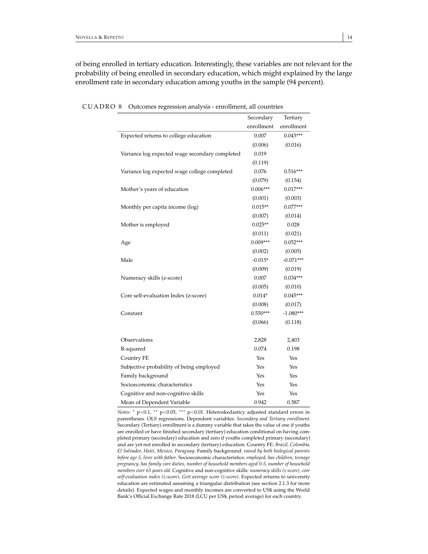of being enrolled in tertiary education. Interestingly, these variables are not relevant for the probability of being enrolled in secondary education, which might explained by the large enrollment rate in secondary education among youths in the sample (94 percent).

<span id="page-14-0"></span>

|                                                | Secondary      | Tertiary    |
|------------------------------------------------|----------------|-------------|
|                                                | enrollment     | enrollment  |
| Expected returns to college education          | 0.007          | $0.043***$  |
|                                                | (0.006)        | (0.016)     |
| Variance log expected wage secondary completed | 0.019          |             |
|                                                | (0.119)        |             |
| Variance log expected wage college completed   | 0.076          | $0.516***$  |
|                                                | (0.079)        | (0.154)     |
| Mother's years of education                    | $0.006***$     | $0.017***$  |
|                                                | (0.001)        | (0.003)     |
| Monthly per capita income (log)                | $0.015**$      | $0.077***$  |
|                                                | (0.007)        | (0.014)     |
| Mother is employed                             | $0.025**$      | 0.028       |
|                                                | (0.011)        | (0.021)     |
| Age                                            | $0.009***$     | $0.052***$  |
|                                                | (0.002)        | (0.005)     |
| Male                                           | $-0.015*$      | $-0.071***$ |
|                                                | (0.009)        | (0.019)     |
| Numeracy skills (z-score)                      | 0.007          | $0.034***$  |
|                                                | (0.005)        | (0.010)     |
| Core self-evaluation Index (z-score)           | $0.014^{\ast}$ | $0.045***$  |
|                                                | (0.008)        | (0.017)     |
| Constant                                       | $0.550***$     | $-1.080***$ |
|                                                | (0.066)        | (0.118)     |
| Observations                                   | 2,828          | 2,403       |
| R-squared                                      | 0.074          | 0.198       |
| Country FE                                     | Yes            | Yes         |
| Subjective probability of being employed       | Yes            | Yes         |
| Family background                              | Yes            | Yes         |
| Socioeconomic characteristics                  | Yes            | Yes         |
| Cognitive and non-cognitive skills             | Yes            | Yes         |
| Mean of Dependent Variable                     | 0.942          | 0.587       |

CUADRO 8 Outcomes regression analysis - enrollment, all countries

*Notes:* <sup>∗</sup> p<0.1, ∗∗ p<0.05, ∗∗∗ p<0.01. Heteroskedasticy adjusted standard errors in parentheses. OLS regressions. Dependent variables: *Secondary and Tertiary enrollment*. Secondary (Tertiary) enrollment is a dummy variable that takes the value of one if youths are enrolled or have finished secondary (tertiary) education conditional on having completed primary (secondary) education and zero if youths completed primary (secondary) and are yet not enrolled in secondary (tertiary) education. Country FE: *Brazil, Colombia, El Salvador, Haiti, Mexico, Paraguay*. Family background: *raised by both biological parents before age 5, lives with father*. Socioeconomic characteristics: *employed, has children, teenage pregnancy, has family care duties, number of household members aged 0-5, number of household members over 65 years old*. Cognitive and non-cognitive skills: *numeracy skills (z-score), core self-evaluation index (z-score), Grit average score (z-score)*. Expected returns to university education are estimated assuming a triangular distribution (see section 2.1.3 for more details). Expected wages and monthly incomes are converted to US\$ using the World Bank's Official Exchange Rate 2018 (LCU per US\$, period average) for each country.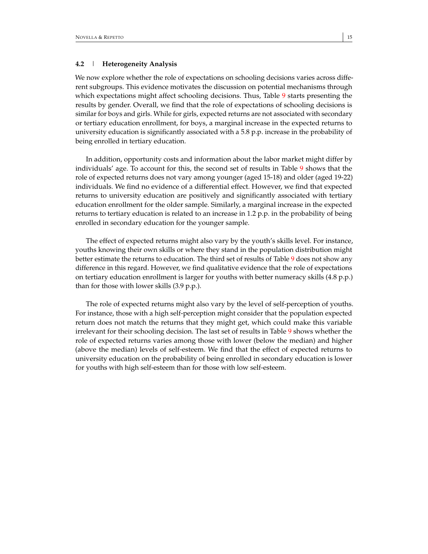# **4.2** | **Heterogeneity Analysis**

We now explore whether the role of expectations on schooling decisions varies across different subgroups. This evidence motivates the discussion on potential mechanisms through which expectations might affect schooling decisions. Thus, Table [9](#page-16-0) starts presenting the results by gender. Overall, we find that the role of expectations of schooling decisions is similar for boys and girls. While for girls, expected returns are not associated with secondary or tertiary education enrollment, for boys, a marginal increase in the expected returns to university education is significantly associated with a 5.8 p.p. increase in the probability of being enrolled in tertiary education.

In addition, opportunity costs and information about the labor market might differ by individuals' age. To account for this, the second set of results in Table [9](#page-16-0) shows that the role of expected returns does not vary among younger (aged 15-18) and older (aged 19-22) individuals. We find no evidence of a differential effect. However, we find that expected returns to university education are positively and significantly associated with tertiary education enrollment for the older sample. Similarly, a marginal increase in the expected returns to tertiary education is related to an increase in 1.2 p.p. in the probability of being enrolled in secondary education for the younger sample.

The effect of expected returns might also vary by the youth's skills level. For instance, youths knowing their own skills or where they stand in the population distribution might better estimate the returns to education. The third set of results of Table [9](#page-16-0) does not show any difference in this regard. However, we find qualitative evidence that the role of expectations on tertiary education enrollment is larger for youths with better numeracy skills (4.8 p.p.) than for those with lower skills (3.9 p.p.).

The role of expected returns might also vary by the level of self-perception of youths. For instance, those with a high self-perception might consider that the population expected return does not match the returns that they might get, which could make this variable irrelevant for their schooling decision. The last set of results in Table [9](#page-16-0) shows whether the role of expected returns varies among those with lower (below the median) and higher (above the median) levels of self-esteem. We find that the effect of expected returns to university education on the probability of being enrolled in secondary education is lower for youths with high self-esteem than for those with low self-esteem.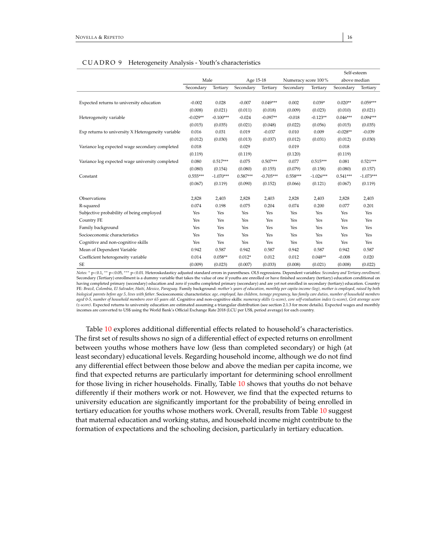<span id="page-16-0"></span>

|                                                    |            |             |            |             | Self-esteem         |             |              |             |
|----------------------------------------------------|------------|-------------|------------|-------------|---------------------|-------------|--------------|-------------|
|                                                    | Male       |             | Age 15-18  |             | Numeracy score 100% |             | above median |             |
|                                                    | Secondary  | Tertiary    | Secondary  | Tertiary    | Secondary           | Tertiary    | Secondary    | Tertiary    |
|                                                    |            |             |            |             |                     |             |              |             |
| Expected returns to university education           | $-0.002$   | 0.028       | $-0.007$   | $0.049***$  | 0.002               | $0.039*$    | $0.020**$    | $0.059***$  |
|                                                    | (0.008)    | (0.021)     | (0.011)    | (0.018)     | (0.009)             | (0.023)     | (0.010)      | (0.021)     |
| Heterogeneity variable                             | $-0.029**$ | $-0.100***$ | $-0.024$   | $-0.097**$  | $-0.018$            | $-0.123**$  | $0.046***$   | $0.094***$  |
|                                                    | (0.015)    | (0.035)     | (0.021)    | (0.048)     | (0.022)             | (0.056)     | (0.015)      | (0.035)     |
| Exp returns to university X Heterogeneity variable | 0.016      | 0.031       | 0.019      | $-0.037$    | 0.010               | 0.009       | $-0.028**$   | $-0.039$    |
|                                                    | (0.012)    | (0.030)     | (0.013)    | (0.037)     | (0.012)             | (0.031)     | (0.012)      | (0.030)     |
| Variance log expected wage secondary completed     | 0.018      |             | 0.029      |             | 0.019               |             | 0.018        |             |
|                                                    | (0.119)    |             | (0.119)    |             | (0.120)             |             | (0.119)      |             |
| Variance log expected wage university completed    | 0.080      | $0.517***$  | 0.075      | $0.507***$  | 0.077               | $0.515***$  | 0.081        | $0.521***$  |
|                                                    | (0.080)    | (0.154)     | (0.080)    | (0.155)     | (0.079)             | (0.158)     | (0.080)      | (0.157)     |
| Constant                                           | $0.555***$ | $-1.070***$ | $0.587***$ | $-0.705***$ | $0.558***$          | $-1.026***$ | $0.541***$   | $-1.073***$ |
|                                                    | (0.067)    | (0.119)     | (0.090)    | (0.152)     | (0.066)             | (0.121)     | (0.067)      | (0.119)     |
|                                                    |            |             |            |             |                     |             |              |             |
| Observations                                       | 2,828      | 2,403       | 2,828      | 2,403       | 2,828               | 2,403       | 2,828        | 2,403       |
| R-squared                                          | 0.074      | 0.198       | 0.075      | 0.204       | 0.074               | 0.200       | 0.077        | 0.201       |
| Subjective probability of being employed           | Yes        | Yes         | Yes        | Yes         | Yes                 | Yes         | Yes          | Yes         |
| Country FE                                         | Yes        | Yes         | Yes        | Yes         | Yes                 | Yes         | Yes          | Yes         |
| Family background                                  | Yes        | Yes         | Yes        | Yes         | Yes                 | Yes         | Yes          | Yes         |
| Socioeconomic characteristics                      | Yes        | Yes         | Yes        | Yes         | Yes                 | Yes         | Yes          | Yes         |
| Cognitive and non-cognitive skills                 | Yes        | Yes         | Yes        | Yes         | Yes                 | Yes         | Yes          | Yes         |
| Mean of Dependent Variable                         | 0.942      | 0.587       | 0.942      | 0.587       | 0.942               | 0.587       | 0.942        | 0.587       |
| Coefficient heterogeneity variable                 | 0.014      | $0.058**$   | $0.012*$   | 0.012       | 0.012               | $0.048**$   | $-0.008$     | 0.020       |
| SE                                                 | (0.009)    | (0.023)     | (0.007)    | (0.033)     | (0.008)             | (0.021)     | (0.008)      | (0.022)     |

# CUADRO 9 Heterogeneity Analysis - Youth's characteristics

*Notes:* <sup>∗</sup> <sup>p</sup><0.1, ∗∗ <sup>p</sup><0.05, ∗∗∗ <sup>p</sup><sup>&</sup>lt;0.01. Heteroskedasticy adjusted standard errors in parentheses. OLS regressions. Dependent variables: *Secondary and Tertiary enrollment*. Secondary (Tertiary) enrollment is a dummy variable that takes the value of one if youths are enrolled or have finished secondary (tertiary) education conditional on having completed primary (secondary) education and zero if youths completed primary (secondary) and are yet not enrolled in secondary (tertiary) education. Country FE: *Brazil, Colombia, El Salvador, Haiti, Mexico, Paraguay*. Family background: *mother's years of education, monthly per capita income (log), mother is employed, raised by both biological parents before age 5, lives with father*. Socioeconomic characteristics: *age, employed, has children, teenage pregnancy, has family care duties, number of household members aged 0-5, number of household members over 65 years old*. Cognitive and non-cognitive skills: *numeracy skills (z-score), core self-evaluation index (z-score), Grit average score (z-score)*. Expected returns to university education are estimated assuming a triangular distribution (see section 2.1.3 for more details). Expected wages and monthly incomes are converted to US\$ using the World Bank's Official Exchange Rate 2018 (LCU per US\$, period average) for each country.

Table [10](#page-17-0) explores additional differential effects related to household's characteristics. The first set of results shows no sign of a differential effect of expected returns on enrollment between youths whose mothers have low (less than completed secondary) or high (at least secondary) educational levels. Regarding household income, although we do not find any differential effect between those below and above the median per capita income, we find that expected returns are particularly important for determining school enrollment for those living in richer households. Finally, Table [10](#page-17-0) shows that youths do not behave differently if their mothers work or not. However, we find that the expected returns to university education are significantly important for the probability of being enrolled in tertiary education for youths whose mothers work. Overall, results from Table [10](#page-17-0) suggest that maternal education and working status, and household income might contribute to the formation of expectations and the schooling decision, particularly in tertiary education.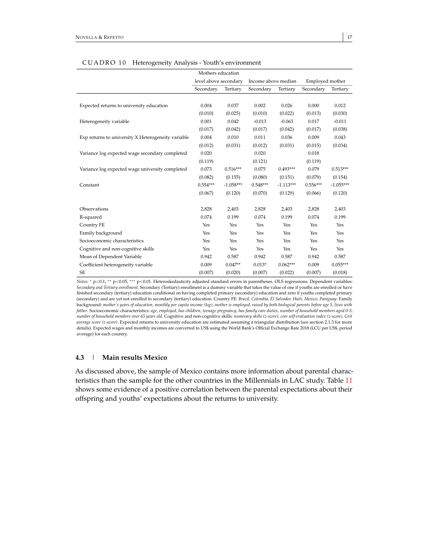<span id="page-17-0"></span>

|                                                    | Mothers education     |             |                     |             |                 |             |
|----------------------------------------------------|-----------------------|-------------|---------------------|-------------|-----------------|-------------|
|                                                    | level above secondary |             | Income above median |             | Employed mother |             |
|                                                    | Secondary             | Tertiary    | Secondary           | Tertiary    | Secondary       | Tertiary    |
|                                                    |                       |             |                     |             |                 |             |
| Expected returns to university education           | 0.004                 | 0.037       | 0.002               | 0.026       | 0.000           | 0.012       |
|                                                    | (0.010)               | (0.025)     | (0.010)             | (0.022)     | (0.013)         | (0.030)     |
| Heterogeneity variable                             | 0.001                 | 0.042       | $-0.013$            | $-0.063$    | 0.017           | $-0.011$    |
|                                                    | (0.017)               | (0.042)     | (0.017)             | (0.042)     | (0.017)         | (0.038)     |
| Exp returns to university X Heterogeneity variable | 0.004                 | 0.010       | 0.011               | 0.036       | 0.009           | 0.043       |
|                                                    | (0.012)               | (0.031)     | (0.012)             | (0.031)     | (0.015)         | (0.034)     |
| Variance log expected wage secondary completed     | 0.020                 |             | 0.020               |             | 0.018           |             |
|                                                    | (0.119)               |             | (0.121)             |             | (0.119)         |             |
| Variance log expected wage university completed    | 0.073                 | $0.516***$  | 0.075               | $0.493***$  | 0.079           | $0.513***$  |
|                                                    | (0.082)               | (0.155)     | (0.080)             | (0.151)     | (0.079)         | (0.154)     |
| Constant                                           | $0.554***$            | $-1.058***$ | $0.548***$          | $-1.113***$ | $0.556***$      | $-1.055***$ |
|                                                    | (0.067)               | (0.120)     | (0.070)             | (0.129)     | (0.066)         | (0.120)     |
|                                                    |                       |             |                     |             |                 |             |
| Observations                                       | 2,828                 | 2,403       | 2,828               | 2,403       | 2,828           | 2,403       |
| R-squared                                          | 0.074                 | 0.199       | 0.074               | 0.199       | 0.074           | 0.199       |
| Country FE                                         | Yes                   | Yes         | Yes                 | Yes         | Yes             | Yes         |
| Family background                                  | Yes                   | Yes         | Yes                 | Yes         | Yes             | Yes         |
| Socioeconomic characteristics                      | Yes                   | Yes         | Yes                 | Yes         | Yes             | Yes         |
| Cognitive and non-cognitive skills                 | Yes                   | Yes         | Yes                 | Yes         | Yes             | Yes         |
| Mean of Dependent Variable                         | 0.942                 | 0.587       | 0.942               | 0.587       | 0.942           | 0.587       |
| Coefficient heterogeneity variable                 | 0.009                 | $0.047**$   | $0.013*$            | $0.062***$  | 0.009           | $0.055***$  |
| SE                                                 | (0.007)               | (0.020)     | (0.007)             | (0.022)     | (0.007)         | (0.018)     |

#### CUADRO 10 Heterogeneity Analysis - Youth's environment

*Notes:* <sup>∗</sup> p<0.1, ∗∗ p<0.05, ∗∗∗ p<0.01. Heteroskedasticity adjusted standard errors in parentheses. OLS regressions. Dependent variables: *Secondary and Tertiary enrollment*. Secondary (Tertiary) enrollment is a dummy variable that takes the value of one if youths are enrolled or have finished secondary (tertiary) education conditional on having completed primary (secondary) education and zero if youths completed primary (secondary) and are yet not enrolled in secondary (tertiary) education. Country FE: *Brazil, Colombia, El Salvador, Haiti, Mexico, Paraguay*. Family background: *mother's years of education, monthly per capita income (log), mother is employed, raised by both biological parents before age 5, lives with father*. Socioeconomic characteristics: *age, employed, has children, teenage pregnancy, has family care duties, number of household members aged 0-5, number of household members over 65 years old*. Cognitive and non-cognitive skills: *numeracy skills (z-score), core self-evaluation index (z-score), Grit average score (z-score)*. Expected returns to university education are estimated assuming a triangular distribution (see section 2.1.3 for more details). Expected wages and monthly incomes are converted to US\$ using the World Bank's Official Exchange Rate 2018 (LCU per US\$, period average) for each country.

# **4.3** | **Main results Mexico**

As discussed above, the sample of Mexico contains more information about parental characteristics than the sample for the other countries in the Millennials in LAC study. Table [11](#page-18-0) shows some evidence of a positive correlation between the parental expectations about their offspring and youths' expectations about the returns to university.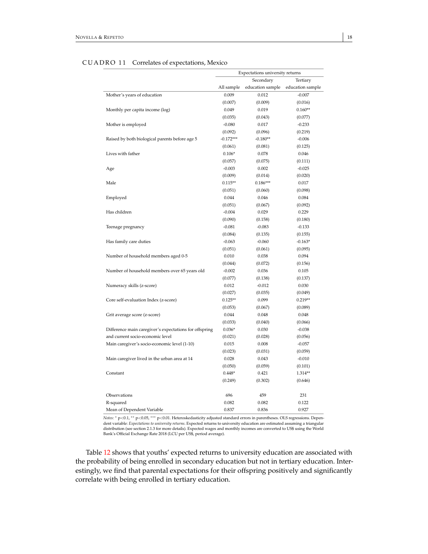<span id="page-18-0"></span>

|                                                        | Expectations university returns |                  |                      |  |  |
|--------------------------------------------------------|---------------------------------|------------------|----------------------|--|--|
|                                                        |                                 | Secondary        | Tertiary             |  |  |
|                                                        | All sample                      | education sample | education sample     |  |  |
| Mother's years of education                            | 0.009                           | 0.012            | $-0.007$             |  |  |
|                                                        | (0.007)                         | (0.009)          | (0.016)              |  |  |
| Monthly per capita income (log)                        | 0.049                           | 0.019            | $0.160**$            |  |  |
|                                                        | (0.035)                         | (0.043)          | (0.077)              |  |  |
| Mother is employed                                     | $-0.080$                        | 0.017            | $-0.233$             |  |  |
|                                                        | (0.092)                         | (0.096)          | (0.219)              |  |  |
| Raised by both biological parents before age 5         | $-0.172***$                     | $-0.180**$       | $-0.006$             |  |  |
|                                                        | (0.061)                         | (0.081)          | (0.125)              |  |  |
| Lives with father                                      | $0.106*$                        | 0.078            | 0.046                |  |  |
|                                                        | (0.057)                         | (0.075)          | (0.111)              |  |  |
| Age                                                    | $-0.003$                        | 0.002            | $-0.025$             |  |  |
|                                                        | (0.009)                         | (0.014)          | (0.020)              |  |  |
| Male                                                   | $0.115**$                       | $0.186***$       | 0.017                |  |  |
|                                                        | (0.051)                         | (0.060)          | (0.098)              |  |  |
| Employed                                               | 0.044                           | 0.046            | 0.084                |  |  |
|                                                        | (0.051)                         | (0.067)          | (0.092)              |  |  |
| Has children                                           | $-0.004$                        | 0.029            | 0.229                |  |  |
|                                                        | (0.090)                         | (0.158)          | (0.180)              |  |  |
| Teenage pregnancy                                      | $-0.081$                        | $-0.083$         | $-0.133$             |  |  |
|                                                        | (0.084)                         | (0.135)          | (0.155)              |  |  |
| Has family care duties                                 | $-0.063$                        | $-0.060$         | $-0.163*$            |  |  |
|                                                        | (0.051)                         | (0.061)          | (0.095)              |  |  |
| Number of household members aged 0-5                   | 0.010                           | 0.038            | 0.094                |  |  |
|                                                        | (0.044)                         | (0.072)          | (0.156)              |  |  |
| Number of household members over 65 years old          | $-0.002$                        | 0.036            | 0.105                |  |  |
|                                                        | (0.077)                         | (0.138)          | (0.137)              |  |  |
| Numeracy skills (z-score)                              | 0.012                           | $-0.012$         | 0.030                |  |  |
|                                                        | (0.027)                         | (0.035)<br>0.099 | (0.049)              |  |  |
| Core self-evaluation Index (z-score)                   | $0.125**$<br>(0.053)            | (0.067)          | $0.219**$<br>(0.089) |  |  |
| Grit average score (z-score)                           | 0.044                           | 0.048            | 0.048                |  |  |
|                                                        | (0.033)                         | (0.040)          | (0.066)              |  |  |
| Difference main caregiver's expectations for offspring | $0.036*$                        | 0.030            | $-0.038$             |  |  |
| and current socio-economic level                       | (0.021)                         | (0.028)          | (0.056)              |  |  |
| Main caregiver's socio-economic level (1-10)           | 0.015                           | 0.008            | $-0.057$             |  |  |
|                                                        | (0.023)                         | (0.031)          | (0.059)              |  |  |
| Main caregiver lived in the urban area at 14           | 0.028                           | 0.043            | $-0.010$             |  |  |
|                                                        | (0.050)                         | (0.059)          | (0.101)              |  |  |
| Constant                                               | $0.448*$                        | 0.421            | 1.314**              |  |  |
|                                                        | (0.249)                         | (0.302)          | (0.646)              |  |  |
|                                                        |                                 |                  |                      |  |  |
| Observations                                           | 696                             | 459              | 231                  |  |  |
| R-squared                                              | 0.082                           | 0.082            | 0.122                |  |  |
| Mean of Dependent Variable                             | 0.837                           | 0.836            | 0.927                |  |  |

# CUADRO 11 Correlates of expectations, Mexico

*Notes:* <sup>∗</sup> <sup>p</sup><0.1, ∗∗ <sup>p</sup><0.05, ∗∗∗ <sup>p</sup><sup>&</sup>lt;0.01. Heteroskedasticity adjusted standard errors in parentheses. OLS regressions. Dependent variable: Expectations to university returns. Expected returns to university education are estimated assuming a triangular distribution (see section 2.1.3 for more details). Expected wages and monthly incomes are conv

Table [12](#page-19-0) shows that youths' expected returns to university education are associated with the probability of being enrolled in secondary education but not in tertiary education. Interestingly, we find that parental expectations for their offspring positively and significantly correlate with being enrolled in tertiary education.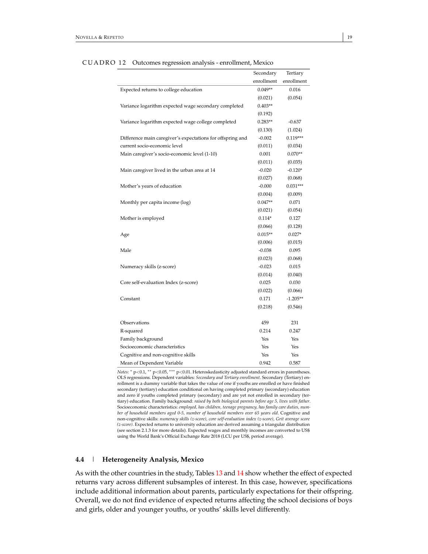<span id="page-19-0"></span>

|                                                            | Secondary            | Tertiary              |
|------------------------------------------------------------|----------------------|-----------------------|
|                                                            | enrollment           | enrollment            |
| Expected returns to college education                      | $0.049**$            | 0.016                 |
|                                                            | (0.021)              | (0.054)               |
| Variance logarithm expected wage secondary completed       | $0.403**$            |                       |
|                                                            |                      |                       |
| Variance logarithm expected wage college completed         | (0.192)<br>$0.283**$ | $-0.637$              |
|                                                            |                      |                       |
| Difference main caregiver's expectations for offspring and | (0.130)<br>$-0.002$  | (1.024)<br>$0.119***$ |
|                                                            |                      |                       |
| current socio-economic level                               | (0.011)              | (0.034)               |
| Main caregiver's socio-economic level (1-10)               | 0.001                | $0.070**$             |
|                                                            | (0.011)              | (0.035)               |
| Main caregiver lived in the urban area at 14               | $-0.020$             | $-0.120*$             |
|                                                            | (0.027)              | (0.068)               |
| Mother's years of education                                | $-0.000$             | $0.031***$            |
|                                                            | (0.004)              | (0.009)               |
| Monthly per capita income (log)                            | $0.047**$            | 0.071                 |
|                                                            | (0.021)              | (0.054)               |
| Mother is employed                                         | $0.114*$             | 0.127                 |
|                                                            | (0.066)              | (0.128)               |
| Age                                                        | $0.015**$            | $0.027*$              |
|                                                            | (0.006)              | (0.015)               |
| Male                                                       | $-0.038$             | 0.095                 |
|                                                            | (0.023)              | (0.068)               |
| Numeracy skills (z-score)                                  | $-0.023$             | 0.015                 |
|                                                            | (0.014)              | (0.040)               |
| Core self-evaluation Index (z-score)                       | 0.025                | 0.030                 |
|                                                            | (0.022)              | (0.066)               |
| Constant                                                   | 0.171                | $-1.205**$            |
|                                                            | (0.218)              | (0.546)               |
|                                                            |                      |                       |
| Observations                                               | 459                  | 231                   |
| R-squared                                                  | 0.214                | 0.247                 |
| Family background                                          | Yes                  | Yes                   |
| Socioeconomic characteristics                              | Yes                  | Yes                   |
| Cognitive and non-cognitive skills                         | Yes                  | Yes                   |
| Mean of Dependent Variable                                 | 0.942                | 0.587                 |

CUADRO 12 Outcomes regression analysis - enrollment, Mexico

*Notes:* <sup>∗</sup> p<0.1, ∗∗ p<0.05, ∗∗∗ p<0.01. Heteroskedasticity adjusted standard errors in parentheses. OLS regressions. Dependent variables: *Secondary and Tertiary enrollment*. Secondary (Tertiary) enrollment is a dummy variable that takes the value of one if youths are enrolled or have finished secondary (tertiary) education conditional on having completed primary (secondary) education and zero if youths completed primary (secondary) and are yet not enrolled in secondary (tertiary) education. Family background: *raised by both biological parents before age 5, lives with father*. Socioeconomic characteristics: *employed, has children, teenage pregnancy, has family care duties, number of household members aged 0-5, number of household members over 65 years old*. Cognitive and non-cognitive skills: *numeracy skills (z-score), core self-evaluation index (z-score), Grit average score (z-score)*. Expected returns to university education are derived assuming a triangular distribution (see section 2.1.3 for more details). Expected wages and monthly incomes are converted to US\$ using the World Bank's Official Exchange Rate 2018 (LCU per US\$, period average).

#### **4.4** | **Heterogeneity Analysis, Mexico**

As with the other countries in the study, Tables [13](#page-20-0) and [14](#page-21-0) show whether the effect of expected returns vary across different subsamples of interest. In this case, however, specifications include additional information about parents, particularly expectations for their offspring. Overall, we do not find evidence of expected returns affecting the school decisions of boys and girls, older and younger youths, or youths' skills level differently.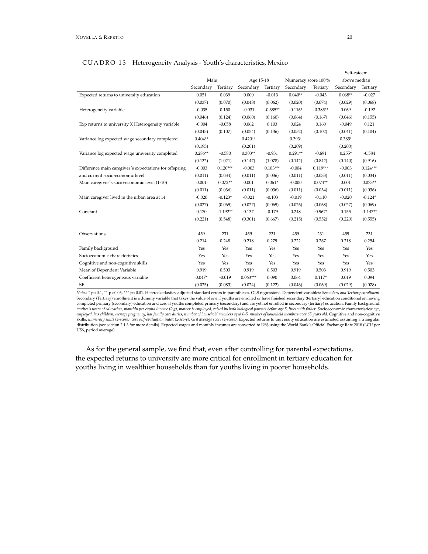<span id="page-20-0"></span>

|                                                        |           |            |            |            |                     |            | Self-esteem  |            |
|--------------------------------------------------------|-----------|------------|------------|------------|---------------------|------------|--------------|------------|
|                                                        | Male      |            | Age 15-18  |            | Numeracy score 100% |            | above median |            |
|                                                        | Secondary | Tertiary   | Secondary  | Tertiary   | Secondary           | Tertiary   | Secondary    | Tertiary   |
| Expected returns to university education               | 0.051     | 0.039      | 0.000      | $-0.013$   | $0.040**$           | $-0.043$   | $0.068**$    | $-0.027$   |
|                                                        | (0.037)   | (0.070)    | (0.048)    | (0.062)    | (0.020)             | (0.074)    | (0.029)      | (0.068)    |
| Heterogeneity variable                                 | $-0.035$  | 0.150      | $-0.031$   | $-0.385**$ | $-0.116*$           | $-0.385**$ | 0.069        | $-0.192$   |
|                                                        | (0.046)   | (0.124)    | (0.060)    | (0.160)    | (0.064)             | (0.167)    | (0.046)      | (0.155)    |
| Exp returns to university X Heterogeneity variable     | $-0.004$  | $-0.058$   | 0.062      | 0.103      | 0.024               | 0.160      | $-0.049$     | 0.121      |
|                                                        | (0.045)   | (0.107)    | (0.054)    | (0.136)    | (0.052)             | (0.102)    | (0.041)      | (0.104)    |
| Variance log expected wage secondary completed         | $0.404**$ |            | $0.420**$  |            | $0.393*$            |            | $0.385*$     |            |
|                                                        | (0.195)   |            | (0.201)    |            | (0.209)             |            | (0.200)      |            |
| Variance log expected wage university completed        | $0.286**$ | $-0.580$   | $0.303**$  | $-0.931$   | $0.291**$           | $-0.691$   | $0.255*$     | $-0.584$   |
|                                                        | (0.132)   | (1.021)    | (0.147)    | (1.078)    | (0.142)             | (0.842)    | (0.140)      | (0.916)    |
| Difference main caregiver's expectations for offspring | $-0.003$  | $0.120***$ | $-0.003$   | $0.103***$ | $-0.004$            | $0.119***$ | $-0.003$     | $0.124***$ |
| and current socio-economic level                       | (0.011)   | (0.034)    | (0.011)    | (0.036)    | (0.011)             | (0.033)    | (0.011)      | (0.034)    |
| Main caregiver's socio-economic level (1-10)           | 0.001     | $0.072**$  | 0.001      | $0.061*$   | $-0.000$            | $0.074**$  | 0.001        | $0.073**$  |
|                                                        | (0.011)   | (0.036)    | (0.011)    | (0.036)    | (0.011)             | (0.034)    | (0.011)      | (0.036)    |
| Main caregiver lived in the urban area at 14           | $-0.020$  | $-0.123*$  | $-0.021$   | $-0.103$   | $-0.019$            | $-0.110$   | $-0.020$     | $-0.124*$  |
|                                                        | (0.027)   | (0.069)    | (0.027)    | (0.069)    | (0.026)             | (0.068)    | (0.027)      | (0.069)    |
| Constant                                               | 0.170     | $-1.192**$ | 0.137      | $-0.179$   | 0.248               | $-0.967*$  | 0.155        | $-1.147**$ |
|                                                        | (0.221)   | (0.548)    | (0.301)    | (0.667)    | (0.215)             | (0.552)    | (0.220)      | (0.555)    |
| Observations                                           | 459       | 231        | 459        | 231        | 459                 | 231        | 459          | 231        |
|                                                        | 0.214     | 0.248      | 0.218      | 0.279      | 0.222               | 0.267      | 0.218        | 0.254      |
| Family background                                      | Yes       | Yes        | Yes        | Yes        | Yes                 | Yes        | Yes          | Yes        |
| Socioeconomic characteristics                          | Yes       | Yes        | Yes        | Yes        | Yes                 | Yes        | Yes          | Yes        |
| Cognitive and non-cognitive skills                     | Yes       | Yes        | Yes        | Yes        | Yes                 | Yes        | Yes          | Yes        |
| Mean of Dependent Variable                             | 0.919     | 0.503      | 0.919      | 0.503      | 0.919               | 0.503      | 0.919        | 0.503      |
| Coefficient heterogeneous variable                     | $0.047*$  | $-0.019$   | $0.063***$ | 0.090      | 0.064               | $0.117*$   | 0.019        | 0.094      |
| <b>SE</b>                                              | (0.025)   | (0.083)    | (0.024)    | (0.122)    | (0.046)             | (0.069)    | (0.029)      | (0.078)    |

# CUADRO 13 Heterogeneity Analysis - Youth's characteristics, Mexico

*Notes:* <sup>∗</sup> <sup>p</sup><0.1, ∗∗ <sup>p</sup><0.05, ∗∗∗ <sup>p</sup><sup>&</sup>lt;0.01. Heteroskedasticy adjusted standard errors in parentheses. OLS regressions. Dependent variables: *Secondary and Tertiary enrollment*. Secondary (Tertiary) enrollment is a dummy variable that takes the value of one if youths are enrolled or have finished secondary (tertiary) education conditional on having completed primary (secondary) education and zero if youths completed primary (secondary) and are yet not enrolled in secondary (tertiary) education. Family background:<br>mother's years of education, monthly per capita income *employed, has children, teenage pregnancy, has family care duties, number of household members aged 0-5, number of household members over 65 years old*. Cognitive and non-cognitive skills: *numeracy skills (z-score), core self-evaluation index (z-score), Grit average score (z-score)*. Expected returns to university education are estimated assuming a triangular distribution (see section 2.1.3 for more details). Expected wages and monthly incomes are converted to US\$ using the World Bank's Official Exchange Rate 2018 (LCU per US\$, period average).

As for the general sample, we find that, even after controlling for parental expectations, the expected returns to university are more critical for enrollment in tertiary education for youths living in wealthier households than for youths living in poorer households.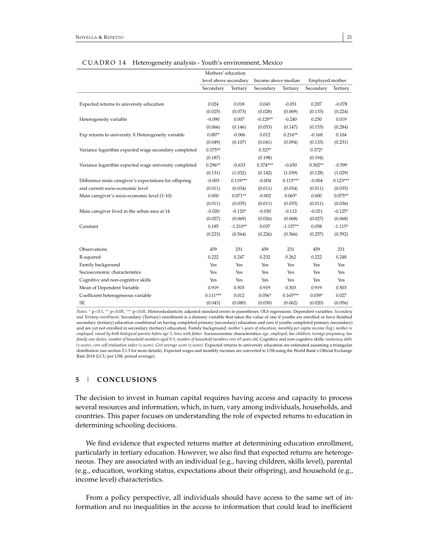<span id="page-21-0"></span>

|                                                        | Mothers' education    |            |                     |            |                 |            |  |
|--------------------------------------------------------|-----------------------|------------|---------------------|------------|-----------------|------------|--|
|                                                        | level above secondary |            | Income above median |            | Employed mother |            |  |
|                                                        | Secondary             | Tertiary   | Secondary           | Tertiary   | Secondary       | Tertiary   |  |
|                                                        |                       |            |                     |            |                 |            |  |
| Expected returns to university education               | 0.024                 | 0.018      | 0.043               | $-0.051$   | 0.207           | $-0.078$   |  |
|                                                        | (0.025)               | (0.073)    | (0.028)             | (0.069)    | (0.133)         | (0.224)    |  |
| Heterogeneity variable                                 | $-0.090$              | 0.007      | $-0.129**$          | $-0.240$   | 0.250           | 0.019      |  |
|                                                        | (0.066)               | (0.146)    | (0.053)             | (0.147)    | (0.153)         | (0.284)    |  |
| Exp returns to university X Heterogeneity variable     | $0.087*$              | $-0.006$   | 0.012               | $0.216**$  | $-0.168$        | 0.104      |  |
|                                                        | (0.049)               | (0.107)    | (0.041)             | (0.094)    | (0.133)         | (0.231)    |  |
| Variance logarithm expected wage secondary completed   | $0.375**$             |            | $0.327*$            |            | $0.372*$        |            |  |
|                                                        | (0.187)               |            | (0.198)             |            | (0.194)         |            |  |
| Variance logarithm expected wage university completed  | $0.296**$             | $-0.633$   | $0.374***$          | $-0.650$   | $0.302**$       | $-0.599$   |  |
|                                                        | (0.131)               | (1.032)    | (0.142)             | (1.039)    | (0.128)         | (1.029)    |  |
| Difference main caregiver's expectations for offspring | $-0.003$              | $0.119***$ | $-0.004$            | $0.115***$ | $-0.004$        | $0.123***$ |  |
| and current socio-economic level                       | (0.011)               | (0.034)    | (0.011)             | (0.034)    | (0.011)         | (0.035)    |  |
| Main caregiver's socio-economic level (1-10)           | 0.000                 | $0.071**$  | $-0.002$            | $0.065*$   | 0.000           | $0.075**$  |  |
|                                                        | (0.011)               | (0.035)    | (0.011)             | (0.035)    | (0.011)         | (0.036)    |  |
| Main caregiver lived in the urban area at 14           | $-0.020$              | $-0.120*$  | $-0.030$            | $-0.112$   | $-0.021$        | $-0.125*$  |  |
|                                                        | (0.027)               | (0.069)    | (0.026)             | (0.068)    | (0.027)         | (0.068)    |  |
| Constant                                               | 0.185                 | $-1.210**$ | 0.037               | $-1.157**$ | 0.058           | $-1.115*$  |  |
|                                                        | (0.223)               | (0.564)    | (0.226)             | (0.566)    | (0.257)         | (0.592)    |  |
|                                                        |                       |            |                     |            |                 |            |  |
| Observations                                           | 459                   | 231        | 459                 | 231        | 459             | 231        |  |
| R-squared                                              | 0.222                 | 0.247      | 0.232               | 0.262      | 0.222           | 0.248      |  |
| Family background                                      | Yes                   | Yes        | Yes                 | Yes        | Yes             | Yes        |  |
| Socioeconomic characteristics                          | Yes                   | Yes        | Yes                 | Yes        | Yes             | Yes        |  |
| Cognitive and non-cognitive skills                     | Yes                   | Yes        | Yes                 | Yes        | Yes             | Yes        |  |
| Mean of Dependent Variable                             | 0.919                 | 0.503      | 0.919               | 0.503      | 0.919           | 0.503      |  |
| Coefficient heterogeneous variable                     | $0.111***$            | 0.012      | $0.056*$            | $0.165***$ | $0.039*$        | 0.027      |  |
| <b>SE</b>                                              | (0.043)               | (0.080)    | (0.030)             | (0.062)    | (0.020)         | (0.056)    |  |

#### CUADRO 14 Heterogeneity analysis - Youth's environment, Mexico

*Notes:* <sup>∗</sup> <sup>p</sup><0.1, ∗∗ <sup>p</sup><0.05, ∗∗∗ <sup>p</sup><sup>&</sup>lt;0.01. Heteroskedasticity adjusted standard errors in parentheses. OLS regressions. Dependent variables: *Secondary and Tertiary enrollment*. Secondary (Tertiary) enrollment is a dummy variable that takes the value of one if youths are enrolled or have finished secondary (tertiary) education conditional on having completed primary (secondary) education and zero if youths completed primary (secondary) and are yet not enrolled in secondary (tertiary) education. Family background: *mother's years of education, monthly per capita income (log), mother is employed, raised by both biological parents before age 5, lives with father*. Socioeconomic characteristics: *age, employed, has children, teenage pregnancy, has family care duties, number of household members aged 0-5, number of household members over 65 years old*. Cognitive and non-cognitive skills: *numeracy skills (z-score), core self-evaluation index (z-score), Grit average score (z-score)*. Expected returns to university education are estimated assuming a triangular distribution (see section 2.1.3 for more details). Expected wages and monthly incomes are converted to US\$ using the World Bank's Official Exchange Rate 2018 (LCU per US\$, period average).

# **5** | **CONCLUSIONS**

The decision to invest in human capital requires having access and capacity to process several resources and information, which, in turn, vary among individuals, households, and countries. This paper focuses on understanding the role of expected returns to education in determining schooling decisions.

We find evidence that expected returns matter at determining education enrollment, particularly in tertiary education. However, we also find that expected returns are heterogeneous. They are associated with an individual (e.g., having children, skills level), parental (e.g., education, working status, expectations about their offspring), and household (e.g., income level) characteristics.

From a policy perspective, all individuals should have access to the same set of information and no inequalities in the access to information that could lead to inefficient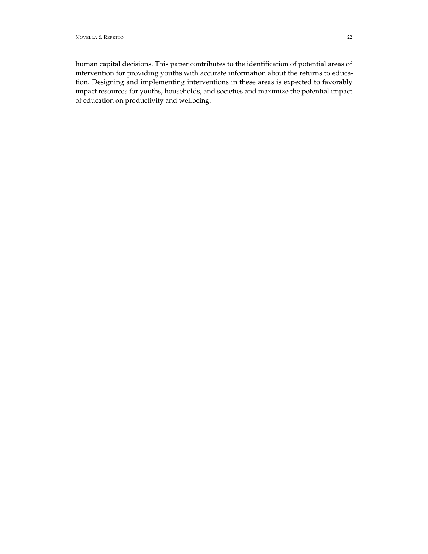human capital decisions. This paper contributes to the identification of potential areas of intervention for providing youths with accurate information about the returns to education. Designing and implementing interventions in these areas is expected to favorably impact resources for youths, households, and societies and maximize the potential impact of education on productivity and wellbeing.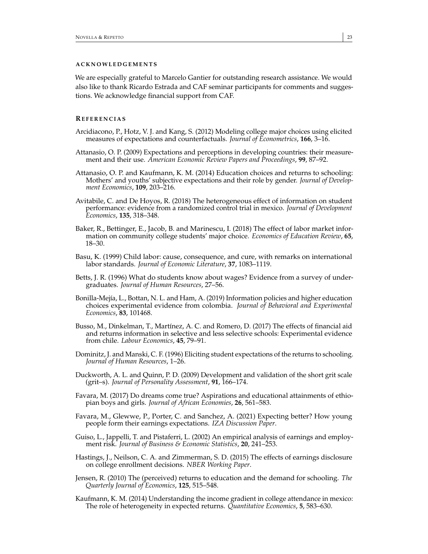# **A C K N OW L E D G EM E N T S**

We are especially grateful to Marcelo Gantier for outstanding research assistance. We would also like to thank Ricardo Estrada and CAF seminar participants for comments and suggestions. We acknowledge financial support from CAF.

# **RE F E R E N C I A S**

- <span id="page-23-3"></span>Arcidiacono, P., Hotz, V. J. and Kang, S. (2012) Modeling college major choices using elicited measures of expectations and counterfactuals. *Journal of Econometrics*, **166**, 3–16.
- <span id="page-23-15"></span>Attanasio, O. P. (2009) Expectations and perceptions in developing countries: their measurement and their use. *American Economic Review Papers and Proceedings*, **99**, 87–92.
- <span id="page-23-4"></span>Attanasio, O. P. and Kaufmann, K. M. (2014) Education choices and returns to schooling: Mothers' and youths' subjective expectations and their role by gender. *Journal of Development Economics*, **109**, 203–216.
- <span id="page-23-11"></span>Avitabile, C. and De Hoyos, R. (2018) The heterogeneous effect of information on student performance: evidence from a randomized control trial in mexico. *Journal of Development Economics*, **135**, 318–348.
- <span id="page-23-2"></span>Baker, R., Bettinger, E., Jacob, B. and Marinescu, I. (2018) The effect of labor market information on community college students' major choice. *Economics of Education Review*, **65**, 18–30.
- <span id="page-23-6"></span>Basu, K. (1999) Child labor: cause, consequence, and cure, with remarks on international labor standards. *Journal of Economic Literature*, **37**, 1083–1119.
- <span id="page-23-1"></span>Betts, J. R. (1996) What do students know about wages? Evidence from a survey of undergraduates. *Journal of Human Resources*, 27–56.
- <span id="page-23-10"></span>Bonilla-Mejía, L., Bottan, N. L. and Ham, A. (2019) Information policies and higher education choices experimental evidence from colombia. *Journal of Behavioral and Experimental Economics*, **83**, 101468.
- <span id="page-23-8"></span>Busso, M., Dinkelman, T., Martínez, A. C. and Romero, D. (2017) The effects of financial aid and returns information in selective and less selective schools: Experimental evidence from chile. *Labour Economics*, **45**, 79–91.
- <span id="page-23-0"></span>Dominitz, J. and Manski, C. F. (1996) Eliciting student expectations of the returns to schooling. *Journal of Human Resources*, 1–26.
- <span id="page-23-14"></span>Duckworth, A. L. and Quinn, P. D. (2009) Development and validation of the short grit scale (grit–s). *Journal of Personality Assessment*, **91**, 166–174.
- <span id="page-23-13"></span>Favara, M. (2017) Do dreams come true? Aspirations and educational attainments of ethiopian boys and girls. *Journal of African Economies*, **26**, 561–583.
- <span id="page-23-12"></span>Favara, M., Glewwe, P., Porter, C. and Sanchez, A. (2021) Expecting better? How young people form their earnings expectations. *IZA Discussion Paper*.
- <span id="page-23-16"></span>Guiso, L., Jappelli, T. and Pistaferri, L. (2002) An empirical analysis of earnings and employment risk. *Journal of Business & Economic Statistics*, **20**, 241–253.
- <span id="page-23-9"></span>Hastings, J., Neilson, C. A. and Zimmerman, S. D. (2015) The effects of earnings disclosure on college enrollment decisions. *NBER Working Paper*.
- <span id="page-23-7"></span>Jensen, R. (2010) The (perceived) returns to education and the demand for schooling. *The Quarterly Journal of Economics*, **125**, 515–548.
- <span id="page-23-5"></span>Kaufmann, K. M. (2014) Understanding the income gradient in college attendance in mexico: The role of heterogeneity in expected returns. *Quantitative Economics*, **5**, 583–630.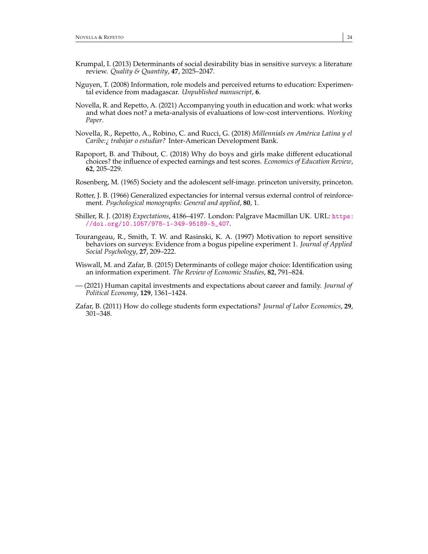- <span id="page-24-9"></span>Krumpal, I. (2013) Determinants of social desirability bias in sensitive surveys: a literature review. *Quality & Quantity*, **47**, 2025–2047.
- <span id="page-24-3"></span>Nguyen, T. (2008) Information, role models and perceived returns to education: Experimental evidence from madagascar. *Unpublished manuscript*, **6**.
- <span id="page-24-6"></span>Novella, R. and Repetto, A. (2021) Accompanying youth in education and work: what works and what does not? a meta-analysis of evaluations of low-cost interventions. *Working Paper*.
- <span id="page-24-7"></span>Novella, R., Repetto, A., Robino, C. and Rucci, G. (2018) *Millennials en América Latina y el Caribe:¿ trabajar o estudiar?* Inter-American Development Bank.
- <span id="page-24-5"></span>Rapoport, B. and Thibout, C. (2018) Why do boys and girls make different educational choices? the influence of expected earnings and test scores. *Economics of Education Review*, **62**, 205–229.
- <span id="page-24-10"></span>Rosenberg, M. (1965) Society and the adolescent self-image. princeton university, princeton.
- <span id="page-24-11"></span>Rotter, J. B. (1966) Generalized expectancies for internal versus external control of reinforcement. *Psychological monographs: General and applied*, **80**, 1.
- <span id="page-24-0"></span>Shiller, R. J. (2018) *Expectations*, 4186–4197. London: Palgrave Macmillan UK. URL: [https:](https://doi.org/10.1057/978-1-349-95189-5_407) [//doi.org/10.1057/978-1-349-95189-5\\_407](https://doi.org/10.1057/978-1-349-95189-5_407).
- <span id="page-24-8"></span>Tourangeau, R., Smith, T. W. and Rasinski, K. A. (1997) Motivation to report sensitive behaviors on surveys: Evidence from a bogus pipeline experiment 1. *Journal of Applied Social Psychology*, **27**, 209–222.
- <span id="page-24-4"></span>Wiswall, M. and Zafar, B. (2015) Determinants of college major choice: Identification using an information experiment. *The Review of Economic Studies*, **82**, 791–824.
- <span id="page-24-2"></span>— (2021) Human capital investments and expectations about career and family. *Journal of Political Economy*, **129**, 1361–1424.
- <span id="page-24-1"></span>Zafar, B. (2011) How do college students form expectations? *Journal of Labor Economics*, **29**, 301–348.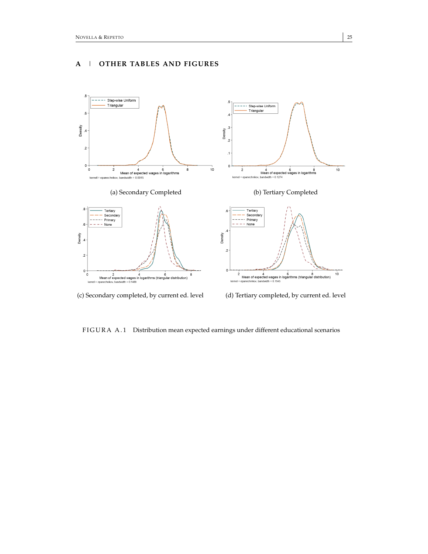



(c) Secondary completed, by current ed. level (d) Tertiary completed, by current ed. level

FIGURA A.1 Distribution mean expected earnings under different educational scenarios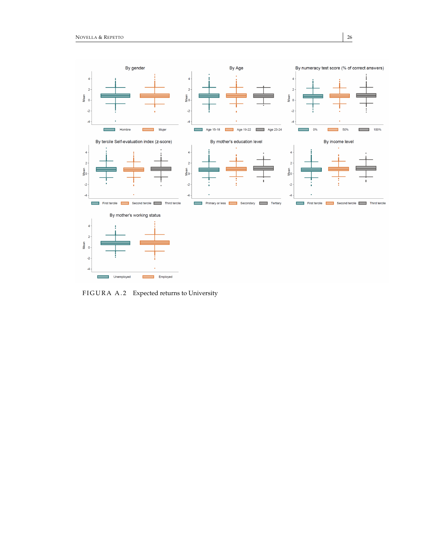

FIGURA A.2 Expected returns to University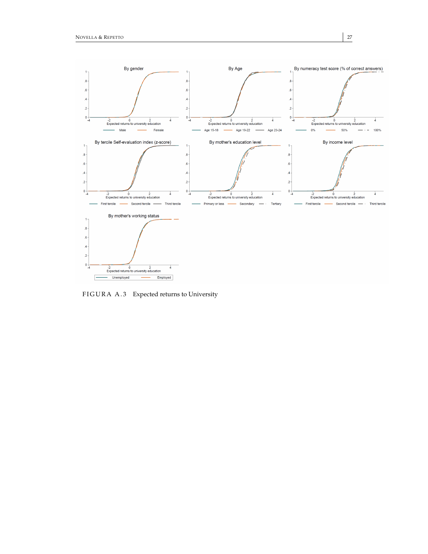

FIGURA A.3 Expected returns to University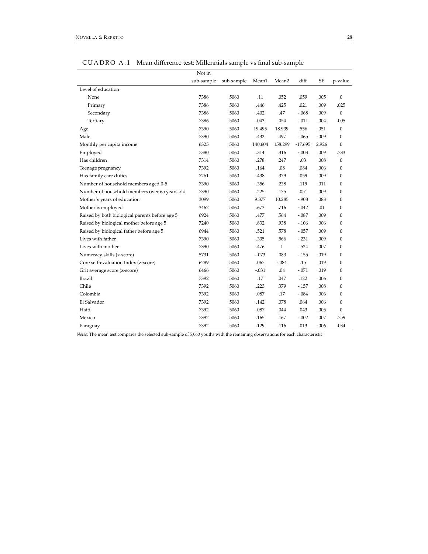<span id="page-28-0"></span>

|                                                | Not in     |            |         |                   |         |           |              |
|------------------------------------------------|------------|------------|---------|-------------------|---------|-----------|--------------|
|                                                | sub-sample | sub-sample | Mean1   | Mean <sub>2</sub> | diff    | <b>SE</b> | p-value      |
| Level of education                             |            |            |         |                   |         |           |              |
| None                                           | 7386       | 5060       | .11     | .052              | .059    | .005      | $\mathbf{0}$ |
| Primary                                        | 7386       | 5060       | .446    | .425              | .021    | .009      | .025         |
| Secondary                                      | 7386       | 5060       | .402    | .47               | $-.068$ | .009      | $\mathbf{0}$ |
| Tertiary                                       | 7386       | 5060       | .043    | .054              | $-.011$ | .004      | .005         |
| Age                                            | 7390       | 5060       | 19.495  | 18.939            | .556    | .051      | $\mathbf{0}$ |
| Male                                           | 7390       | 5060       | .432    | .497              | $-.065$ | .009      | $\mathbf{0}$ |
| Monthly per capita income                      | 6325       | 5060       | 140.604 | 158.299           | -17.695 | 2.926     | $\Omega$     |
| Employed                                       | 7380       | 5060       | .314    | .316              | $-.003$ | .009      | .783         |
| Has children                                   | 7314       | 5060       | .278    | .247              | .03     | .008      | $\mathbf{0}$ |
| Teenage pregnancy                              | 7392       | 5060       | .164    | .08               | .084    | .006      | $\mathbf{0}$ |
| Has family care duties                         | 7261       | 5060       | .438    | .379              | .059    | .009      | $\Omega$     |
| Number of household members aged 0-5           | 7390       | 5060       | .356    | .238              | .119    | .011      | $\mathbf{0}$ |
| Number of household members over 65 years old  | 7390       | 5060       | .225    | .175              | .051    | .009      | $\mathbf{0}$ |
| Mother's years of education                    | 3099       | 5060       | 9.377   | 10.285            | $-.908$ | .088      | $\mathbf{0}$ |
| Mother is employed                             | 3462       | 5060       | .673    | .716              | $-.042$ | .01       | $\mathbf{0}$ |
| Raised by both biological parents before age 5 | 6924       | 5060       | .477    | .564              | $-.087$ | .009      | $\mathbf{0}$ |
| Raised by biological mother before age 5       | 7240       | 5060       | .832    | .938              | $-.106$ | .006      | $\mathbf{0}$ |
| Raised by biological father before age 5       | 6944       | 5060       | .521    | .578              | $-.057$ | .009      | $\mathbf{0}$ |
| Lives with father                              | 7390       | 5060       | .335    | .566              | $-.231$ | .009      | $\mathbf{0}$ |
| Lives with mother                              | 7390       | 5060       | .476    | $\mathbf{1}$      | $-524$  | .007      | $\mathbf{0}$ |
| Numeracy skills (z-score)                      | 5731       | 5060       | $-.073$ | .083              | $-155$  | .019      | $\mathbf{0}$ |
| Core self-evaluation Index (z-score)           | 6289       | 5060       | .067    | $-.084$           | .15     | .019      | $\mathbf{0}$ |
| Grit average score (z-score)                   | 6466       | 5060       | $-.031$ | .04               | $-.071$ | .019      | $\Omega$     |
| Brazil                                         | 7392       | 5060       | .17     | .047              | .122    | .006      | $\Omega$     |
| Chile                                          | 7392       | 5060       | .223    | .379              | $-157$  | .008      | $\mathbf{0}$ |
| Colombia                                       | 7392       | 5060       | .087    | .17               | $-.084$ | .006      | $\mathbf{0}$ |
| El Salvador                                    | 7392       | 5060       | .142    | .078              | .064    | .006      | $\mathbf{0}$ |
| Haiti                                          | 7392       | 5060       | .087    | .044              | .043    | .005      | $\mathbf{0}$ |
| Mexico                                         | 7392       | 5060       | .165    | .167              | $-.002$ | .007      | .759         |
| Paraguay                                       | 7392       | 5060       | .129    | .116              | .013    | .006      | .034         |

CUADRO A.1 Mean difference test: Millennials sample vs final sub-sample

*Notes:* The mean test compares the selected sub-sample of 5,060 youths with the remaining observations for each characteristic.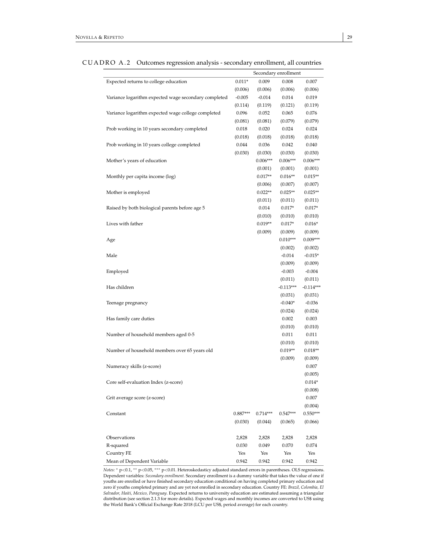|                                                      |            |            | Secondary enrollment |             |
|------------------------------------------------------|------------|------------|----------------------|-------------|
| Expected returns to college education                | $0.011*$   | 0.009      | 0.008                | 0.007       |
|                                                      | (0.006)    | (0.006)    | (0.006)              | (0.006)     |
| Variance logarithm expected wage secondary completed | $-0.005$   | $-0.014$   | 0.014                | 0.019       |
|                                                      | (0.114)    | (0.119)    | (0.121)              | (0.119)     |
| Variance logarithm expected wage college completed   | 0.096      | 0.052      | 0.065                | 0.076       |
|                                                      | (0.081)    | (0.081)    | (0.079)              | (0.079)     |
| Prob working in 10 years secondary completed         | 0.018      | 0.020      | 0.024                | 0.024       |
|                                                      | (0.018)    | (0.018)    | (0.018)              | (0.018)     |
| Prob working in 10 years college completed           | 0.044      | 0.036      | 0.042                | 0.040       |
|                                                      | (0.030)    | (0.030)    | (0.030)              | (0.030)     |
| Mother's years of education                          |            | $0.006***$ | $0.006***$           | $0.006***$  |
|                                                      |            | (0.001)    | (0.001)              | (0.001)     |
| Monthly per capita income (log)                      |            | $0.017**$  | $0.016**$            | $0.015**$   |
|                                                      |            | (0.006)    | (0.007)              | (0.007)     |
| Mother is employed                                   |            | $0.022**$  | $0.025**$            | $0.025**$   |
|                                                      |            | (0.011)    | (0.011)              | (0.011)     |
| Raised by both biological parents before age 5       |            | 0.014      | $0.017*$             | $0.017*$    |
|                                                      |            | (0.010)    | (0.010)              | (0.010)     |
| Lives with father                                    |            | $0.019**$  | $0.017*$             | $0.016*$    |
|                                                      |            | (0.009)    | (0.009)              | (0.009)     |
| Age                                                  |            |            | $0.010***$           | $0.009***$  |
|                                                      |            |            | (0.002)              | (0.002)     |
| Male                                                 |            |            | $-0.014$             | $-0.015*$   |
|                                                      |            |            | (0.009)              | (0.009)     |
| Employed                                             |            |            | $-0.003$             | $-0.004$    |
|                                                      |            |            | (0.011)              | (0.011)     |
| Has children                                         |            |            | $-0.113***$          | $-0.114***$ |
|                                                      |            |            | (0.031)              | (0.031)     |
| Teenage pregnancy                                    |            |            | $-0.040*$            | $-0.036$    |
|                                                      |            |            | (0.024)              | (0.024)     |
| Has family care duties                               |            |            | 0.002                | 0.003       |
|                                                      |            |            | (0.010)              | (0.010)     |
| Number of household members aged 0-5                 |            |            | 0.011                | 0.011       |
|                                                      |            |            | (0.010)              | (0.010)     |
| Number of household members over 65 years old        |            |            | $0.019**$            | $0.018**$   |
|                                                      |            |            | (0.009)              | (0.009)     |
| Numeracy skills (z-score)                            |            |            |                      | 0.007       |
|                                                      |            |            |                      | (0.005)     |
| Core self-evaluation Index (z-score)                 |            |            |                      | $0.014*$    |
|                                                      |            |            |                      | (0.008)     |
| Grit average score (z-score)                         |            |            |                      | 0.007       |
|                                                      |            |            |                      | (0.004)     |
| Constant                                             | $0.887***$ | $0.714***$ | $0.547***$           | $0.550***$  |
|                                                      | (0.030)    | (0.044)    | (0.065)              | (0.066)     |
|                                                      |            |            |                      |             |
| Observations                                         | 2,828      | 2,828      | 2,828                | 2,828       |
| R-squared                                            | 0.030      | 0.049      | 0.070                | 0.074       |
| Country FE                                           | Yes        | Yes        | Yes                  | Yes         |
| Mean of Dependent Variable                           | 0.942      | 0.942      | 0.942                | 0.942       |

CUADRO A.2 Outcomes regression analysis - secondary enrollment, all countries

*Notes:*  $*$  p<0.1,  $**$  p<0.05,  $***$  p<0.01. Heteroskedasticy adjusted standard errors in parentheses. OLS regressions. Dependent variables: *Secondary enrollment*. Secondary enrollment is a dummy variable that takes the value of one if youths are enrolled or have finished secondary education conditional on having completed primary education and zero if youths completed primary and are yet not enrolled in secondary education. Country FE: *Brazil, Colombia, El Salvador, Haiti, Mexico, Paraguay*. Expected returns to university education are estimated assuming a triangular distribution (see section 2.1.3 for more details). Expected wages and monthly incomes are converted to US\$ using the World Bank's Official Exchange Rate 2018 (LCU per US\$, period average) for each country.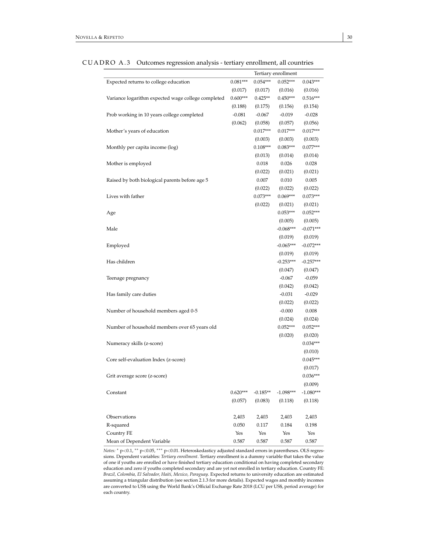|                                                    |            |                       | Tertiary enrollment   |                       |
|----------------------------------------------------|------------|-----------------------|-----------------------|-----------------------|
| Expected returns to college education              | $0.081***$ | $0.054***$            | $0.052***$            | $0.043***$            |
|                                                    | (0.017)    | (0.017)               | (0.016)               | (0.016)               |
| Variance logarithm expected wage college completed | $0.600***$ | $0.425**$             | $0.450***$            | $0.516***$            |
|                                                    | (0.188)    | (0.175)               | (0.156)               | (0.154)               |
| Prob working in 10 years college completed         | $-0.081$   | $-0.067$              | $-0.019$              | $-0.028$              |
|                                                    | (0.062)    | (0.058)<br>$0.017***$ | (0.057)               | (0.056)               |
| Mother's years of education                        |            |                       | $0.017***$            | $0.017***$            |
| Monthly per capita income (log)                    |            | (0.003)<br>$0.108***$ | (0.003)<br>$0.083***$ | (0.003)<br>$0.077***$ |
|                                                    |            | (0.013)               | (0.014)               |                       |
| Mother is employed                                 |            | 0.018                 | 0.026                 | (0.014)<br>0.028      |
|                                                    |            | (0.022)               | (0.021)               | (0.021)               |
| Raised by both biological parents before age 5     |            | 0.007                 | 0.010                 | 0.005                 |
|                                                    |            | (0.022)               | (0.022)               | (0.022)               |
| Lives with father                                  |            | $0.073***$            | $0.069***$            | $0.073***$            |
|                                                    |            | (0.022)               | (0.021)               | (0.021)               |
| Age                                                |            |                       | $0.053***$            | $0.052***$            |
|                                                    |            |                       | (0.005)               | (0.005)               |
| Male                                               |            |                       | $-0.068***$           | $-0.071***$           |
|                                                    |            |                       | (0.019)               | (0.019)               |
| Employed                                           |            |                       | $-0.065***$           | $-0.072***$           |
|                                                    |            |                       | (0.019)               | (0.019)               |
| Has children                                       |            |                       | $-0.253***$           | $-0.257***$           |
|                                                    |            |                       | (0.047)               | (0.047)               |
| Teenage pregnancy                                  |            |                       | $-0.067$              | $-0.059$              |
|                                                    |            |                       | (0.042)               | (0.042)               |
| Has family care duties                             |            |                       | $-0.031$              | $-0.029$              |
|                                                    |            |                       | (0.022)               | (0.022)               |
| Number of household members aged 0-5               |            |                       | $-0.000$              | 0.008                 |
|                                                    |            |                       | (0.024)               | (0.024)               |
| Number of household members over 65 years old      |            |                       | $0.052***$            | $0.052***$            |
|                                                    |            |                       | (0.020)               | (0.020)               |
| Numeracy skills (z-score)                          |            |                       |                       | $0.034***$            |
|                                                    |            |                       |                       | (0.010)               |
| Core self-evaluation Index (z-score)               |            |                       |                       | $0.045***$            |
|                                                    |            |                       |                       | (0.017)               |
| Grit average score (z-score)                       |            |                       |                       | $0.036***$            |
|                                                    |            |                       |                       | (0.009)               |
| Constant                                           | $0.620***$ | $-0.185**$            | $-1.098***$           | $-1.080***$           |
|                                                    | (0.057)    | (0.083)               | (0.118)               | (0.118)               |
| Observations                                       | 2,403      | 2,403                 | 2,403                 | 2,403                 |
| R-squared                                          | 0.050      | 0.117                 | 0.184                 | 0.198                 |
| Country FE                                         | Yes        | Yes                   | Yes                   | Yes                   |
| Mean of Dependent Variable                         | 0.587      | 0.587                 | 0.587                 | 0.587                 |

CUADRO A.3 Outcomes regression analysis - tertiary enrollment, all countries

*Notes:* <sup>∗</sup> p<0.1, ∗∗ p<0.05, ∗∗∗ p<0.01. Heteroskedasticy adjusted standard errors in parentheses. OLS regressions. Dependent variables: *Tertiary enrollment*. Tertiary enrollment is a dummy variable that takes the value of one if youths are enrolled or have finished tertiary education conditional on having completed secondary education and zero if youths completed secondary and are yet not enrolled in tertiary education. Country FE: *Brazil, Colombia, El Salvador, Haiti, Mexico, Paraguay*. Expected returns to university education are estimated assuming a triangular distribution (see section 2.1.3 for more details). Expected wages and monthly incomes are converted to US\$ using the World Bank's Official Exchange Rate 2018 (LCU per US\$, period average) for each country.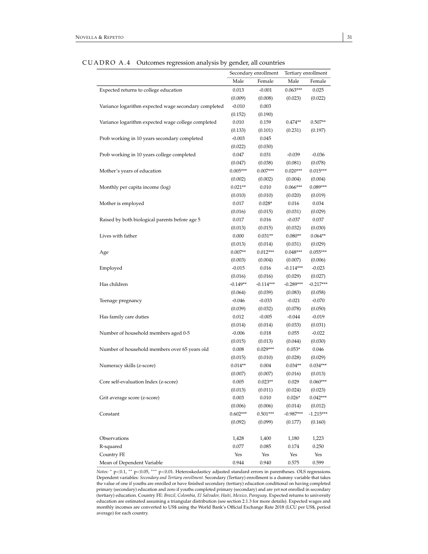| ັ                                                    |            |                      |                     |             |
|------------------------------------------------------|------------|----------------------|---------------------|-------------|
|                                                      |            | Secondary enrollment | Tertiary enrollment |             |
|                                                      | Male       | Female               | Male                | Female      |
| Expected returns to college education                | 0.013      | $-0.001$             | $0.063***$          | 0.025       |
|                                                      | (0.009)    | (0.008)              | (0.023)             | (0.022)     |
| Variance logarithm expected wage secondary completed | $-0.010$   | 0.003                |                     |             |
|                                                      | (0.152)    | (0.190)              |                     |             |
| Variance logarithm expected wage college completed   | 0.010      | 0.159                | $0.474**$           | $0.507**$   |
|                                                      | (0.133)    | (0.101)              | (0.231)             | (0.197)     |
| Prob working in 10 years secondary completed         | $-0.003$   | 0.045                |                     |             |
|                                                      | (0.022)    | (0.030)              |                     |             |
| Prob working in 10 years college completed           | 0.047      | 0.031                | $-0.039$            | $-0.036$    |
|                                                      | (0.047)    | (0.038)              | (0.081)             | (0.078)     |
| Mother's years of education                          | $0.005***$ | $0.007***$           | $0.020***$          | $0.015***$  |
|                                                      | (0.002)    | (0.002)              | (0.004)             | (0.004)     |
| Monthly per capita income (log)                      | $0.021**$  | 0.010                | $0.066***$          | $0.089***$  |
|                                                      | (0.010)    | (0.010)              | (0.020)             | (0.019)     |
| Mother is employed                                   | 0.017      | $0.028*$             | 0.016               | 0.034       |
|                                                      | (0.016)    | (0.015)              | (0.031)             | (0.029)     |
| Raised by both biological parents before age 5       | 0.017      | 0.016                | $-0.037$            | 0.037       |
|                                                      | (0.013)    | (0.015)              | (0.032)             | (0.030)     |
| Lives with father                                    | 0.000      | $0.031**$            | $0.080**$           | $0.064**$   |
|                                                      | (0.013)    | (0.014)              | (0.031)             | (0.029)     |
| Age                                                  | $0.007**$  | $0.012***$           | $0.048***$          | $0.055***$  |
|                                                      | (0.003)    | (0.004)              | (0.007)             | (0.006)     |
| Employed                                             | $-0.015$   | 0.016                | $-0.114***$         | $-0.023$    |
|                                                      | (0.016)    | (0.016)              | (0.029)             |             |
| Has children                                         |            |                      |                     | (0.027)     |
|                                                      | $-0.149**$ | $-0.114***$          | $-0.289***$         | $-0.217***$ |
|                                                      | (0.064)    | (0.039)              | (0.083)             | (0.058)     |
| Teenage pregnancy                                    | $-0.046$   | $-0.033$             | $-0.021$            | $-0.070$    |
|                                                      | (0.039)    | (0.032)              | (0.078)             | (0.050)     |
| Has family care duties                               | 0.012      | $-0.005$             | $-0.044$            | $-0.019$    |
|                                                      | (0.014)    | (0.014)              | (0.033)             | (0.031)     |
| Number of household members aged 0-5                 | $-0.006$   | 0.018                | 0.055               | $-0.022$    |
|                                                      | (0.015)    | (0.013)              | (0.044)             | (0.030)     |
| Number of household members over 65 years old        | 0.008      | $0.029***$           | $0.053*$            | 0.046       |
|                                                      | (0.015)    | (0.010)              | (0.028)             | (0.029)     |
| Numeracy skills (z-score)                            | $0.014**$  | 0.004                | $0.034**$           | $0.034***$  |
|                                                      | (0.007)    | (0.007)              | (0.016)             | (0.013)     |
| Core self-evaluation Index (z-score)                 | 0.005      | $0.023**$            | 0.029               | $0.060***$  |
|                                                      | (0.013)    | (0.011)              | (0.024)             | (0.023)     |
| Grit average score (z-score)                         | 0.003      | 0.010                | $0.026*$            | $0.042***$  |
|                                                      | (0.006)    | (0.006)              | (0.014)             | (0.012)     |
| Constant                                             | $0.602***$ | $0.501***$           | $-0.987***$         | $-1.215***$ |
|                                                      | (0.092)    | (0.099)              | (0.177)             | (0.160)     |
| Observations                                         | 1,428      | 1,400                | 1,180               | 1,223       |
| R-squared                                            | 0.077      | 0.085                | 0.174               | 0.250       |
| Country FE                                           | Yes        | Yes                  | Yes                 | Yes         |
| Mean of Dependent Variable                           | 0.944      | 0.940                | 0.575               | 0.599       |

#### CUADRO A.4 Outcomes regression analysis by gender, all countries

*Notes:* <sup>∗</sup> p<0.1, ∗∗ p<0.05, ∗∗∗ p<0.01. Heteroskedasticy adjusted standard errors in parentheses. OLS regressions. Dependent variables: *Secondary and Tertiary enrollment*. Secondary (Tertiary) enrollment is a dummy variable that takes the value of one if youths are enrolled or have finished secondary (tertiary) education conditional on having completed primary (secondary) education and zero if youths completed primary (secondary) and are yet not enrolled in secondary (tertiary) education. Country FE: *Brazil, Colombia, El Salvador, Haiti, Mexico, Paraguay*. Expected returns to university education are estimated assuming a triangular distribution (see section 2.1.3 for more details). Expected wages and monthly incomes are converted to US\$ using the World Bank's Official Exchange Rate 2018 (LCU per US\$, period average) for each country.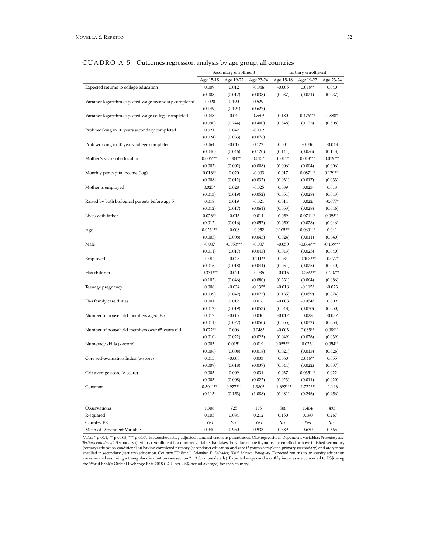#### $\text{CUADRO A.5}$  Outcomes regression analysis by age group, all countries

| ັ                                                    |             |                      |                     |             |                     |                      |
|------------------------------------------------------|-------------|----------------------|---------------------|-------------|---------------------|----------------------|
|                                                      |             | Secondary enrollment |                     |             | Tertiary enrollment |                      |
|                                                      | Age 15-18   | Age 19-22            | Age 23-24           | Age 15-18   | Age 19-22           | Age 23-24            |
| Expected returns to college education                | 0.009       | 0.012                | $-0.046$            | $-0.005$    | $0.048**$           | 0.040                |
|                                                      | (0.008)     | (0.012)              | (0.038)             | (0.037)     | (0.021)             | (0.037)              |
| Variance logarithm expected wage secondary completed | $-0.020$    | 0.190                | 0.529               |             |                     |                      |
|                                                      | (0.149)     | (0.194)              | (0.627)             |             |                     |                      |
| Variance logarithm expected wage college completed   | 0.048       | $-0.040$             | $0.760*$            | 0.180       | $0.476***$          | $0.888*$             |
|                                                      | (0.090)     | (0.244)              | (0.400)             | (0.548)     | (0.173)             | (0.508)              |
| Prob working in 10 years secondary completed         | 0.021       | 0.042                | $-0.112$            |             |                     |                      |
|                                                      | (0.024)     | (0.033)              | (0.076)             |             |                     |                      |
| Prob working in 10 years college completed           | 0.064       | $-0.019$             | 0.122               | 0.004       | $-0.036$            | $-0.048$             |
|                                                      | (0.040)     | (0.046)              | (0.120)             | (0.141)     | (0.076)             | (0.113)              |
| Mother's years of education                          | $0.006***$  | $0.004**$            | $0.013*$            | $0.011*$    | $0.018***$          | $0.019***$           |
|                                                      | (0.002)     | (0.002)              | (0.008)             | (0.006)     | (0.004)             | (0.006)              |
| Monthly per capita income (log)                      | $0.016**$   | 0.020                | $-0.003$            | 0.017       | $0.087***$          | $0.129***$           |
|                                                      | (0.008)     | (0.012)              | (0.032)             | (0.031)     | (0.017)             | (0.033)              |
| Mother is employed                                   | $0.025*$    | 0.028                | $-0.025$            | 0.039       | 0.023               | 0.013                |
|                                                      | (0.013)     | (0.019)              | (0.052)             | (0.051)     | (0.028)             | (0.043)              |
| Raised by both biological parents before age 5       | 0.018       | 0.019                | $-0.021$            | 0.014       | 0.022               | $-0.077*$            |
|                                                      | (0.012)     | (0.017)              | (0.061)             | (0.053)     | (0.028)             | (0.046)              |
| Lives with father                                    | $0.026**$   | $-0.013$             | 0.014               | 0.059       | $0.074***$          | $0.095**$            |
|                                                      | (0.012)     | (0.016)              | (0.057)             | (0.050)     | (0.028)             | (0.046)              |
| Age                                                  | $0.023***$  | $-0.008$             | $-0.052$            | $0.105***$  | $0.060***$          | 0.041                |
|                                                      | (0.005)     | (0.008)              | (0.043)             | (0.024)     | (0.011)             | (0.040)              |
| Male                                                 | $-0.007$    | $-0.053***$          | $-0.007$            | $-0.050$    | $-0.064***$         | $-0.139***$          |
|                                                      | (0.011)     | (0.017)              | (0.043)             | (0.043)     | (0.025)             | (0.040)              |
| Employed                                             | $-0.011$    | $-0.025$             | $0.111**$           | 0.034       | $-0.103***$         | $-0.072*$            |
|                                                      | (0.016)     | (0.018)              | (0.044)             | (0.051)     | (0.025)             | (0.040)              |
| Has children                                         | $-0.331***$ | $-0.071$             | $-0.035$            | $-0.016$    | $-0.256***$         | $-0.207**$           |
|                                                      | (0.103)     | (0.046)              | (0.080)             | (0.331)     | (0.064)             | (0.086)              |
| Teenage pregnancy                                    | 0.008       | $-0.034$             | $-0.135*$           | $-0.018$    | $-0.115*$           | $-0.023$             |
|                                                      | (0.039)     | (0.042)              | (0.073)             | (0.135)     | (0.059)             | (0.074)              |
| Has family care duties                               | 0.001       | 0.012                | 0.016               | $-0.008$    | $-0.054*$           | 0.009                |
|                                                      | (0.012)     | (0.019)              | (0.053)             | (0.048)     | (0.030)             | (0.050)              |
| Number of household members aged 0-5                 | 0.017       | $-0.009$             | 0.030               | $-0.012$    | 0.028               | $-0.037$             |
|                                                      | (0.011)     | (0.022)              |                     | (0.055)     | (0.032)             |                      |
|                                                      | $0.022**$   | 0.006                | (0.050)<br>$0.048*$ | $-0.003$    | $0.065**$           | (0.053)<br>$0.089**$ |
| Number of household members over 65 years old        | (0.010)     |                      |                     |             |                     |                      |
|                                                      |             | (0.022)              | (0.025)             | (0.049)     | (0.026)             | (0.039)              |
| Numeracy skills (z-score)                            | 0.005       | $0.015*$             | 0.019               | $0.055***$  | $0.023*$            | $0.054**$            |
|                                                      | (0.006)     | (0.008)              | (0.018)             | (0.021)     | (0.013)             | (0.026)              |
| Core self-evaluation Index (z-score)                 | 0.015       | $-0.000$             | 0.033               | 0.060       | $0.046**$           | 0.055                |
|                                                      | (0.009)     | (0.018)              | (0.037)             | (0.044)     | (0.022)             | (0.037)              |
| Grit average score (z-score)                         | 0.005       | 0.009                | 0.031               | 0.037       | $0.035***$          | 0.022                |
|                                                      | (0.005)     | (0.008)              | (0.022)             | (0.023)     | (0.011)             | (0.020)              |
| Constant                                             | $0.304***$  | $0.977***$           | 1.980*              | $-1.692***$ | $-1.272***$         | $-1.146$             |
|                                                      | (0.115)     | (0.153)              | (1.088)             | (0.481)     | (0.246)             | (0.956)              |
| Observations                                         | 1,908       | 725                  | 195                 | 506         | 1,404               | 493                  |
| R-squared                                            | 0.105       | 0.084                | 0.212               | 0.150       | 0.190               | 0.267                |
| Country FE                                           | Yes         | Yes                  | Yes                 | Yes         | Yes                 | Yes                  |
| Mean of Dependent Variable                           | 0.940       | 0.950                | 0.933               | 0.389       | 0.630               | 0.665                |

*Notes:* <sup>∗</sup> <sup>p</sup><0.1, ∗∗ <sup>p</sup><0.05, ∗∗∗ <sup>p</sup><sup>&</sup>lt;0.01. Heteroskedasticy adjusted standard errors in parentheses. OLS regressions. Dependent variables: *Secondary and Tertiary enrollment*. Secondary (Tertiary) enrollment is a dummy variable that takes the value of one if youths are enrolled or have finished secondary (tertiary) education conditional on having completed primary (secondary) education and zero if youths completed primary (secondary) and are yet not<br>enrolled in secondary (tertiary) education. Country FE: *Brazil, Colombia,*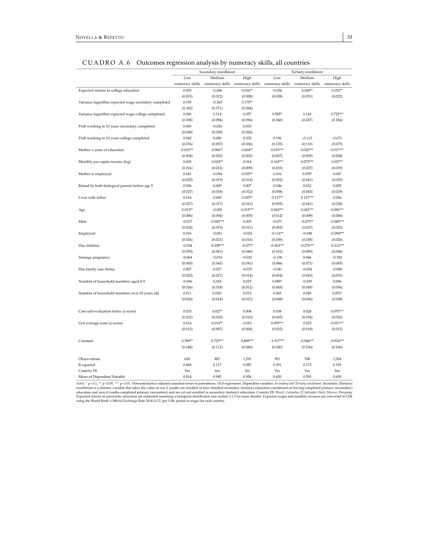|  | CUADRO A.6 Outcomes regression analysis by numeracy skills, all countries |
|--|---------------------------------------------------------------------------|
|  |                                                                           |

|                                                      | U                    | J<br>┚          | J               |                     |                 |                 |
|------------------------------------------------------|----------------------|-----------------|-----------------|---------------------|-----------------|-----------------|
|                                                      | Secondary enrollment |                 |                 | Tertiary enrollment |                 |                 |
|                                                      | Low                  | Medium          | High            | Low                 | Medium          | High            |
|                                                      | numeracy skills      | numeracy skills | numeracy skills | numeracy skills     | numeracy skills | numeracy skills |
| Expected returns to college education                | 0.005                | $-0.006$        | $0.016**$       | $-0.036$            | $0.068**$       | $0.052**$       |
|                                                      | (0.015)              | (0.012)         | (0.008)         | (0.038)             | (0.031)         | (0.022)         |
| Variance logarithm expected wage secondary completed | 0.195                | $-0.365$        | $0.170**$       |                     |                 |                 |
|                                                      | (0.342)              | (0.371)         | (0.084)         |                     |                 |                 |
| Variance logarithm expected wage college completed   | 0.096                | 0.114           | 0.057           | $0.585*$            | 0.143           | $0.725***$      |
|                                                      | (0.308)              | (0.094)         | (0.096)         | (0.340)             | (0.437)         | (0.184)         |
| Prob working in 10 years secondary completed         | 0.065                | $-0.026$        | 0.033           |                     |                 |                 |
|                                                      | (0.048)              | (0.030)         | (0.026)         |                     |                 |                 |
| Prob working in 10 years college completed           | 0.042                | 0.080           | 0.032           | 0.196               | $-0.113$        | $-0.071$        |
|                                                      | (0.076)              | (0.057)         | (0.036)         | (0.135)             | (0.110)         | (0.075)         |
| Mother's years of education                          | $0.010***$           | $0.006**$       | $0.004**$       | $0.019***$          | $0.020***$      | $0.017***$      |
|                                                      | (0.004)              | (0.002)         | (0.002)         | (0.007)             | (0.005)         | (0.004)         |
| Monthly per capita income (log)                      | 0.005                | $0.024**$       | 0.014           | $0.165***$          | $0.073***$      | $0.037**$       |
|                                                      | (0.016)              | (0.012)         | (0.009)         | (0.033)             | (0.027)         | (0.019)         |
| Mother is employed                                   | 0.041                | $-0.004$        | $0.035**$       | 0.016               | $0.078*$        | 0.007           |
|                                                      | (0.025)              | (0.019)         | (0.014)         | (0.052)             | (0.041)         | (0.029)         |
| Raised by both biological parents before age 5       | 0.036                | 0.009           | 0.007           | $-0.046$            | 0.012           | 0.005           |
|                                                      | (0.027)              | (0.018)         | (0.012)         | (0.058)             | (0.043)         | (0.029)         |
| Lives with father                                    | 0.014                | 0.005           | $0.025**$       | $0.117**$           | $0.127***$      | 0.036           |
|                                                      | (0.027)              | (0.017)         | (0.012)         | (0.055)             | (0.041)         | (0.028)         |
| Age                                                  | $0.013**$            | $-0.000$        | $0.015***$      | $0.063***$          | $0.042***$      | $0.056***$      |
|                                                      | (0.006)              | (0.004)         | (0.003)         | (0.012)             | (0.009)         | (0.006)         |
| Male                                                 | $-0.017$             | $-0.043***$     | 0.005           | $-0.071$            | $-0.073**$      | $-0.065***$     |
|                                                      | (0.024)              | (0.015)         | (0.011)         | (0.052)             | (0.037)         | (0.025)         |
| Employed                                             | 0.016                | $-0.001$        | $-0.024$        | $-0.114**$          | $-0.048$        | $-0.094***$     |
|                                                      | (0.026)              | (0.021)         | (0.016)         | (0.050)             | (0.038)         | (0.026)         |
| Has children                                         | $-0.034$             | $-0.209***$     | $-0.077*$       | $-0.363***$         | $-0.276***$     | $-0.212***$     |
|                                                      | (0.055)              | (0.061)         | (0.046)         | (0.101)             | (0.089)         | (0.068)         |
| Teenage pregnancy                                    | $-0.064$             | $-0.014$        | $-0.032$        | $-0.138$            | 0.046           | $-0.100$        |
|                                                      | (0.045)              | (0.043)         | (0.041)         | (0.086)             | (0.071)         | (0.065)         |
| Has family care duties                               | 0.007                | 0.027           | $-0.019$        | $-0.041$            | $-0.054$        | $-0.008$        |
|                                                      | (0.025)              | (0.017)         | (0.014)         | (0.054)             | (0.043)         | (0.031)         |
| Number of household members aged 0-5                 | $-0.006$             | 0.018           | 0.019           | $0.085*$            | $-0.039$        | 0.006           |
|                                                      | (0.026)              | (0.018)         | (0.012)         | (0.045)             | (0.049)         | (0.036)         |
| Number of household members over 65 years old        | 0.011                | $0.026*$        | 0.015           | 0.069               | 0.045           | $0.053*$        |
|                                                      | (0.024)              | (0.014)         | (0.012)         | (0.048)             | (0.036)         | (0.028)         |
|                                                      |                      |                 |                 |                     |                 |                 |
| Core self-evaluation Index (z-score)                 | 0.033                | $0.027*$        | 0.004           | 0.038               | 0.028           | $0.070***$      |
|                                                      | (0.022)              | (0.016)         | (0.010)         | (0.045)             | (0.034)         | (0.022)         |
| Grit average score (z-score)                         | 0.014                | $0.014**$       | $-0.001$        | $0.095***$          | 0.023           | $0.031***$      |
|                                                      | (0.012)              | (0.007)         | (0.006)         | (0.025)             | (0.018)         | (0.012)         |
|                                                      |                      |                 |                 |                     |                 |                 |
| Constant                                             | $0.399**$            | $0.723***$      | $0.489***$      | $-1.917***$         | $-0.846***$     | $-0.924***$     |
|                                                      | (0.188)              | (0.112)         | (0.086)         | (0.300)             | (0.236)         | (0.160)         |
|                                                      |                      |                 |                 |                     |                 |                 |
| Observations                                         | 650                  | 887             | 1,291           | 391                 | 708             | 1,304           |
| R-squared                                            | 0.084                | 0.117           | 0.087           | 0.291               | 0.173           | 0.193           |
| Country FE                                           | Yes                  | Yes             | Yes             | Yes                 | Yes             | Yes             |
| Mean of Dependent Variable                           | 0.914                | 0.945           | 0.954           | 0.430               | 0.593           | 0.630           |

Notes: \* p<0.1, \*\* p<0.05, \*\*\* p<0.01. Heteroskedasticy adjusted standard errors in parentheses. OLS regressions. Dependent variables: *Secondary and Tertiary enrollment* is a dummy variable that takes the value of one if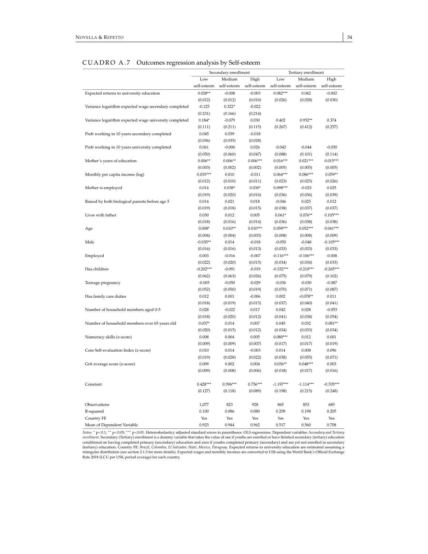# CUADRO A.7 Outcomes regression analysis by Self-esteem

|                                                       | Secondary enrollment |             |             | Tertiary enrollment |             |             |  |
|-------------------------------------------------------|----------------------|-------------|-------------|---------------------|-------------|-------------|--|
|                                                       | Low                  | Medium      | High        | Low                 | Medium      | High        |  |
|                                                       | self-esteem          | self-esteem | self-esteem | self-esteem         | self-esteem | self-esteem |  |
| Expected returns to university education              | $0.028**$            | $-0.008$    | $-0.003$    | $0.082***$          | 0.042       | $-0.002$    |  |
|                                                       | (0.012)              | (0.012)     | (0.010)     | (0.026)             | (0.028)     | (0.030)     |  |
| Variance logarithm expected wage secondary completed  | $-0.125$             | $0.322*$    | $-0.022$    |                     |             |             |  |
|                                                       | (0.231)              | (0.166)     | (0.214)     |                     |             |             |  |
| Variance logarithm expected wage university completed | $0.184*$             | $-0.079$    | 0.030       | 0.402               | $0.952**$   | 0.374       |  |
|                                                       | (0.111)              | (0.211)     | (0.115)     | (0.267)             | (0.412)     | (0.257)     |  |
| Prob working in 10 years secondary completed          | 0.045                | 0.039       | $-0.018$    |                     |             |             |  |
|                                                       | (0.036)              | (0.035)     | (0.028)     |                     |             |             |  |
| Prob working in 10 years university completed         | 0.061                | $-0.006$    | 0.026       | $-0.042$            | $-0.044$    | $-0.030$    |  |
|                                                       | (0.050)              | (0.060)     | (0.047)     | (0.088)             | (0.101)     | (0.114)     |  |
| Mother's years of education                           | $0.006**$            | $0.006**$   | $0.006***$  | $0.016***$          | $0.021***$  | $0.015***$  |  |
|                                                       | (0.003)              | (0.002)     | (0.002)     | (0.005)             | (0.005)     | (0.005)     |  |
| Monthly per capita income (log)                       | $0.035***$           | 0.010       | $-0.011$    | $0.064***$          | $0.086***$  | $0.059**$   |  |
|                                                       | (0.012)              | (0.010)     | (0.011)     | (0.023)             | (0.025)     | (0.026)     |  |
| Mother is employed                                    | 0.014                | $0.038*$    | $0.030*$    | $0.098***$          | $-0.023$    | 0.025       |  |
|                                                       | (0.019)              | (0.020)     | (0.016)     | (0.036)             | (0.036)     | (0.039)     |  |
| Raised by both biological parents before age 5        | 0.014                | 0.021       | 0.018       | $-0.046$            | 0.025       | 0.012       |  |
|                                                       | (0.019)              | (0.018)     | (0.015)     | (0.038)             | (0.037)     | (0.037)     |  |
| Lives with father                                     | 0.030                | 0.012       | 0.005       | $0.061*$            | $0.076**$   | $0.105***$  |  |
|                                                       | (0.018)              | (0.016)     | (0.014)     | (0.036)             | (0.038)     | (0.038)     |  |
| Age                                                   | $0.008*$             | $0.010**$   | $0.010***$  | $0.059***$          | $0.052***$  | $0.041***$  |  |
|                                                       | (0.004)              | (0.004)     | (0.003)     | (0.008)             | (0.008)     | (0.009)     |  |
| Male                                                  | $-0.035**$           | 0.014       | $-0.018$    | $-0.050$            | $-0.048$    | $-0.105***$ |  |
|                                                       | (0.016)              | (0.016)     | (0.013)     | (0.033)             | (0.033)     | (0.033)     |  |
| Employed                                              | 0.003                | $-0.016$    | $-0.007$    | $-0.116***$         | $-0.106***$ | $-0.008$    |  |
|                                                       | (0.022)              | (0.020)     | (0.015)     | (0.034)             | (0.034)     | (0.033)     |  |
| Has children                                          | $-0.202***$          | $-0.091$    | $-0.019$    | $-0.332***$         | $-0.210***$ | $-0.265***$ |  |
|                                                       | (0.062)              | (0.063)     | (0.026)     | (0.075)             | (0.079)     | (0.102)     |  |
| Teenage pregnancy                                     | $-0.005$             | $-0.050$    | $-0.029$    | $-0.036$            | $-0.030$    | $-0.087$    |  |
|                                                       | (0.052)              | (0.050)     | (0.019)     | (0.070)             | (0.071)     | (0.087)     |  |
| Has family care duties                                | 0.012                | 0.001       | $-0.006$    | 0.002               | $-0.078**$  | 0.011       |  |
|                                                       | (0.018)              | (0.019)     | (0.015)     | (0.037)             | (0.040)     | (0.041)     |  |
| Number of household members aged 0-5                  | 0.028                | $-0.022$    | 0.017       | 0.042               | 0.028       | $-0.053$    |  |
|                                                       | (0.018)              | (0.020)     | (0.012)     | (0.041)             | (0.038)     | (0.054)     |  |
| Number of household members over 65 years old         | $0.037*$             | 0.014       | 0.007       | 0.045               | 0.032       | $0.081**$   |  |
|                                                       | (0.020)              | (0.015)     | (0.012)     | (0.034)             | (0.033)     | (0.034)     |  |
| Numeracy skills (z-score)                             | 0.008                | 0.004       | 0.005       | $0.080***$          | 0.012       | 0.001       |  |
|                                                       | (0.009)              | (0.009)     | (0.007)     | (0.017)             | (0.017)     | (0.019)     |  |
| Core Self-evaluation Index (z-score)                  | 0.010                | 0.014       | $-0.003$    | 0.014               | 0.008       | 0.096       |  |
|                                                       | (0.019)              | (0.028)     | (0.022)     | (0.038)             | (0.055)     | (0.071)     |  |
| Grit average score (z-score)                          | 0.009                | 0.002       | 0.004       | $0.036**$           | $0.048***$  | 0.003       |  |
|                                                       | (0.009)              | (0.008)     | (0.006)     | (0.018)             | (0.017)     | (0.016)     |  |
|                                                       |                      |             |             |                     |             |             |  |
| Constant                                              | $0.428***$           | $0.596***$  | $0.756***$  | $-1.197***$         | $-1.114***$ | $-0.705***$ |  |
|                                                       | (0.127)              | (0.118)     | (0.089)     | (0.198)             | (0.215)     | (0.248)     |  |
|                                                       |                      |             |             |                     |             |             |  |
| Observations                                          | 1,077                | 823         | 928         | 865                 | 853         | 685         |  |
| R-squared                                             | 0.100                | 0.086       | 0.080       | 0.209               | 0.198       | 0.205       |  |
| Country FE                                            | Yes                  | Yes         | Yes         | Yes                 | Yes         | Yes         |  |
| Mean of Dependent Variable                            | 0.923                | 0.944       | 0.962       | 0.517               | 0.560       | 0.708       |  |
|                                                       |                      |             |             |                     |             |             |  |

Notes: \* p<0.1, \*\* p<0.05, \*\*\* p<0.01. Heteroskedasticy adjusted standard errors in parentheses. OLS regressions. Dependent variables: *Secondary and Tertiary*<br>enrollment. Secondary (Tertiary) enrollment is a dummy variabl conditional on having completed primary (secondary) education and zero if youths completed primary (secondary) and are yet not enrolled in secondary (tertiary) education. Country FE: Brazil, Colombia, El Salvador, Haiti, M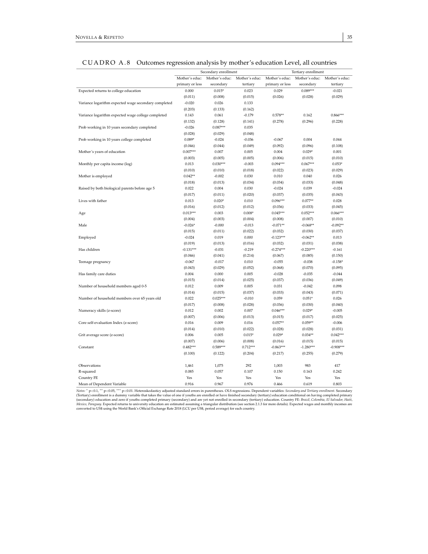|                                                      | Secondary enrollment |                     |                | Tertiary enrollment    |                        |                |  |
|------------------------------------------------------|----------------------|---------------------|----------------|------------------------|------------------------|----------------|--|
|                                                      | Mother's educ:       | Mother's educ:      | Mother's educ: | Mother's educ:         | Mother's educ:         | Mother's educ: |  |
|                                                      | primary or less      | secondary           | tertiary       | primary or less        | secondary              | tertiary       |  |
| Expected returns to college education                | 0.000                | $0.015*$            | 0.023          | 0.029                  | $0.089***$             | $-0.021$       |  |
|                                                      | (0.011)              | (0.008)             | (0.015)        | (0.026)                | (0.028)                | (0.029)        |  |
| Variance logarithm expected wage secondary completed | $-0.020$             | 0.026               | 0.133          |                        |                        |                |  |
|                                                      | (0.203)              | (0.133)             | (0.162)        |                        |                        |                |  |
| Variance logarithm expected wage college completed   | 0.143                | 0.061               | $-0.179$       | $0.578**$              | 0.162                  | $0.866***$     |  |
|                                                      | (0.132)              | (0.128)             | (0.141)        | (0.278)                | (0.296)                | (0.228)        |  |
| Prob working in 10 years secondary completed         | $-0.026$             | $0.087***$          | 0.035          |                        |                        |                |  |
|                                                      | (0.028)              | (0.029)             | (0.048)        |                        |                        |                |  |
| Prob working in 10 years college completed           | $0.089*$             | $-0.024$            | $-0.036$       | $-0.067$               | 0.004                  | 0.044          |  |
|                                                      | (0.046)              | (0.044)             | (0.049)        | (0.092)                | (0.096)                | (0.108)        |  |
| Mother's years of education                          | $0.007***$           | 0.007               | 0.005          | 0.004                  | $0.029*$               | 0.001          |  |
|                                                      | (0.003)              | (0.005)             | (0.005)        | (0.006)                | (0.015)                | (0.010)        |  |
| Monthly per capita income (log)                      | 0.013                | $0.030***$          | $-0.003$       | $0.094***$             | $0.067***$             | $0.053*$       |  |
|                                                      | (0.010)              | (0.010)             | (0.018)        | (0.022)                | (0.023)                | (0.029)        |  |
| Mother is employed                                   | $0.042**$            | $-0.002$            | 0.030          | 0.010                  | 0.040                  | 0.026          |  |
|                                                      | (0.018)              | (0.013)             | (0.034)        | (0.034)                | (0.033)                | (0.048)        |  |
| Raised by both biological parents before age 5       | 0.022                | 0.004               | 0.030          | $-0.024$               | 0.039                  | $-0.024$       |  |
|                                                      | (0.017)              | (0.011)             | (0.020)        | (0.037)                | (0.035)                | (0.043)        |  |
| Lives with father                                    | 0.013                | $0.020*$            | 0.010          | $0.096***$             | $0.077**$              | 0.028          |  |
|                                                      | (0.016)              | (0.012)             | (0.012)        | (0.036)                | (0.033)                | (0.045)        |  |
| Age                                                  | $0.013***$           | 0.003               | $0.008*$       | $0.045***$             | $0.052***$             | $0.066***$     |  |
|                                                      | (0.004)              | (0.003)             | (0.004)        | (0.008)                | (0.007)                | (0.010)        |  |
| Male                                                 | $-0.026*$            | $-0.000$            | $-0.013$       | $-0.071**$             | $-0.068**$             | $-0.092**$     |  |
|                                                      | (0.015)              | (0.011)             | (0.022)        | (0.032)                | (0.030)                | (0.037)        |  |
| Employed                                             | $-0.024$             | 0.019               | 0.000          | $-0.123***$            | $-0.062**$             | 0.013          |  |
|                                                      | (0.019)              | (0.013)             | (0.016)        |                        |                        | (0.038)        |  |
| Has children                                         | $-0.131***$          | $-0.031$            | $-0.219$       | (0.032)<br>$-0.274***$ | (0.031)<br>$-0.220***$ |                |  |
|                                                      |                      |                     |                |                        |                        | $-0.161$       |  |
|                                                      | (0.046)<br>$-0.067$  | (0.041)<br>$-0.017$ | (0.214)        | (0.067)<br>$-0.055$    | (0.085)                | (0.150)        |  |
| Teenage pregnancy                                    |                      |                     | 0.010          |                        | $-0.038$               | $-0.158*$      |  |
|                                                      | (0.043)              | (0.029)             | (0.052)        | (0.068)                | (0.070)                | (0.095)        |  |
| Has family care duties                               | 0.004                | 0.000               | 0.005          | $-0.028$               | $-0.035$               | $-0.044$       |  |
|                                                      | (0.015)              | (0.014)             | (0.025)        | (0.037)                | (0.036)                | (0.049)        |  |
| Number of household members aged 0-5                 | 0.012                | 0.009               | 0.005          | 0.031                  | $-0.042$               | 0.098          |  |
|                                                      | (0.014)              | (0.015)             | (0.037)        | (0.033)                | (0.043)                | (0.071)        |  |
| Number of household members over 65 years old        | 0.022                | $0.025***$          | $-0.010$       | 0.059                  | $0.051*$               | 0.026          |  |
|                                                      | (0.017)              | (0.008)             | (0.028)        | (0.036)                | (0.030)                | (0.040)        |  |
| Numeracy skills (z-score)                            | 0.012                | 0.002               | 0.007          | $0.046***$             | $0.029*$               | $-0.005$       |  |
|                                                      | (0.007)              | (0.006)             | (0.013)        | (0.015)                | (0.017)                | (0.025)        |  |
| Core self-evaluation Index (z-score)                 | 0.016                | 0.009               | 0.016          | $0.057**$              | $0.059**$              | $-0.006$       |  |
|                                                      | (0.014)              | (0.010)             | (0.022)        | (0.028)                | (0.028)                | (0.031)        |  |
| Grit average score (z-score)                         | 0.006                | 0.005               | $0.015*$       | $0.029*$               | $0.034**$              | $0.042***$     |  |
|                                                      | (0.007)              | (0.006)             | (0.008)        | (0.016)                | (0.015)                | (0.015)        |  |
| Constant                                             | $0.482***$           | $0.589***$          | $0.712***$     | $-0.863***$            | $-1.280***$            | $-0.908***$    |  |
|                                                      | (0.100)              | (0.122)             | (0.204)        | (0.217)                | (0.255)                | (0.279)        |  |
| Observations                                         | 1,461                | 1,075               | 292            | 1,003                  | 983                    | 417            |  |
| R-squared                                            | 0.085                | 0.057               | 0.107          | 0.150                  | 0.163                  | 0.242          |  |
| Country FE                                           | Yes                  | Yes                 | Yes            | Yes                    | Yes                    | Yes            |  |
| Mean of Dependent Variable                           | 0.916                | 0.967               | 0.976          | 0.466                  | 0.619                  | 0.803          |  |

# CUADRO A.8 Outcomes regression analysis by mother's education Level, all countries

Notes: \* p<0.13, \*\* p<0.05, \*\*\* p<0.01. Heteroskedasticy adjusted standard errors in parentheses. OLS regressions. Dependent variables: *Secondary and Tertiary enrollment*. Secondary (Tertiary) enrollment is a dummy variab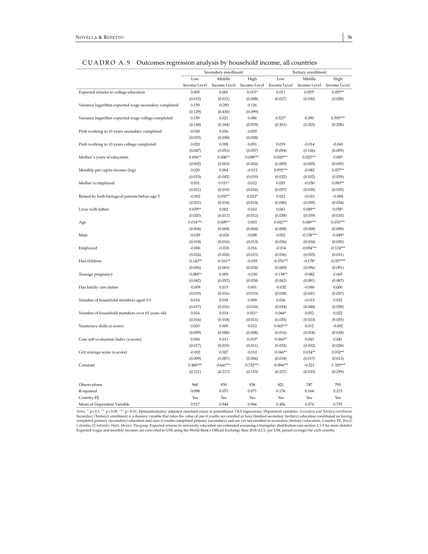|                                                      | - 7<br>Secondary enrollment<br>Tertiary enrollment |              |              |              |              |              |  |
|------------------------------------------------------|----------------------------------------------------|--------------|--------------|--------------|--------------|--------------|--|
|                                                      | Low                                                | Middle       | High         | Low          | Middle       | High         |  |
|                                                      | Income Level                                       | Income Level | Income Level | Income Level | Income Level | Income Level |  |
| Expected returns to college education                | 0.005                                              | 0.001        | $0.015*$     | 0.011        | $0.055*$     | $0.057**$    |  |
|                                                      | (0.012)                                            | (0.012)      | (0.008)      | (0.027)      | (0.030)      | (0.028)      |  |
| Variance logarithm expected wage secondary completed | 0.159                                              | $-0.293$     | 0.126        |              |              |              |  |
|                                                      | (0.129)                                            | (0.430)      | (0.099)      |              |              |              |  |
| Variance logarithm expected wage college completed   | 0.159                                              | 0.021        | 0.086        | $0.527*$     | 0.390        | $0.593***$   |  |
|                                                      | (0.148)                                            | (0.184)      | (0.079)      | (0.301)      | (0.325)      | (0.200)      |  |
| Prob working in 10 years secondary completed         | 0.038                                              | 0.026        | 0.005        |              |              |              |  |
|                                                      | (0.033)                                            | (0.038)      | (0.028)      |              |              |              |  |
| Prob working in 10 years college completed           | 0.020                                              | 0.008        | 0.091        | 0.019        | $-0.014$     | $-0.063$     |  |
|                                                      | (0.047)                                            | (0.051)      | (0.057)      | (0.094)      | (0.106)      | (0.095)      |  |
| Mother's years of education                          | $0.006**$                                          | $0.006**$    | $0.008***$   | $0.020***$   | $0.023***$   | 0.005        |  |
|                                                      | (0.002)                                            | (0.003)      | (0.002)      | (0.005)      | (0.005)      | (0.005)      |  |
| Monthly per capita income (log)                      | 0.020                                              | 0.004        | $-0.012$     | $0.092***$   | $-0.082$     | $0.077**$    |  |
|                                                      | (0.015)                                            | (0.042)      | (0.019)      | (0.032)      | (0.102)      | (0.039)      |  |
| Mother is employed                                   | 0.031                                              | $0.031*$     | 0.012        | 0.033        | $-0.030$     | $0.083**$    |  |
|                                                      | (0.021)                                            | (0.019)      | (0.016)      | (0.037)      | (0.039)      | (0.035)      |  |
| Raised by both biological parents before age 5       | $-0.002$                                           | $0.035**$    | $0.023*$     | 0.022        | $-0.010$     | $-0.004$     |  |
|                                                      | (0.021)                                            | (0.018)      | (0.014)      | (0.040)      | (0.039)      | (0.034)      |  |
| Lives with father                                    | $0.039**$                                          | 0.002        | 0.010        | 0.061        | $0.089**$    | $0.058*$     |  |
|                                                      | (0.020)                                            | (0.017)      | (0.012)      | (0.038)      | (0.039)      | (0.033)      |  |
| Age                                                  | $0.014***$                                         | $0.009**$    | 0.003        | $0.042***$   | $0.049***$   | $0.070***$   |  |
|                                                      | (0.004)                                            | (0.004)      | (0.004)      | (0.008)      | (0.008)      | (0.008)      |  |
| Male                                                 | $-0.029$                                           | $-0.024$     | 0.008        | 0.002        | $-0.158***$  | $-0.049*$    |  |
|                                                      | (0.018)                                            | (0.016)      | (0.013)      | (0.036)      | (0.034)      | (0.030)      |  |
| Employed                                             | $-0.006$                                           | $-0.018$     | 0.016        | $-0.014$     | $-0.094***$  | $-0.124***$  |  |
|                                                      | (0.024)                                            | (0.020)      | (0.015)      | (0.036)      | (0.035)      | (0.031)      |  |
| Has children                                         | $-0.143**$                                         | $-0.161**$   | $-0.035$     | $-0.276***$  | $-0.178*$    | $-0.357***$  |  |
|                                                      | (0.056)                                            | (0.063)      | (0.034)      | (0.069)      | (0.096)      | (0.091)      |  |
| Teenage pregnancy                                    | $-0.084**$                                         | 0.009        | $-0.030$     | $-0.134**$   | $-0.082$     | 0.065        |  |
|                                                      | (0.042)                                            | (0.052)      | (0.024)      | (0.062)      | (0.081)      | (0.087)      |  |
| Has family care duties                               | $-0.009$                                           | 0.013        | 0.001        | $-0.032$     | $-0.046$     | 0.000        |  |
|                                                      | (0.019)                                            | (0.016)      | (0.015)      | (0.038)      | (0.041)      | (0.037)      |  |
| Number of household members aged 0-5                 | 0.014                                              | 0.018        | 0.009        | 0.036        | $-0.015$     | 0.032        |  |
|                                                      | (0.017)                                            | (0.016)      | (0.016)      | (0.034)      | (0.044)      | (0.058)      |  |
| Number of household members over 65 years old        | 0.016                                              | 0.014        | $0.021*$     | $0.066*$     | 0.052        | 0.022        |  |
|                                                      | (0.016)                                            | (0.018)      | (0.011)      | (0.035)      | (0.033)      | (0.035)      |  |
| Numeracy skills (z-score)                            | 0.003                                              | 0.009        | 0.012        | $0.065***$   | 0.012        | $-0.002$     |  |
|                                                      | (0.009)                                            | (0.008)      | (0.008)      | (0.016)      | (0.018)      | (0.018)      |  |
| Core self-evaluation Index (z-score)                 | 0.004                                              | 0.013        | $0.019*$     | $0.064**$    | 0.043        | 0.041        |  |
|                                                      | (0.017)                                            | (0.015)      | (0.011)      | (0.032)      | (0.032)      | (0.026)      |  |
| Grit average score (z-score)                         | $-0.002$                                           | 0.007        | 0.010        | $0.044**$    | $0.034**$    | $0.032**$    |  |
|                                                      | (0.009)                                            | (0.007)      | (0.006)      | (0.018)      | (0.017)      | (0.013)      |  |
| Constant                                             | $0.480***$                                         | $0.641***$   | $0.722***$   | $-0.994***$  | $-0.221$     | $-1.329***$  |  |
|                                                      | (0.121)                                            | (0.217)      | (0.153)      | (0.227)      | (0.533)      | (0.259)      |  |
| Observations                                         | 960                                                | 930          | 938          | 821          | 787          | 795          |  |
| R-squared                                            | 0.098                                              | 0.071        | 0.071        | 0.176        | 0.164        | 0.215        |  |
| Country FE                                           | Yes                                                | Yes          | Yes          | Yes          | Yes          | Yes          |  |
| Mean of Dependent Variable                           | 0.917                                              | 0.944        | 0.966        | 0.456        | 0.574        | 0.735        |  |

| CUADRO A.9 Outcomes regression analysis by household income, all countries |  |
|----------------------------------------------------------------------------|--|
|----------------------------------------------------------------------------|--|

Notes: \* p<0.0, \*\* p<0.05, \*\*\* p<0.01. Heteroskedasticy adjusted standard errors in parentheses. OLS regressions. Dependent variables: *Secondary and Tertiary enrollment*. Secondary (Tertiary) enrollment is a dummy variabl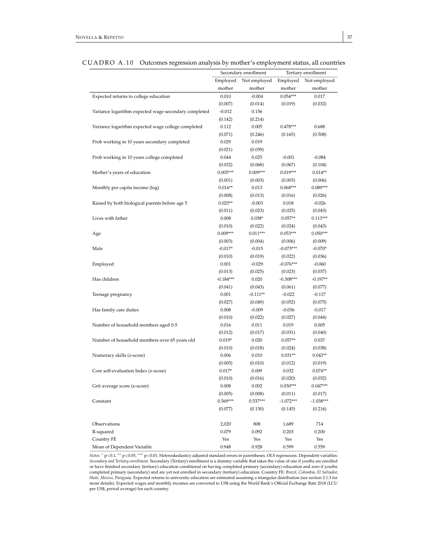|                                                      | Secondary enrollment |              |             | Tertiary enrollment |
|------------------------------------------------------|----------------------|--------------|-------------|---------------------|
|                                                      | Employed             | Not employed | Employed    | Not employed        |
|                                                      | mother               | mother       | mother      | mother              |
| Expected returns to college education                | 0.010                | $-0.004$     | $0.054***$  | 0.017               |
|                                                      | (0.007)              | (0.014)      | (0.019)     | (0.032)             |
| Variance logarithm expected wage secondary completed | $-0.012$             | 0.156        |             |                     |
|                                                      | (0.142)              | (0.214)      |             |                     |
| Variance logarithm expected wage college completed   | 0.112                | 0.005        | $0.478***$  | 0.688               |
|                                                      | (0.071)              | (0.246)      | (0.165)     | (0.508)             |
| Prob working in 10 years secondary completed         | 0.029                | 0.019        |             |                     |
|                                                      | (0.021)              | (0.039)      |             |                     |
| Prob working in 10 years college completed           | 0.044                | 0.025        | $-0.001$    | $-0.084$            |
|                                                      | (0.032)              | (0.068)      | (0.067)     | (0.104)             |
| Mother's years of education                          | $0.005***$           | $0.009***$   | $0.019***$  | $0.014**$           |
|                                                      | (0.001)              | (0.003)      | (0.003)     | (0.006)             |
| Monthly per capita income (log)                      | $0.016**$            | 0.013        | $0.068***$  | $0.089***$          |
|                                                      | (0.008)              | (0.013)      | (0.016)     | (0.026)             |
| Raised by both biological parents before age 5       | $0.025**$            | $-0.003$     | 0.018       | $-0.026$            |
|                                                      | (0.011)              | (0.023)      | (0.025)     | (0.043)             |
| Lives with father                                    | 0.008                | $0.038*$     | $0.057**$   | $0.113***$          |
|                                                      | (0.010)              | (0.022)      | (0.024)     | (0.043)             |
| Age                                                  | $0.009***$           | $0.011***$   | $0.053***$  | $0.050***$          |
|                                                      | (0.003)              | (0.004)      | (0.006)     | (0.009)             |
| Male                                                 | $-0.017*$            | $-0.015$     | $-0.073***$ | $-0.070*$           |
|                                                      | (0.010)              | (0.019)      | (0.022)     | (0.036)             |
| Employed                                             | 0.001                | $-0.029$     | $-0.076***$ | $-0.060$            |
|                                                      | (0.013)              | (0.025)      | (0.023)     | (0.037)             |
| Has children                                         | $-0.184***$          | 0.020        | $-0.308***$ | $-0.197**$          |
|                                                      | (0.041)              | (0.043)      | (0.061)     | (0.077)             |
| Teenage pregnancy                                    | 0.001                | $-0.111**$   | $-0.022$    | $-0.117$            |
|                                                      | (0.027)              | (0.049)      | (0.052)     | (0.075)             |
| Has family care duties                               | 0.008                | $-0.009$     | $-0.036$    | $-0.017$            |
|                                                      | (0.010)              | (0.022)      | (0.027)     | (0.044)             |
| Number of household members aged 0-5                 | 0.016                | 0.011        | 0.019       | 0.005               |
|                                                      | (0.012)              | (0.017)      | (0.031)     | (0.040)             |
| Number of household members over 65 years old        | $0.019*$             | 0.020        | $0.057**$   | 0.037               |
|                                                      | (0.010)              | (0.018)      | (0.024)     | (0.038)             |
| Numeracy skills (z-score)                            | 0.006                | 0.010        | $0.031**$   | $0.043**$           |
|                                                      | (0.005)              | (0.010)      | (0.012)     | (0.019)             |
| Core self-evaluation Index (z-score)                 | $0.017*$             | 0.009        | 0.032       | $0.074**$           |
|                                                      | (0.010)              | (0.016)      | (0.020)     | (0.032)             |
| Grit average score (z-score)                         | 0.008                | 0.002        | $0.030***$  | $0.047***$          |
|                                                      | (0.005)              | (0.008)      | (0.011)     | (0.017)             |
| Constant                                             | $0.569***$           | $0.537***$   | $-1.072***$ | $-1.038***$         |
|                                                      | (0.077)              | (0.130)      | (0.145)     | (0.216)             |
|                                                      |                      |              |             |                     |
| Observations                                         | 2,020                | 808          | 1,689       | 714                 |
| R-squared                                            | 0.079                | 0.092        | 0.203       | 0.200               |
| Country FE                                           | Yes                  | Yes          | Yes         | Yes                 |
| Mean of Dependent Variable                           | 0.948                | 0.928        | 0.599       | 0.559               |

CUADRO A.10 Outcomes regression analysis by mother's employment status, all countries

*Notes:* \* p<0.1, \*\* p<0.05, \*\*\* p<0.01. Heteroskedasticy adjusted standard errors in parentheses. OLS regressions. Dependent variables: *Secondary and Tertiary enrollment*. Secondary (Tertiary) enrollment is a dummy variable that takes the value of one if youths are enrolled or have finished secondary (tertiary) education conditional on having completed primary (secondary) education and zero if youths completed primary (secondary) and are yet not enrolled in secondary (tertiary) education. Country FE: *Brazil, Colombia, El Salvador, Haiti, Mexico, Paraguay*. Expected returns to university education are estimated assuming a triangular distribution (see section 2.1.3 for more details). Expected wages and monthly incomes are converted to US\$ using the World Bank's Official Exchange Rate 2018 (LCU per US\$, period average) for each country.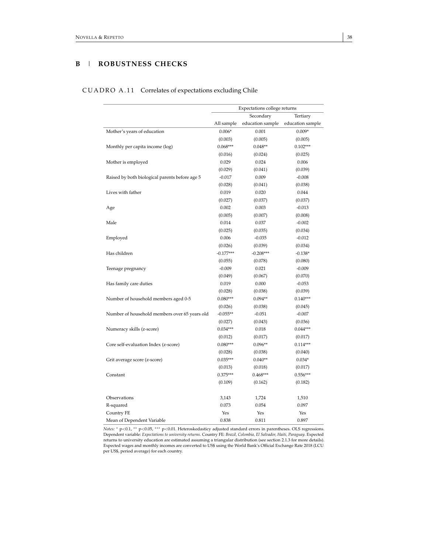# **B** | **ROBUSTNESS CHECKS**

# CUADRO A.11 Correlates of expectations excluding Chile

<span id="page-38-0"></span>

|                                                | Expectations college returns |                  |                  |  |  |  |
|------------------------------------------------|------------------------------|------------------|------------------|--|--|--|
|                                                | Secondary<br>Tertiary        |                  |                  |  |  |  |
|                                                | All sample                   | education sample | education sample |  |  |  |
| Mother's years of education                    | $0.006*$                     | 0.001            | $0.009*$         |  |  |  |
|                                                | (0.003)                      | (0.005)          | (0.005)          |  |  |  |
| Monthly per capita income (log)                | $0.068***$                   | $0.048**$        | $0.102***$       |  |  |  |
|                                                | (0.016)                      | (0.024)          | (0.025)          |  |  |  |
| Mother is employed                             | 0.029                        | 0.024            | 0.006            |  |  |  |
|                                                | (0.029)                      | (0.041)          | (0.039)          |  |  |  |
| Raised by both biological parents before age 5 | $-0.017$                     | 0.009            | $-0.008$         |  |  |  |
|                                                | (0.028)                      | (0.041)          | (0.038)          |  |  |  |
| Lives with father                              | 0.019                        | 0.020            | 0.044            |  |  |  |
|                                                | (0.027)                      | (0.037)          | (0.037)          |  |  |  |
| Age                                            | 0.002                        | 0.003            | $-0.013$         |  |  |  |
|                                                | (0.005)                      | (0.007)          | (0.008)          |  |  |  |
| Male                                           | 0.014                        | 0.037            | $-0.002$         |  |  |  |
|                                                | (0.025)                      | (0.035)          | (0.034)          |  |  |  |
| Employed                                       | 0.006                        | $-0.035$         | $-0.012$         |  |  |  |
|                                                | (0.026)                      | (0.039)          | (0.034)          |  |  |  |
| Has children                                   | $-0.177***$                  | $-0.208***$      | $-0.138*$        |  |  |  |
|                                                | (0.055)                      | (0.078)          | (0.080)          |  |  |  |
| Teenage pregnancy                              | $-0.009$                     | 0.021            | $-0.009$         |  |  |  |
|                                                | (0.049)                      | (0.067)          | (0.070)          |  |  |  |
| Has family care duties                         | 0.019                        | 0.000            | $-0.053$         |  |  |  |
|                                                | (0.028)                      | (0.038)          | (0.039)          |  |  |  |
| Number of household members aged 0-5           | $0.080***$                   | $0.094**$        | $0.140***$       |  |  |  |
|                                                | (0.026)                      | (0.038)          | (0.045)          |  |  |  |
| Number of household members over 65 years old  | $-0.055**$                   | $-0.051$         | $-0.007$         |  |  |  |
|                                                | (0.027)                      | (0.043)          | (0.036)          |  |  |  |
| Numeracy skills (z-score)                      | $0.034***$                   | 0.018            | $0.044***$       |  |  |  |
|                                                | (0.012)                      | (0.017)          | (0.017)          |  |  |  |
| Core self-evaluation Index (z-score)           | $0.080***$                   | $0.096**$        | $0.114***$       |  |  |  |
|                                                | (0.028)                      | (0.038)          | (0.040)          |  |  |  |
| Grit average score (z-score)                   | $0.035***$                   | $0.040**$        | $0.034*$         |  |  |  |
|                                                | (0.013)                      | (0.018)          | (0.017)          |  |  |  |
| Constant                                       | $0.375***$                   | $0.468***$       | $0.556***$       |  |  |  |
|                                                | (0.109)                      | (0.162)          | (0.182)          |  |  |  |
| Observations                                   | 3,143                        | 1,724            | 1,510            |  |  |  |
| R-squared                                      | 0.073                        | 0.054            | 0.097            |  |  |  |
| Country FE                                     | Yes                          | Yes              | Yes              |  |  |  |
| Mean of Dependent Variable                     | 0.838                        | 0.811            | 0.897            |  |  |  |

*Notes:* \* p<0.1, \*\* p<0.05, \*\*\* p<0.01. Heteroskedasticy adjusted standard errors in parentheses. OLS regressions. Dependent variable: *Expectations to university returns*. Country FE: *Brazil, Colombia, El Salvador, Hai*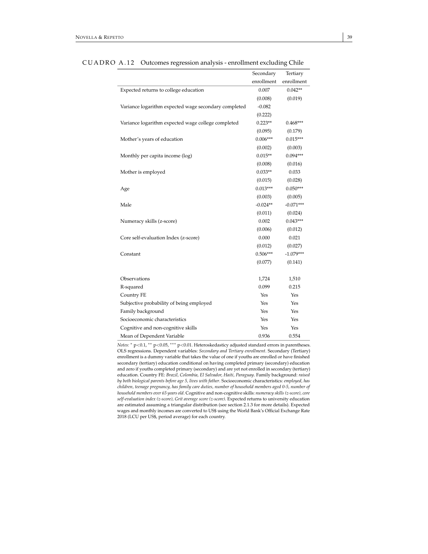|                                                      | Secondary  | Tertiary    |
|------------------------------------------------------|------------|-------------|
|                                                      | enrollment | enrollment  |
| Expected returns to college education                | 0.007      | $0.042**$   |
|                                                      | (0.008)    | (0.019)     |
| Variance logarithm expected wage secondary completed | $-0.082$   |             |
|                                                      | (0.222)    |             |
| Variance logarithm expected wage college completed   | $0.223**$  | $0.468***$  |
|                                                      | (0.095)    | (0.179)     |
| Mother's years of education                          | $0.006***$ | $0.015***$  |
|                                                      | (0.002)    | (0.003)     |
| Monthly per capita income (log)                      | $0.015**$  | $0.094***$  |
|                                                      | (0.008)    | (0.016)     |
| Mother is employed                                   | $0.033**$  | 0.033       |
|                                                      | (0.015)    | (0.028)     |
| Age                                                  | $0.013***$ | $0.050***$  |
|                                                      | (0.003)    | (0.005)     |
| Male                                                 | $-0.024**$ | $-0.071***$ |
|                                                      | (0.011)    | (0.024)     |
| Numeracy skills (z-score)                            | 0.002      | $0.043***$  |
|                                                      | (0.006)    | (0.012)     |
| Core self-evaluation Index (z-score)                 | 0.000      | 0.021       |
|                                                      | (0.012)    | (0.027)     |
| Constant                                             | $0.506***$ | $-1.079***$ |
|                                                      | (0.077)    | (0.141)     |
|                                                      |            |             |
| Observations                                         | 1,724      | 1,510       |
| R-squared                                            | 0.099      | 0.215       |
| Country FE                                           | Yes        | Yes         |
| Subjective probability of being employed             | Yes        | Yes         |
| Family background                                    | Yes        | Yes         |
| Socioeconomic characteristics                        | Yes        | Yes         |
| Cognitive and non-cognitive skills                   | Yes        | Yes         |
| Mean of Dependent Variable                           | 0.936      | 0.554       |

CUADRO A.12 Outcomes regression analysis - enrollment excluding Chile

*Notes:* <sup>\*</sup> p<0.1, <sup>\*\*</sup> p<0.05, <sup>\*\*\*</sup> p<0.01. Heteroskedasticy adjusted standard errors in parentheses. OLS regressions. Dependent variables: *Secondary and Tertiary enrollment*. Secondary (Tertiary) enrollment is a dummy variable that takes the value of one if youths are enrolled or have finished secondary (tertiary) education conditional on having completed primary (secondary) education and zero if youths completed primary (secondary) and are yet not enrolled in secondary (tertiary) education. Country FE: *Brazil, Colombia, El Salvador, Haiti, Paraguay*. Family background: *raised by both biological parents before age 5, lives with father*. Socioeconomic characteristics: *employed, has children, teenage pregnancy, has family care duties, number of household members aged 0-5, number of household members over 65 years old*. Cognitive and non-cognitive skills: *numeracy skills (z-score), core self-evaluation index (z-score), Grit average score (z-score)*. Expected returns to university education are estimated assuming a triangular distribution (see section 2.1.3 for more details). Expected wages and monthly incomes are converted to US\$ using the World Bank's Official Exchange Rate 2018 (LCU per US\$, period average) for each country.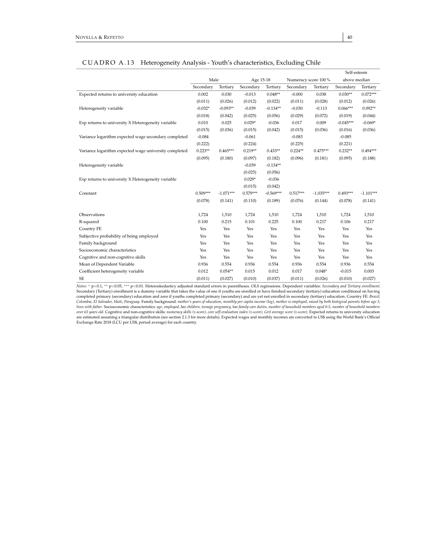|                                                       |            |             |            |             |                     |             | Self-esteem  |             |
|-------------------------------------------------------|------------|-------------|------------|-------------|---------------------|-------------|--------------|-------------|
|                                                       | Male       |             | Age 15-18  |             | Numeracy score 100% |             | above median |             |
|                                                       | Secondary  | Tertiary    | Secondary  | Tertiary    | Secondary           | Tertiary    | Secondary    | Tertiary    |
| Expected returns to university education              | 0.002      | 0.030       | $-0.013$   | $0.048**$   | $-0.000$            | 0.038       | $0.030**$    | $0.072***$  |
|                                                       | (0.011)    | (0.026)     | (0.012)    | (0.022)     | (0.011)             | (0.028)     | (0.012)      | (0.026)     |
| Heterogeneity variable                                | $-0.032*$  | $-0.093**$  | $-0.039$   | $-0.134**$  | $-0.030$            | $-0.113$    | $0.066***$   | $0.092**$   |
|                                                       | (0.018)    | (0.042)     | (0.025)    | (0.056)     | (0.029)             | (0.072)     | (0.019)      | (0.044)     |
| Exp returns to university X Heterogeneity variable    | 0.010      | 0.025       | $0.029*$   | $-0.036$    | 0.017               | 0.009       | $-0.045***$  | $-0.069*$   |
|                                                       | (0.015)    | (0.036)     | (0.015)    | (0.042)     | (0.015)             | (0.036)     | (0.016)      | (0.036)     |
| Variance logarithm expected wage secondary completed  | $-0.084$   |             | $-0.061$   |             | $-0.083$            |             | $-0.085$     |             |
|                                                       | (0.222)    |             | (0.224)    |             | (0.225)             |             | (0.221)      |             |
| Variance logarithm expected wage university completed | $0.223**$  | $0.465***$  | $0.219**$  | $0.433**$   | $0.224**$           | $0.475***$  | $0.232**$    | $0.494***$  |
|                                                       | (0.095)    | (0.180)     | (0.097)    | (0.182)     | (0.096)             | (0.181)     | (0.095)      | (0.188)     |
| Heterogeneity variable                                |            |             | $-0.039$   | $-0.134**$  |                     |             |              |             |
|                                                       |            |             | (0.025)    | (0.056)     |                     |             |              |             |
| Exp returns to university X Heterogeneity variable    |            |             | $0.029*$   | $-0.036$    |                     |             |              |             |
|                                                       |            |             | (0.015)    | (0.042)     |                     |             |              |             |
| Constant                                              | $0.509***$ | $-1.071***$ | $0.579***$ | $-0.569***$ | $0.517***$          | $-1.035***$ | $0.493***$   | $-1.101***$ |
|                                                       | (0.078)    | (0.141)     | (0.110)    | (0.189)     | (0.076)             | (0.144)     | (0.078)      | (0.141)     |
| Observations                                          | 1,724      | 1,510       | 1,724      | 1,510       | 1,724               | 1,510       | 1,724        | 1,510       |
| R-squared                                             | 0.100      | 0.215       | 0.101      | 0.225       | 0.100               | 0.217       | 0.106        | 0.217       |
| Country FE                                            | Yes        | Yes         | Yes        | Yes         | Yes                 | Yes         | Yes          | Yes         |
| Subjective probability of being employed              | Yes        | Yes         | Yes        | Yes         | Yes                 | Yes         | Yes          | Yes         |
| Family background                                     | Yes        | Yes         | Yes        | Yes         | Yes                 | Yes         | Yes          | Yes         |
| Socioeconomic characteristics                         | Yes        | Yes         | Yes        | Yes         | Yes                 | Yes         | Yes          | Yes         |
| Cognitive and non-cognitive skills                    | Yes        | Yes         | Yes        | Yes         | Yes                 | Yes         | Yes          | Yes         |
| Mean of Dependent Variable                            | 0.936      | 0.554       | 0.936      | 0.554       | 0.936               | 0.554       | 0.936        | 0.554       |
| Coefficient heterogeneity variable                    | 0.012      | $0.054**$   | 0.015      | 0.012       | 0.017               | $0.048*$    | $-0.015$     | 0.003       |
| <b>SE</b>                                             | (0.011)    | (0.027)     | (0.010)    | (0.037)     | (0.011)             | (0.026)     | (0.010)      | (0.027)     |

#### CUADRO A.13 Heterogeneity Analysis - Youth's characteristics, Excluding Chile

*Notes:* <sup>∗</sup> <sup>p</sup><0.1, ∗∗ <sup>p</sup><0.05, ∗∗∗ <sup>p</sup><sup>&</sup>lt;0.01. Heteroskedasticy adjusted standard errors in parentheses. OLS regressions. Dependent variables: *Secondary and Tertiary enrollment*. Secondary (Tertiary) enrollment is a dummy variable that takes the value of one if youths are enrolled or have finished secondary (tertiary) education conditional on having completed primary (secondary) education and zero if youths completed primary (secondary) and are yet not enrolled in secondary (tertiary) education. Country FE: Brazil, Colombia, El Salvador, Haiti, Paraguay. Family backgr are estimated assuming a triangular distribution (see section 2.1.3 for more details). Expected wages and monthly incomes are converted to US\$ using the World Bank's Official<br>Exchange Rate 2018 (LCU per US\$, period average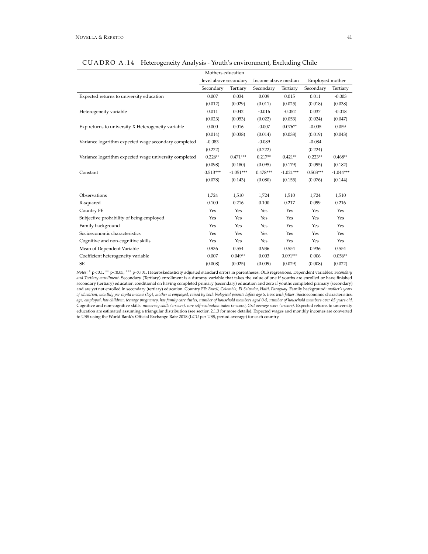|                                                       | Mothers education     |             |                     |             |                 |             |
|-------------------------------------------------------|-----------------------|-------------|---------------------|-------------|-----------------|-------------|
|                                                       | level above secondary |             | Income above median |             | Employed mother |             |
|                                                       | Secondary             | Tertiary    | Secondary           | Tertiary    | Secondary       | Tertiary    |
| Expected returns to university education              | 0.007                 | 0.034       | 0.009               | 0.015       | 0.011           | $-0.003$    |
|                                                       | (0.012)               | (0.029)     | (0.011)             | (0.025)     | (0.018)         | (0.038)     |
| Heterogeneity variable                                | 0.011                 | 0.042       | $-0.016$            | $-0.052$    | 0.037           | $-0.018$    |
|                                                       | (0.023)               | (0.053)     | (0.022)             | (0.053)     | (0.024)         | (0.047)     |
| Exp returns to university X Heterogeneity variable    | 0.000                 | 0.016       | $-0.007$            | $0.076**$   | $-0.005$        | 0.059       |
|                                                       | (0.014)               | (0.038)     | (0.014)             | (0.038)     | (0.019)         | (0.043)     |
| Variance logarithm expected wage secondary completed  | $-0.083$              |             | $-0.089$            |             | $-0.084$        |             |
|                                                       | (0.222)               |             | (0.222)             |             | (0.224)         |             |
| Variance logarithm expected wage university completed | $0.226**$             | $0.471***$  | $0.217**$           | $0.421**$   | $0.223**$       | $0.468**$   |
|                                                       | (0.098)               | (0.180)     | (0.095)             | (0.179)     | (0.095)         | (0.182)     |
| Constant                                              | $0.513***$            | $-1.051***$ | $0.478***$          | $-1.021***$ | $0.503***$      | $-1.044***$ |
|                                                       | (0.078)               | (0.143)     | (0.080)             | (0.155)     | (0.076)         | (0.144)     |
|                                                       |                       |             |                     |             |                 |             |
| Observations                                          | 1,724                 | 1,510       | 1,724               | 1,510       | 1,724           | 1,510       |
| R-squared                                             | 0.100                 | 0.216       | 0.100               | 0.217       | 0.099           | 0.216       |
| Country FE                                            | Yes                   | Yes         | Yes                 | Yes         | Yes             | Yes         |
| Subjective probability of being employed              | Yes                   | Yes         | Yes                 | Yes         | Yes             | Yes         |
| Family background                                     | Yes                   | Yes         | Yes                 | Yes         | Yes             | Yes         |
| Socioeconomic characteristics                         | Yes                   | Yes         | Yes                 | Yes         | Yes             | Yes         |
| Cognitive and non-cognitive skills                    | Yes                   | Yes         | Yes                 | Yes         | Yes             | Yes         |
| Mean of Dependent Variable                            | 0.936                 | 0.554       | 0.936               | 0.554       | 0.936           | 0.554       |
| Coefficient heterogeneity variable                    | 0.007                 | $0.049**$   | 0.003               | $0.091***$  | 0.006           | $0.056**$   |
| <b>SE</b>                                             | (0.008)               | (0.025)     | (0.009)             | (0.029)     | (0.008)         | (0.022)     |

# CUADRO A.14 Heterogeneity Analysis - Youth's environment, Excluding Chile

Notes: \* p<0.1, \*\* p<0.05, \*\*\* p<0.01. Heteroskedasticity adjusted standard errors in parentheses. OLS regressions. Dependent variables: *Secondary* and Tertiary enrollment. Secondary (Tertiary) enrollment is a dummy varia secondary (tertiary) education conditional on having completed primary (secondary) education and zero if youths completed primary (secondary)<br>and are yet not enrolled in secondary (tertiary) education. Country FE: Brazil, of education, monthly per capita income (log), mother is employed, raised by both biological parents before age 5, lives with father. Socioeconomic characteristics:<br>Cage, employed, has children, teenage pregnancy, has fami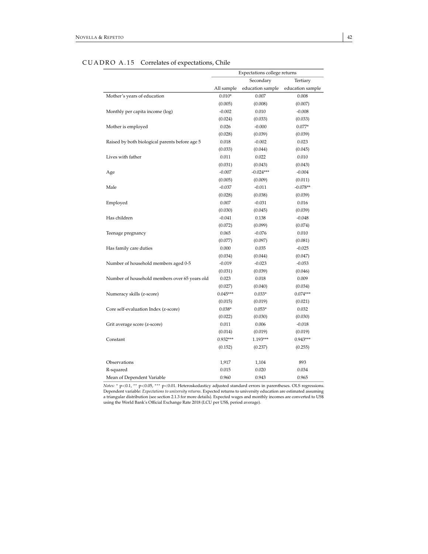| д                                              | Expectations college returns |                  |                  |  |  |  |  |
|------------------------------------------------|------------------------------|------------------|------------------|--|--|--|--|
|                                                |                              | Secondary        | Tertiary         |  |  |  |  |
|                                                | All sample                   | education sample | education sample |  |  |  |  |
| Mother's years of education                    | $0.010*$                     | 0.007            | 0.008            |  |  |  |  |
|                                                | (0.005)                      | (0.008)          | (0.007)          |  |  |  |  |
| Monthly per capita income (log)                | $-0.002$                     | 0.010            | $-0.008$         |  |  |  |  |
|                                                | (0.024)                      | (0.033)          | (0.033)          |  |  |  |  |
| Mother is employed                             | 0.026                        | $-0.000$         | $0.077*$         |  |  |  |  |
|                                                | (0.028)                      | (0.039)          | (0.039)          |  |  |  |  |
| Raised by both biological parents before age 5 | 0.018                        | $-0.002$         | 0.023            |  |  |  |  |
|                                                | (0.033)                      | (0.044)          | (0.045)          |  |  |  |  |
| Lives with father                              | 0.011                        | 0.022            | 0.010            |  |  |  |  |
|                                                | (0.031)                      | (0.043)          | (0.043)          |  |  |  |  |
| Age                                            | $-0.007$                     | $-0.024***$      | $-0.004$         |  |  |  |  |
|                                                | (0.005)                      | (0.009)          | (0.011)          |  |  |  |  |
| Male                                           | $-0.037$                     | $-0.011$         | $-0.078**$       |  |  |  |  |
|                                                | (0.028)                      | (0.038)          | (0.039)          |  |  |  |  |
| Employed                                       | 0.007                        | $-0.031$         | 0.016            |  |  |  |  |
|                                                | (0.030)                      | (0.045)          | (0.039)          |  |  |  |  |
| Has children                                   | $-0.041$                     | 0.138            | $-0.048$         |  |  |  |  |
|                                                | (0.072)                      | (0.099)          | (0.074)          |  |  |  |  |
| Teenage pregnancy                              | 0.065                        | $-0.076$         | 0.010            |  |  |  |  |
|                                                | (0.077)                      | (0.097)          | (0.081)          |  |  |  |  |
| Has family care duties                         | 0.000                        | 0.035            | $-0.025$         |  |  |  |  |
|                                                | (0.034)                      | (0.044)          | (0.047)          |  |  |  |  |
| Number of household members aged 0-5           | $-0.019$                     | $-0.023$         | $-0.053$         |  |  |  |  |
|                                                | (0.031)                      | (0.039)          | (0.046)          |  |  |  |  |
| Number of household members over 65 years old  | 0.023                        | 0.018            | 0.009            |  |  |  |  |
|                                                | (0.027)                      | (0.040)          | (0.034)          |  |  |  |  |
| Numeracy skills (z-score)                      | $0.045***$                   | $0.033*$         | $0.074***$       |  |  |  |  |
|                                                | (0.015)                      | (0.019)          | (0.021)          |  |  |  |  |
| Core self-evaluation Index (z-score)           | $0.038*$                     | $0.053*$         | 0.032            |  |  |  |  |
|                                                | (0.022)                      | (0.030)          | (0.030)          |  |  |  |  |
| Grit average score (z-score)                   | 0.011                        | 0.006            | $-0.018$         |  |  |  |  |
|                                                | (0.014)                      | (0.019)          | (0.019)          |  |  |  |  |
| Constant                                       | $0.932***$                   | 1.193***         | $0.943***$       |  |  |  |  |
|                                                | (0.152)                      | (0.237)          | (0.255)          |  |  |  |  |
| Observations                                   | 1,917                        | 1,104            | 893              |  |  |  |  |
| R-squared                                      | 0.015                        | 0.020            | 0.034            |  |  |  |  |
| Mean of Dependent Variable                     | 0.960                        | 0.943            | 0.965            |  |  |  |  |

# CUADRO A.15 Correlates of expectations, Chile

*Notes:*  $*$  p<0.1,  $**$  p<0.05,  $***$  p<0.01. Heteroskedasticy adjusted standard errors in parentheses. OLS regressions. Dependent variable: *Expectations to university returns*. Expected returns to university education are estimated assuming a triangular distribution (see section 2.1.3 for more details). Expected wages and monthly incomes are converted to US\$ using the World Bank's Official Exchange Rate 2018 (LCU per US\$, period average).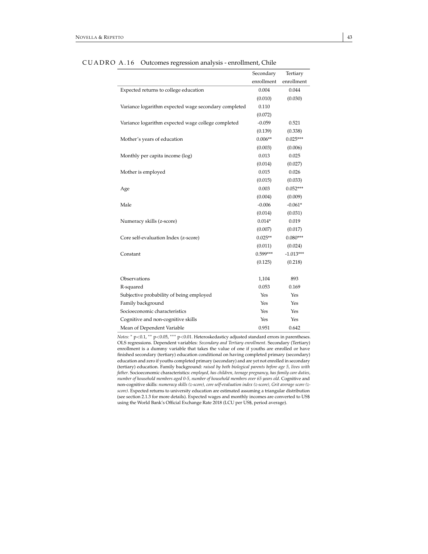|                                                      | Secondary  | Tertiary    |
|------------------------------------------------------|------------|-------------|
|                                                      | enrollment | enrollment  |
| Expected returns to college education                | 0.004      | 0.044       |
|                                                      | (0.010)    | (0.030)     |
| Variance logarithm expected wage secondary completed | 0.110      |             |
|                                                      | (0.072)    |             |
| Variance logarithm expected wage college completed   | $-0.059$   | 0.521       |
|                                                      | (0.139)    | (0.338)     |
| Mother's years of education                          | $0.006**$  | $0.025***$  |
|                                                      | (0.003)    | (0.006)     |
| Monthly per capita income (log)                      | 0.013      | 0.025       |
|                                                      | (0.014)    | (0.027)     |
| Mother is employed                                   | 0.015      | 0.026       |
|                                                      | (0.015)    | (0.033)     |
| Age                                                  | 0.003      | $0.052***$  |
|                                                      | (0.004)    | (0.009)     |
| Male                                                 | $-0.006$   | $-0.061*$   |
|                                                      | (0.014)    | (0.031)     |
| Numeracy skills (z-score)                            | $0.014*$   | 0.019       |
|                                                      | (0.007)    | (0.017)     |
| Core self-evaluation Index (z-score)                 | $0.025**$  | $0.080***$  |
|                                                      | (0.011)    | (0.024)     |
| Constant                                             | 0.599***   | $-1.013***$ |
|                                                      | (0.125)    | (0.218)     |
| Observations                                         | 1,104      | 893         |
| R-squared                                            | 0.053      | 0.169       |
| Subjective probability of being employed             | Yes        | Yes         |
| Family background                                    | Yes        | Yes         |
| Socioeconomic characteristics                        | Yes        | Yes         |
| Cognitive and non-cognitive skills                   | Yes        | Yes         |
| Mean of Dependent Variable                           | 0.951      | 0.642       |

CUADRO A.16 Outcomes regression analysis - enrollment, Chile

*Notes:* <sup>∗</sup> p<0.1, ∗∗ p<0.05, ∗∗∗ p<0.01. Heteroskedasticy adjusted standard errors in parentheses. OLS regressions. Dependent variables: *Secondary and Tertiary enrollment*. Secondary (Tertiary) enrollment is a dummy variable that takes the value of one if youths are enrolled or have finished secondary (tertiary) education conditional on having completed primary (secondary) education and zero if youths completed primary (secondary) and are yet not enrolled in secondary (tertiary) education. Family background: *raised by both biological parents before age 5, lives with father*. Socioeconomic characteristics: *employed, has children, teenage pregnancy, has family care duties, number of household members aged 0-5, number of household members over 65 years old*. Cognitive and non-cognitive skills: *numeracy skills (z-score), core self-evaluation index (z-score), Grit average score (zscore)*. Expected returns to university education are estimated assuming a triangular distribution (see section 2.1.3 for more details). Expected wages and monthly incomes are converted to US\$ using the World Bank's Official Exchange Rate 2018 (LCU per US\$, period average).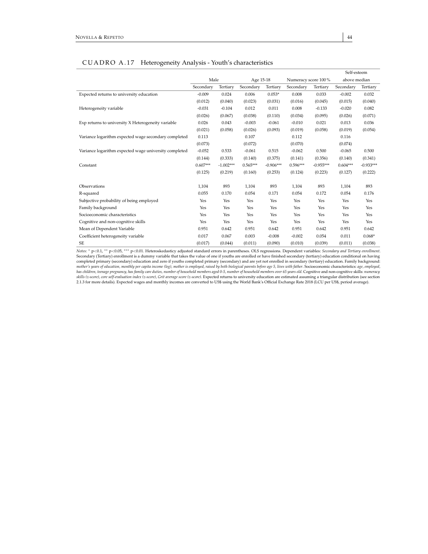# CUADRO A.17 Heterogeneity Analysis - Youth's characteristics

|                                                       |            |             |            |             |                     |             | Self-esteem  |             |
|-------------------------------------------------------|------------|-------------|------------|-------------|---------------------|-------------|--------------|-------------|
|                                                       | Male       |             | Age 15-18  |             | Numeracy score 100% |             | above median |             |
|                                                       | Secondary  | Tertiary    | Secondary  | Tertiary    | Secondary           | Tertiary    | Secondary    | Tertiary    |
| Expected returns to university education              | $-0.009$   | 0.024       | 0.006      | $0.053*$    | 0.008               | 0.033       | $-0.002$     | 0.032       |
|                                                       | (0.012)    | (0.040)     | (0.023)    | (0.031)     | (0.016)             | (0.045)     | (0.015)      | (0.040)     |
| Heterogeneity variable                                | $-0.031$   | $-0.104$    | 0.012      | 0.011       | 0.008               | $-0.133$    | $-0.020$     | 0.082       |
|                                                       | (0.026)    | (0.067)     | (0.038)    | (0.110)     | (0.034)             | (0.095)     | (0.026)      | (0.071)     |
| Exp returns to university X Heterogeneity variable    | 0.026      | 0.043       | $-0.003$   | $-0.061$    | $-0.010$            | 0.021       | 0.013        | 0.036       |
|                                                       | (0.021)    | (0.058)     | (0.026)    | (0.093)     | (0.019)             | (0.058)     | (0.019)      | (0.054)     |
| Variance logarithm expected wage secondary completed  | 0.113      |             | 0.107      |             | 0.112               |             | 0.116        |             |
|                                                       | (0.073)    |             | (0.072)    |             | (0.070)             |             | (0.074)      |             |
| Variance logarithm expected wage university completed | $-0.052$   | 0.533       | $-0.061$   | 0.515       | $-0.062$            | 0.500       | $-0.065$     | 0.500       |
|                                                       | (0.144)    | (0.333)     | (0.140)    | (0.375)     | (0.141)             | (0.356)     | (0.140)      | (0.341)     |
| Constant                                              | $0.607***$ | $-1.002***$ | $0.565***$ | $-0.906***$ | $0.596***$          | $-0.955***$ | $0.604***$   | $-0.933***$ |
|                                                       | (0.125)    | (0.219)     | (0.160)    | (0.253)     | (0.124)             | (0.223)     | (0.127)      | (0.222)     |
|                                                       |            |             |            |             |                     |             |              |             |
| Observations                                          | 1,104      | 893         | 1,104      | 893         | 1,104               | 893         | 1,104        | 893         |
| R-squared                                             | 0.055      | 0.170       | 0.054      | 0.171       | 0.054               | 0.172       | 0.054        | 0.176       |
| Subjective probability of being employed              | Yes        | Yes         | Yes        | Yes         | Yes                 | Yes         | Yes          | Yes         |
| Family background                                     | Yes        | Yes         | Yes        | Yes         | Yes                 | Yes         | Yes          | Yes         |
| Socioeconomic characteristics                         | Yes        | Yes         | Yes        | Yes         | Yes                 | Yes         | Yes          | Yes         |
| Cognitive and non-cognitive skills                    | Yes        | Yes         | Yes        | Yes         | Yes                 | Yes         | Yes          | Yes         |
| Mean of Dependent Variable                            | 0.951      | 0.642       | 0.951      | 0.642       | 0.951               | 0.642       | 0.951        | 0.642       |
| Coefficient heterogeneity variable                    | 0.017      | 0.067       | 0.003      | $-0.008$    | $-0.002$            | 0.054       | 0.011        | $0.068*$    |
| <b>SE</b>                                             | (0.017)    | (0.044)     | (0.011)    | (0.090)     | (0.010)             | (0.039)     | (0.011)      | (0.038)     |

Notes: \* p<0.1, \*\* p<0.05, \*\*\* p<0.01. Heteroskedasticy adjusted standard errors in parentheses. OLS regressions. Dependent variables: *Secondary and Tertiary enrollment*.<br>Secondary (Tertiary) enrollment is a dummy variabl completed primary (secondary) education and zero if youths completed primary (secondary) and are yet not enrolled in secondary (tertiary) education. Family background:<br>mother's years of education, monthly per capita income *skills (z-score), core self-evaluation index (z-score), Grit average score (z-score)*. Expected returns to university education are estimated assuming a triangular distribution (see section 2.1.3 for more details). Expected wages and monthly incomes are converted to US\$ using the World Bank's Official Exchange Rate 2018 (LCU per US\$, period average).